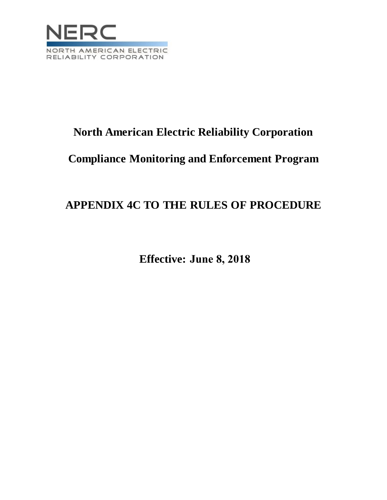

# **North American Electric Reliability Corporation**

# **Compliance Monitoring and Enforcement Program**

# **APPENDIX 4C TO THE RULES OF PROCEDURE**

**Effective: June 8, 2018**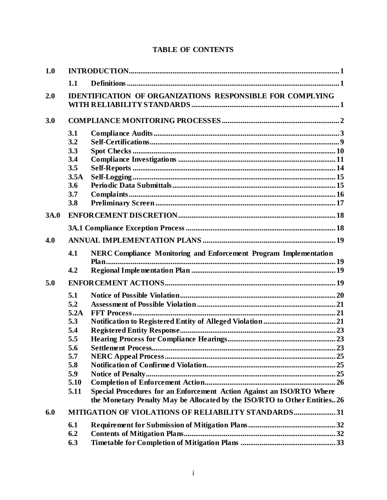# **TABLE OF CONTENTS**

| 1.0  |                                                     |                                                                          |  |  |
|------|-----------------------------------------------------|--------------------------------------------------------------------------|--|--|
|      | 1.1                                                 |                                                                          |  |  |
| 2.0  |                                                     | <b>IDENTIFICATION OF ORGANIZATIONS RESPONSIBLE FOR COMPLYING</b>         |  |  |
| 3.0  |                                                     |                                                                          |  |  |
|      | 3.1                                                 |                                                                          |  |  |
|      | 3.2                                                 |                                                                          |  |  |
|      | 3.3                                                 |                                                                          |  |  |
|      | 3.4                                                 |                                                                          |  |  |
|      | 3.5                                                 |                                                                          |  |  |
|      | 3.5A                                                |                                                                          |  |  |
|      | 3.6                                                 |                                                                          |  |  |
|      | 3.7                                                 |                                                                          |  |  |
|      | 3.8                                                 |                                                                          |  |  |
| 3A.0 |                                                     |                                                                          |  |  |
|      |                                                     |                                                                          |  |  |
| 4.0  |                                                     |                                                                          |  |  |
|      | 4.1                                                 | NERC Compliance Monitoring and Enforcement Program Implementation        |  |  |
|      |                                                     |                                                                          |  |  |
|      | 4.2                                                 |                                                                          |  |  |
| 5.0  |                                                     |                                                                          |  |  |
|      | 5.1                                                 |                                                                          |  |  |
|      | 5.2                                                 |                                                                          |  |  |
|      | 5.2A                                                |                                                                          |  |  |
|      | 5.3                                                 |                                                                          |  |  |
|      | 5.4                                                 |                                                                          |  |  |
|      | 5.5                                                 |                                                                          |  |  |
|      | 5.6                                                 |                                                                          |  |  |
|      | 5.7                                                 |                                                                          |  |  |
|      | 5.8                                                 |                                                                          |  |  |
|      | 5.9                                                 |                                                                          |  |  |
|      | 5.10                                                |                                                                          |  |  |
|      | 5.11                                                | Special Procedures for an Enforcement Action Against an ISO/RTO Where    |  |  |
|      |                                                     | the Monetary Penalty May be Allocated by the ISO/RTO to Other Entities26 |  |  |
| 6.0  | MITIGATION OF VIOLATIONS OF RELIABILITY STANDARDS31 |                                                                          |  |  |
|      | 6.1                                                 |                                                                          |  |  |
|      | 6.2                                                 |                                                                          |  |  |
|      | 6.3                                                 |                                                                          |  |  |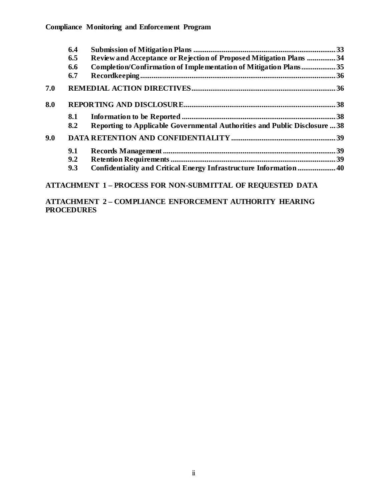|     | 6.4 |                                                                            |  |
|-----|-----|----------------------------------------------------------------------------|--|
|     | 6.5 | Review and Acceptance or Rejection of Proposed Mitigation Plans  34        |  |
|     | 6.6 | Completion/Confirmation of Implementation of Mitigation Plans35            |  |
|     | 6.7 |                                                                            |  |
| 7.0 |     |                                                                            |  |
| 8.0 |     |                                                                            |  |
|     | 8.1 |                                                                            |  |
|     | 8.2 | Reporting to Applicable Governmental Authorities and Public Disclosure  38 |  |
| 9.0 |     |                                                                            |  |
|     | 9.1 |                                                                            |  |
|     | 9.2 |                                                                            |  |
|     | 9.3 | Confidentiality and Critical Energy Infrastructure Information 40          |  |

**ATTACHMENT 1 – PROCESS FOR NON-SUBMITTAL OF REQUESTED DATA**

**ATTACHMENT 2 – COMPLIANCE ENFORCEMENT AUTHORITY HEARING PROCEDURES**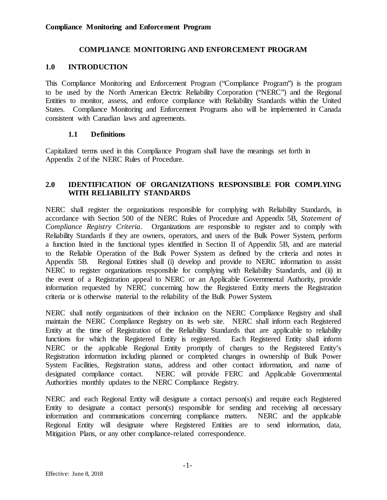#### **COMPLIANCE MONITORING AND ENFORCEMENT PROGRAM**

#### <span id="page-3-0"></span>**1.0 INTRODUCTION**

This Compliance Monitoring and Enforcement Program ("Compliance Program") is the program to be used by the North American Electric Reliability Corporation ("NERC") and the Regional Entities to monitor, assess, and enforce compliance with Reliability Standards within the United States. Compliance Monitoring and Enforcement Programs also will be implemented in Canada consistent with Canadian laws and agreements.

#### **1.1 Definitions**

<span id="page-3-1"></span>Capitalized terms used in this Compliance Program shall have the meanings set forth in Appendix 2 of the NERC Rules of Procedure.

## <span id="page-3-2"></span>**2.0 IDENTIFICATION OF ORGANIZATIONS RESPONSIBLE FOR COMPLYING WITH RELIABILITY STANDARDS**

NERC shall register the organizations responsible for complying with Reliability Standards, in accordance with Section 500 of the NERC Rules of Procedure and Appendix 5B, *Statement of Compliance Registry Criteria*. Organizations are responsible to register and to comply with Reliability Standards if they are owners, operators, and users of the Bulk Power System, perform a function listed in the functional types identified in Section II of Appendix 5B, and are material to the Reliable Operation of the Bulk Power System as defined by the criteria and notes in Appendix 5B. Regional Entities shall (i) develop and provide to NERC information to assist NERC to register organizations responsible for complying with Reliability Standards, and (ii) in the event of a Registration appeal to NERC or an Applicable Governmental Authority, provide information requested by NERC concerning how the Registered Entity meets the Registration criteria or is otherwise material to the reliability of the Bulk Power System.

NERC shall notify organizations of their inclusion on the NERC Compliance Registry and shall maintain the NERC Compliance Registry on its web site. NERC shall inform each Registered Entity at the time of Registration of the Reliability Standards that are applicable to reliability functions for which the Registered Entity is registered. Each Registered Entity shall inform NERC or the applicable Regional Entity promptly of changes to the Registered Entity's Registration information including planned or completed changes in ownership of Bulk Power System Facilities, Registration status, address and other contact information, and name of designated compliance contact. NERC will provide FERC and Applicable Governmental Authorities monthly updates to the NERC Compliance Registry.

NERC and each Regional Entity will designate a contact person(s) and require each Registered Entity to designate a contact person(s) responsible for sending and receiving all necessary information and communications concerning compliance matters. NERC and the applicable Regional Entity will designate where Registered Entities are to send information, data, Mitigation Plans, or any other compliance-related correspondence.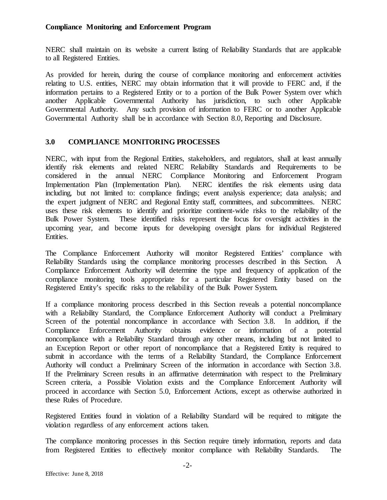NERC shall maintain on its website a current listing of Reliability Standards that are applicable to all Registered Entities.

As provided for herein, during the course of compliance monitoring and enforcement activities relating to U.S. entities, NERC may obtain information that it will provide to FERC and, if the information pertains to a Registered Entity or to a portion of the Bulk Power System over which another Applicable Governmental Authority has jurisdiction, to such other Applicable Governmental Authority. Any such provision of information to FERC or to another Applicable Governmental Authority shall be in accordance with Section 8.0, Reporting and Disclosure.

# <span id="page-4-0"></span>**3.0 COMPLIANCE MONITORING PROCESSES**

NERC, with input from the Regional Entities, stakeholders, and regulators, shall at least annually identify risk elements and related NERC Reliability Standards and Requirements to be considered in the annual NERC Compliance Monitoring and Enforcement Program Implementation Plan (Implementation Plan). NERC identifies the risk elements using data including, but not limited to: compliance findings; event analysis experience; data analysis; and the expert judgment of NERC and Regional Entity staff, committees, and subcommittees. NERC uses these risk elements to identify and prioritize continent-wide risks to the reliability of the Bulk Power System. These identified risks represent the focus for oversight activities in the upcoming year, and become inputs for developing oversight plans for individual Registered Entities.

The Compliance Enforcement Authority will monitor Registered Entities' compliance with Reliability Standards using the compliance monitoring processes described in this Section. A Compliance Enforcement Authority will determine the type and frequency of application of the compliance monitoring tools appropriate for a particular Registered Entity based on the Registered Entity's specific risks to the reliability of the Bulk Power System.

If a compliance monitoring process described in this Section reveals a potential noncompliance with a Reliability Standard, the Compliance Enforcement Authority will conduct a Preliminary Screen of the potential noncompliance in accordance with Section 3.8. In addition, if the Compliance Enforcement Authority obtains evidence or information of a potential noncompliance with a Reliability Standard through any other means, including but not limited to an Exception Report or other report of noncompliance that a Registered Entity is required to submit in accordance with the terms of a Reliability Standard, the Compliance Enforcement Authority will conduct a Preliminary Screen of the information in accordance with Section 3.8. If the Preliminary Screen results in an affirmative determination with respect to the Preliminary Screen criteria, a Possible Violation exists and the Compliance Enforcement Authority will proceed in accordance with Section 5.0, Enforcement Actions, except as otherwise authorized in these Rules of Procedure.

Registered Entities found in violation of a Reliability Standard will be required to mitigate the violation regardless of any enforcement actions taken.

The compliance monitoring processes in this Section require timely information, reports and data from Registered Entities to effectively monitor compliance with Reliability Standards. The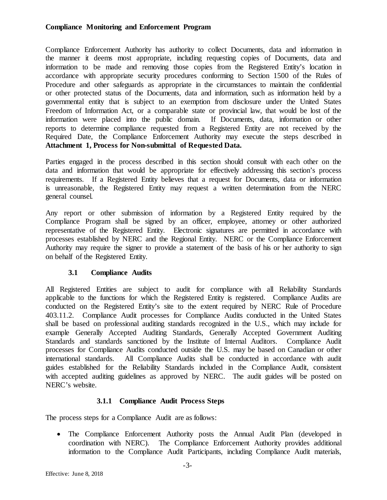Compliance Enforcement Authority has authority to collect Documents, data and information in the manner it deems most appropriate, including requesting copies of Documents, data and information to be made and removing those copies from the Registered Entity's location in accordance with appropriate security procedures conforming to Section 1500 of the Rules of Procedure and other safeguards as appropriate in the circumstances to maintain the confidential or other protected status of the Documents, data and information, such as information held by a governmental entity that is subject to an exemption from disclosure under the United States Freedom of Information Act, or a comparable state or provincial law, that would be lost of the information were placed into the public domain. If Documents, data, information or other reports to determine compliance requested from a Registered Entity are not received by the Required Date, the Compliance Enforcement Authority may execute the steps described in **Attachment 1, Process for Non-submittal of Requested Data.**

Parties engaged in the process described in this section should consult with each other on the data and information that would be appropriate for effectively addressing this section's process requirements. If a Registered Entity believes that a request for Documents, data or information is unreasonable, the Registered Entity may request a written determination from the NERC general counsel.

Any report or other submission of information by a Registered Entity required by the Compliance Program shall be signed by an officer, employee, attorney or other authorized representative of the Registered Entity. Electronic signatures are permitted in accordance with processes established by NERC and the Regional Entity. NERC or the Compliance Enforcement Authority may require the signer to provide a statement of the basis of his or her authority to sign on behalf of the Registered Entity.

#### **3.1 Compliance Audits**

<span id="page-5-0"></span>All Registered Entities are subject to audit for compliance with all Reliability Standards applicable to the functions for which the Registered Entity is registered. Compliance Audits are conducted on the Registered Entity's site to the extent required by NERC Rule of Procedure 403.11.2. Compliance Audit processes for Compliance Audits conducted in the United States shall be based on professional auditing standards recognized in the U.S., which may include for example Generally Accepted Auditing Standards, Generally Accepted Government Auditing Standards and standards sanctioned by the Institute of Internal Auditors. Compliance Audit processes for Compliance Audits conducted outside the U.S. may be based on Canadian or other international standards. All Compliance Audits shall be conducted in accordance with audit guides established for the Reliability Standards included in the Compliance Audit, consistent with accepted auditing guidelines as approved by NERC. The audit guides will be posted on NERC's website.

# **3.1.1 Compliance Audit Process Steps**

The process steps for a Compliance Audit are as follows:

• The Compliance Enforcement Authority posts the Annual Audit Plan (developed in coordination with NERC). The Compliance Enforcement Authority provides additional information to the Compliance Audit Participants, including Compliance Audit materials,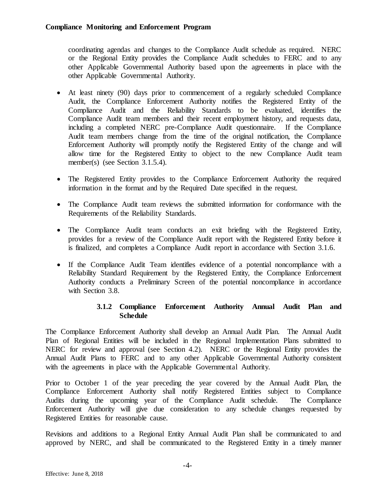coordinating agendas and changes to the Compliance Audit schedule as required. NERC or the Regional Entity provides the Compliance Audit schedules to FERC and to any other Applicable Governmental Authority based upon the agreements in place with the other Applicable Governmental Authority.

- At least ninety (90) days prior to commencement of a regularly scheduled Compliance Audit, the Compliance Enforcement Authority notifies the Registered Entity of the Compliance Audit and the Reliability Standards to be evaluated, identifies the Compliance Audit team members and their recent employment history, and requests data, including a completed NERC pre-Compliance Audit questionnaire. If the Compliance Audit team members change from the time of the original notification, the Compliance Enforcement Authority will promptly notify the Registered Entity of the change and will allow time for the Registered Entity to object to the new Compliance Audit team member(s) (see Section 3.1.5.4).
- The Registered Entity provides to the Compliance Enforcement Authority the required information in the format and by the Required Date specified in the request.
- The Compliance Audit team reviews the submitted information for conformance with the Requirements of the Reliability Standards.
- The Compliance Audit team conducts an exit briefing with the Registered Entity, provides for a review of the Compliance Audit report with the Registered Entity before it is finalized, and completes a Compliance Audit report in accordance with Section 3.1.6.
- If the Compliance Audit Team identifies evidence of a potential noncompliance with a Reliability Standard Requirement by the Registered Entity, the Compliance Enforcement Authority conducts a Preliminary Screen of the potential noncompliance in accordance with Section 3.8.

# **3.1.2 Compliance Enforcement Authority Annual Audit Plan and Schedule**

The Compliance Enforcement Authority shall develop an Annual Audit Plan. The Annual Audit Plan of Regional Entities will be included in the Regional Implementation Plans submitted to NERC for review and approval (see Section 4.2). NERC or the Regional Entity provides the Annual Audit Plans to FERC and to any other Applicable Governmental Authority consistent with the agreements in place with the Applicable Governmental Authority.

Prior to October 1 of the year preceding the year covered by the Annual Audit Plan, the Compliance Enforcement Authority shall notify Registered Entities subject to Compliance Audits during the upcoming year of the Compliance Audit schedule. The Compliance Enforcement Authority will give due consideration to any schedule changes requested by Registered Entities for reasonable cause.

Revisions and additions to a Regional Entity Annual Audit Plan shall be communicated to and approved by NERC, and shall be communicated to the Registered Entity in a timely manner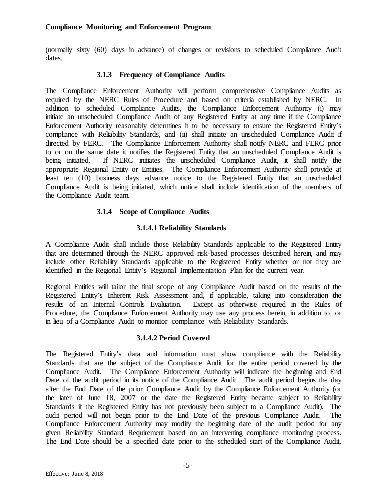(normally sixty (60) days in advance) of changes or revisions to scheduled Compliance Audit dates.

#### **3.1.3 Frequency of Compliance Audits**

The Compliance Enforcement Authority will perform comprehensive Compliance Audits as required by the NERC Rules of Procedure and based on criteria established by NERC. In addition to scheduled Compliance Audits, the Compliance Enforcement Authority (i) may initiate an unscheduled Compliance Audit of any Registered Entity at any time if the Compliance Enforcement Authority reasonably determines it to be necessary to ensure the Registered Entity's compliance with Reliability Standards, and (ii) shall initiate an unscheduled Compliance Audit if directed by FERC. The Compliance Enforcement Authority shall notify NERC and FERC prior to or on the same date it notifies the Registered Entity that an unscheduled Compliance Audit is being initiated. If NERC initiates the unscheduled Compliance Audit, it shall notify the appropriate Regional Entity or Entities. The Compliance Enforcement Authority shall provide at least ten (10) business days advance notice to the Registered Entity that an unscheduled Compliance Audit is being initiated, which notice shall include identification of the members of the Compliance Audit team.

#### **3.1.4 Scope of Compliance Audits**

#### **3.1.4.1 Reliability Standards**

A Compliance Audit shall include those Reliability Standards applicable to the Registered Entity that are determined through the NERC approved risk-based processes described herein, and may include other Reliability Standards applicable to the Registered Entity whether or not they are identified in the Regional Entity's Regional Implementation Plan for the current year.

Regional Entities will tailor the final scope of any Compliance Audit based on the results of the Registered Entity's Inherent Risk Assessment and, if applicable, taking into consideration the results of an Internal Controls Evaluation. Except as otherwise required in the Rules of Procedure, the Compliance Enforcement Authority may use any process herein, in addition to, or in lieu of a Compliance Audit to monitor compliance with Reliability Standards.

#### **3.1.4.2 Period Covered**

The Registered Entity's data and information must show compliance with the Reliability Standards that are the subject of the Compliance Audit for the entire period covered by the Compliance Audit. The Compliance Enforcement Authority will indicate the beginning and End Date of the audit period in its notice of the Compliance Audit. The audit period begins the day after the End Date of the prior Compliance Audit by the Compliance Enforcement Authority (or the later of June 18, 2007 or the date the Registered Entity became subject to Reliability Standards if the Registered Entity has not previously been subject to a Compliance Audit). The audit period will not begin prior to the End Date of the previous Compliance Audit. The Compliance Enforcement Authority may modify the beginning date of the audit period for any given Reliability Standard Requirement based on an intervening compliance monitoring process. The End Date should be a specified date prior to the scheduled start of the Compliance Audit,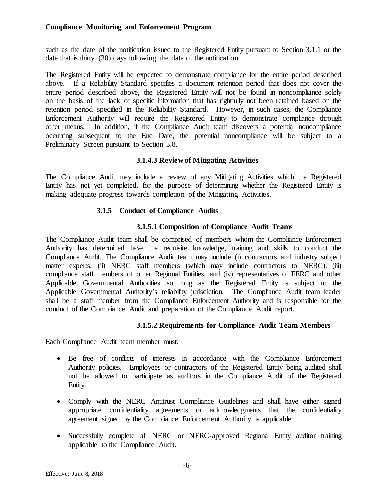such as the date of the notification issued to the Registered Entity pursuant to Section 3.1.1 or the date that is thirty (30) days following the date of the notification.

The Registered Entity will be expected to demonstrate compliance for the entire period described above. If a Reliability Standard specifies a document retention period that does not cover the entire period described above, the Registered Entity will not be found in noncompliance solely on the basis of the lack of specific information that has rightfully not been retained based on the retention period specified in the Reliability Standard. However, in such cases, the Compliance Enforcement Authority will require the Registered Entity to demonstrate compliance through other means. In addition, if the Compliance Audit team discovers a potential noncompliance occurring subsequent to the End Date, the potential noncompliance will be subject to a Preliminary Screen pursuant to Section 3.8.

## **3.1.4.3 Review of Mitigating Activities**

The Compliance Audit may include a review of any Mitigating Activities which the Registered Entity has not yet completed, for the purpose of determining whether the Registered Entity is making adequate progress towards completion of the Mitigating Activities.

## **3.1.5 Conduct of Compliance Audits**

## **3.1.5.1 Composition of Compliance Audit Teams**

The Compliance Audit team shall be comprised of members whom the Compliance Enforcement Authority has determined have the requisite knowledge, training and skills to conduct the Compliance Audit. The Compliance Audit team may include (i) contractors and industry subject matter experts, (ii) NERC staff members (which may include contractors to NERC), (iii) compliance staff members of other Regional Entities, and (iv) representatives of FERC and other Applicable Governmental Authorities so long as the Registered Entity is subject to the Applicable Governmental Authority's reliability jurisdiction. The Compliance Audit team leader shall be a staff member from the Compliance Enforcement Authority and is responsible for the conduct of the Compliance Audit and preparation of the Compliance Audit report.

# **3.1.5.2 Requirements for Compliance Audit Team Members**

Each Compliance Audit team member must:

- Be free of conflicts of interests in accordance with the Compliance Enforcement Authority policies. Employees or contractors of the Registered Entity being audited shall not be allowed to participate as auditors in the Compliance Audit of the Registered Entity.
- Comply with the NERC Antitrust Compliance Guidelines and shall have either signed appropriate confidentiality agreements or acknowledgments that the confidentiality agreement signed by the Compliance Enforcement Authority is applicable.
- Successfully complete all NERC or NERC-approved Regional Entity auditor training applicable to the Compliance Audit.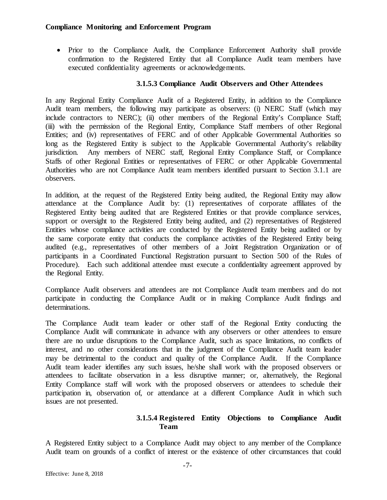• Prior to the Compliance Audit, the Compliance Enforcement Authority shall provide confirmation to the Registered Entity that all Compliance Audit team members have executed confidentiality agreements or acknowledgements.

#### **3.1.5.3 Compliance Audit Observers and Other Attendees**

In any Regional Entity Compliance Audit of a Registered Entity, in addition to the Compliance Audit team members, the following may participate as observers: (i) NERC Staff (which may include contractors to NERC); (ii) other members of the Regional Entity's Compliance Staff; (iii) with the permission of the Regional Entity, Compliance Staff members of other Regional Entities; and (iv) representatives of FERC and of other Applicable Governmental Authorities so long as the Registered Entity is subject to the Applicable Governmental Authority's reliability jurisdiction. Any members of NERC staff, Regional Entity Compliance Staff, or Compliance Staffs of other Regional Entities or representatives of FERC or other Applicable Governmental Authorities who are not Compliance Audit team members identified pursuant to Section 3.1.1 are observers.

In addition, at the request of the Registered Entity being audited, the Regional Entity may allow attendance at the Compliance Audit by: (1) representatives of corporate affiliates of the Registered Entity being audited that are Registered Entities or that provide compliance services, support or oversight to the Registered Entity being audited, and (2) representatives of Registered Entities whose compliance activities are conducted by the Registered Entity being audited or by the same corporate entity that conducts the compliance activities of the Registered Entity being audited (e.g., representatives of other members of a Joint Registration Organization or of participants in a Coordinated Functional Registration pursuant to Section 500 of the Rules of Procedure). Each such additional attendee must execute a confidentiality agreement approved by the Regional Entity.

Compliance Audit observers and attendees are not Compliance Audit team members and do not participate in conducting the Compliance Audit or in making Compliance Audit findings and determinations.

The Compliance Audit team leader or other staff of the Regional Entity conducting the Compliance Audit will communicate in advance with any observers or other attendees to ensure there are no undue disruptions to the Compliance Audit, such as space limitations, no conflicts of interest, and no other considerations that in the judgment of the Compliance Audit team leader may be detrimental to the conduct and quality of the Compliance Audit. If the Compliance Audit team leader identifies any such issues, he/she shall work with the proposed observers or attendees to facilitate observation in a less disruptive manner; or, alternatively, the Regional Entity Compliance staff will work with the proposed observers or attendees to schedule their participation in, observation of, or attendance at a different Compliance Audit in which such issues are not presented.

## **3.1.5.4 Registered Entity Objections to Compliance Audit Team**

A Registered Entity subject to a Compliance Audit may object to any member of the Compliance Audit team on grounds of a conflict of interest or the existence of other circumstances that could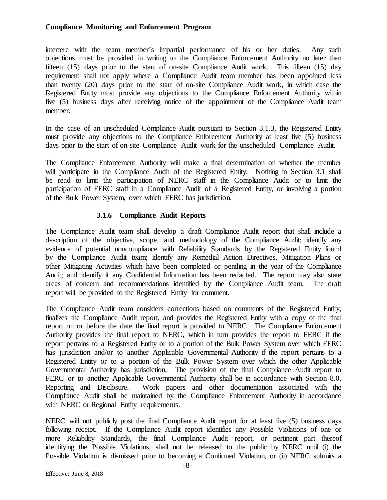interfere with the team member's impartial performance of his or her duties. Any such objections must be provided in writing to the Compliance Enforcement Authority no later than fifteen (15) days prior to the start of on-site Compliance Audit work. This fifteen (15) day requirement shall not apply where a Compliance Audit team member has been appointed less than twenty (20) days prior to the start of on-site Compliance Audit work, in which case the Registered Entity must provide any objections to the Compliance Enforcement Authority within five (5) business days after receiving notice of the appointment of the Compliance Audit team member.

In the case of an unscheduled Compliance Audit pursuant to Section 3.1.3, the Registered Entity must provide any objections to the Compliance Enforcement Authority at least five (5) business days prior to the start of on-site Compliance Audit work for the unscheduled Compliance Audit.

The Compliance Enforcement Authority will make a final determination on whether the member will participate in the Compliance Audit of the Registered Entity. Nothing in Section 3.1 shall be read to limit the participation of NERC staff in the Compliance Audit or to limit the participation of FERC staff in a Compliance Audit of a Registered Entity, or involving a portion of the Bulk Power System, over which FERC has jurisdiction.

# **3.1.6 Compliance Audit Reports**

The Compliance Audit team shall develop a draft Compliance Audit report that shall include a description of the objective, scope, and methodology of the Compliance Audit; identify any evidence of potential noncompliance with Reliability Standards by the Registered Entity found by the Compliance Audit team; identify any Remedial Action Directives, Mitigation Plans or other Mitigating Activities which have been completed or pending in the year of the Compliance Audit; and identify if any Confidential Information has been redacted. The report may also state areas of concern and recommendations identified by the Compliance Audit team. The draft report will be provided to the Registered Entity for comment.

The Compliance Audit team considers corrections based on comments of the Registered Entity, finalizes the Compliance Audit report, and provides the Registered Entity with a copy of the final report on or before the date the final report is provided to NERC. The Compliance Enforcement Authority provides the final report to NERC, which in turn provides the report to FERC if the report pertains to a Registered Entity or to a portion of the Bulk Power System over which FERC has jurisdiction and/or to another Applicable Governmental Authority if the report pertains to a Registered Entity or to a portion of the Bulk Power System over which the other Applicable Governmental Authority has jurisdiction. The provision of the final Compliance Audit report to FERC or to another Applicable Governmental Authority shall be in accordance with Section 8.0, Reporting and Disclosure. Work papers and other documentation associated with the Compliance Audit shall be maintained by the Compliance Enforcement Authority in accordance with NERC or Regional Entity requirements.

NERC will not publicly post the final Compliance Audit report for at least five (5) business days following receipt. If the Compliance Audit report identifies any Possible Violations of one or more Reliability Standards, the final Compliance Audit report, or pertinent part thereof identifying the Possible Violations, shall not be released to the public by NERC until (i) the Possible Violation is dismissed prior to becoming a Confirmed Violation, or (ii) NERC submits a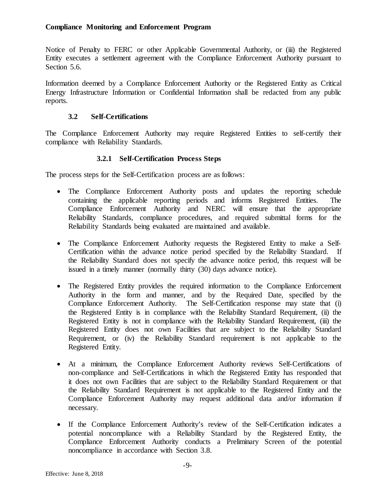Notice of Penalty to FERC or other Applicable Governmental Authority, or (iii) the Registered Entity executes a settlement agreement with the Compliance Enforcement Authority pursuant to Section 5.6.

Information deemed by a Compliance Enforcement Authority or the Registered Entity as Critical Energy Infrastructure Information or Confidential Information shall be redacted from any public reports.

## **3.2 Self-Certifications**

<span id="page-11-0"></span>The Compliance Enforcement Authority may require Registered Entities to self-certify their compliance with Reliability Standards.

# **3.2.1 Self-Certification Process Steps**

The process steps for the Self-Certification process are as follows:

- The Compliance Enforcement Authority posts and updates the reporting schedule containing the applicable reporting periods and informs Registered Entities. The Compliance Enforcement Authority and NERC will ensure that the appropriate Reliability Standards, compliance procedures, and required submittal forms for the Reliability Standards being evaluated are maintained and available.
- The Compliance Enforcement Authority requests the Registered Entity to make a Self-Certification within the advance notice period specified by the Reliability Standard. If the Reliability Standard does not specify the advance notice period, this request will be issued in a timely manner (normally thirty (30) days advance notice).
- The Registered Entity provides the required information to the Compliance Enforcement Authority in the form and manner, and by the Required Date, specified by the Compliance Enforcement Authority. The Self-Certification response may state that (i) the Registered Entity is in compliance with the Reliability Standard Requirement, (ii) the Registered Entity is not in compliance with the Reliability Standard Requirement, (iii) the Registered Entity does not own Facilities that are subject to the Reliability Standard Requirement, or (iv) the Reliability Standard requirement is not applicable to the Registered Entity.
- At a minimum, the Compliance Enforcement Authority reviews Self-Certifications of non-compliance and Self-Certifications in which the Registered Entity has responded that it does not own Facilities that are subject to the Reliability Standard Requirement or that the Reliability Standard Requirement is not applicable to the Registered Entity and the Compliance Enforcement Authority may request additional data and/or information if necessary.
- If the Compliance Enforcement Authority's review of the Self-Certification indicates a potential noncompliance with a Reliability Standard by the Registered Entity, the Compliance Enforcement Authority conducts a Preliminary Screen of the potential noncompliance in accordance with Section 3.8.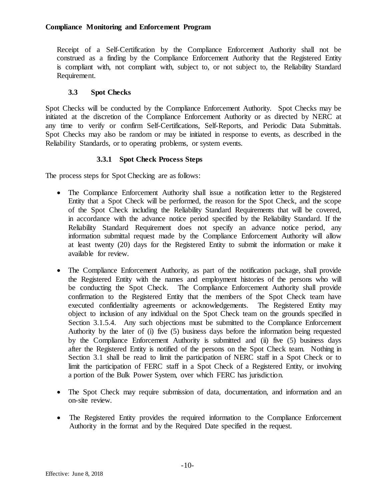Receipt of a Self-Certification by the Compliance Enforcement Authority shall not be construed as a finding by the Compliance Enforcement Authority that the Registered Entity is compliant with, not compliant with, subject to, or not subject to, the Reliability Standard Requirement.

# **3.3 Spot Checks**

<span id="page-12-0"></span>Spot Checks will be conducted by the Compliance Enforcement Authority. Spot Checks may be initiated at the discretion of the Compliance Enforcement Authority or as directed by NERC at any time to verify or confirm Self-Certifications, Self-Reports, and Periodic Data Submittals. Spot Checks may also be random or may be initiated in response to events, as described in the Reliability Standards, or to operating problems, or system events.

# **3.3.1 Spot Check Process Steps**

The process steps for Spot Checking are as follows:

- The Compliance Enforcement Authority shall issue a notification letter to the Registered Entity that a Spot Check will be performed, the reason for the Spot Check, and the scope of the Spot Check including the Reliability Standard Requirements that will be covered, in accordance with the advance notice period specified by the Reliability Standard. If the Reliability Standard Requirement does not specify an advance notice period, any information submittal request made by the Compliance Enforcement Authority will allow at least twenty (20) days for the Registered Entity to submit the information or make it available for review.
- The Compliance Enforcement Authority, as part of the notification package, shall provide the Registered Entity with the names and employment histories of the persons who will be conducting the Spot Check. The Compliance Enforcement Authority shall provide confirmation to the Registered Entity that the members of the Spot Check team have executed confidentiality agreements or acknowledgements. The Registered Entity may object to inclusion of any individual on the Spot Check team on the grounds specified in Section 3.1.5.4. Any such objections must be submitted to the Compliance Enforcement Authority by the later of (i) five (5) business days before the information being requested by the Compliance Enforcement Authority is submitted and (ii) five (5) business days after the Registered Entity is notified of the persons on the Spot Check team. Nothing in Section 3.1 shall be read to limit the participation of NERC staff in a Spot Check or to limit the participation of FERC staff in a Spot Check of a Registered Entity, or involving a portion of the Bulk Power System, over which FERC has jurisdiction.
- The Spot Check may require submission of data, documentation, and information and an on-site review.
- The Registered Entity provides the required information to the Compliance Enforcement Authority in the format and by the Required Date specified in the request.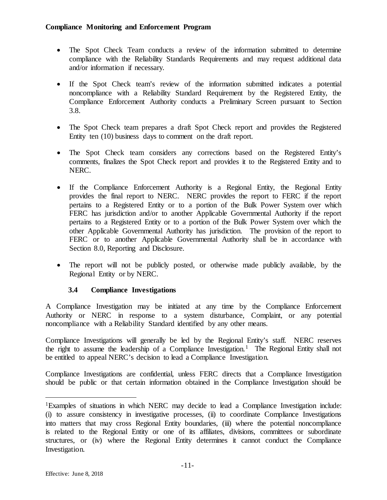- The Spot Check Team conducts a review of the information submitted to determine compliance with the Reliability Standards Requirements and may request additional data and/or information if necessary.
- If the Spot Check team's review of the information submitted indicates a potential noncompliance with a Reliability Standard Requirement by the Registered Entity, the Compliance Enforcement Authority conducts a Preliminary Screen pursuant to Section 3.8.
- The Spot Check team prepares a draft Spot Check report and provides the Registered Entity ten (10) business days to comment on the draft report.
- The Spot Check team considers any corrections based on the Registered Entity's comments, finalizes the Spot Check report and provides it to the Registered Entity and to NERC.
- If the Compliance Enforcement Authority is a Regional Entity, the Regional Entity provides the final report to NERC. NERC provides the report to FERC if the report pertains to a Registered Entity or to a portion of the Bulk Power System over which FERC has jurisdiction and/or to another Applicable Governmental Authority if the report pertains to a Registered Entity or to a portion of the Bulk Power System over which the other Applicable Governmental Authority has jurisdiction. The provision of the report to FERC or to another Applicable Governmental Authority shall be in accordance with Section 8.0, Reporting and Disclosure.
- The report will not be publicly posted, or otherwise made publicly available, by the Regional Entity or by NERC.

# **3.4 Compliance Investigations**

<span id="page-13-0"></span>A Compliance Investigation may be initiated at any time by the Compliance Enforcement Authority or NERC in response to a system disturbance, Complaint, or any potential noncompliance with a Reliability Standard identified by any other means.

Compliance Investigations will generally be led by the Regional Entity's staff. NERC reserves the right to assume the leadership of a Compliance Investigation.<sup>[1](#page-13-1)</sup> The Regional Entity shall not be entitled to appeal NERC's decision to lead a Compliance Investigation.

Compliance Investigations are confidential, unless FERC directs that a Compliance Investigation should be public or that certain information obtained in the Compliance Investigation should be

<span id="page-13-1"></span> <sup>1</sup>Examples of situations in which NERC may decide to lead a Compliance Investigation include: (i) to assure consistency in investigative processes, (ii) to coordinate Compliance Investigations into matters that may cross Regional Entity boundaries, (iii) where the potential noncompliance is related to the Regional Entity or one of its affiliates, divisions, committees or subordinate structures, or (iv) where the Regional Entity determines it cannot conduct the Compliance Investigation.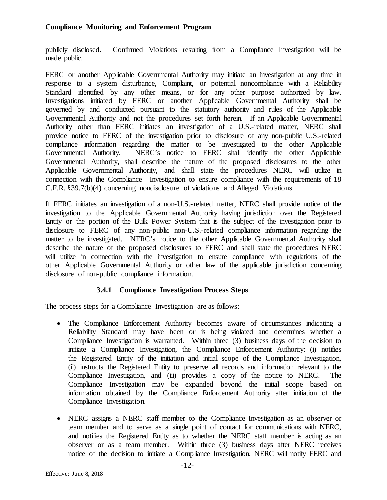publicly disclosed. Confirmed Violations resulting from a Compliance Investigation will be made public.

FERC or another Applicable Governmental Authority may initiate an investigation at any time in response to a system disturbance, Complaint, or potential noncompliance with a Reliability Standard identified by any other means, or for any other purpose authorized by law. Investigations initiated by FERC or another Applicable Governmental Authority shall be governed by and conducted pursuant to the statutory authority and rules of the Applicable Governmental Authority and not the procedures set forth herein. If an Applicable Governmental Authority other than FERC initiates an investigation of a U.S.-related matter, NERC shall provide notice to FERC of the investigation prior to disclosure of any non-public U.S.-related compliance information regarding the matter to be investigated to the other Applicable Governmental Authority. NERC's notice to FERC shall identify the other Applicable Governmental Authority, shall describe the nature of the proposed disclosures to the other Applicable Governmental Authority, and shall state the procedures NERC will utilize in connection with the Compliance Investigation to ensure compliance with the requirements of 18 C.F.R. §39.7(b)(4) concerning nondisclosure of violations and Alleged Violations.

If FERC initiates an investigation of a non-U.S.-related matter, NERC shall provide notice of the investigation to the Applicable Governmental Authority having jurisdiction over the Registered Entity or the portion of the Bulk Power System that is the subject of the investigation prior to disclosure to FERC of any non-public non-U.S.-related compliance information regarding the matter to be investigated. NERC's notice to the other Applicable Governmental Authority shall describe the nature of the proposed disclosures to FERC and shall state the procedures NERC will utilize in connection with the investigation to ensure compliance with regulations of the other Applicable Governmental Authority or other law of the applicable jurisdiction concerning disclosure of non-public compliance information.

# **3.4.1 Compliance Investigation Process Steps**

The process steps for a Compliance Investigation are as follows:

- The Compliance Enforcement Authority becomes aware of circumstances indicating a Reliability Standard may have been or is being violated and determines whether a Compliance Investigation is warranted. Within three (3) business days of the decision to initiate a Compliance Investigation, the Compliance Enforcement Authority: (i) notifies the Registered Entity of the initiation and initial scope of the Compliance Investigation, (ii) instructs the Registered Entity to preserve all records and information relevant to the Compliance Investigation, and (iii) provides a copy of the notice to NERC. The Compliance Investigation may be expanded beyond the initial scope based on information obtained by the Compliance Enforcement Authority after initiation of the Compliance Investigation.
- NERC assigns a NERC staff member to the Compliance Investigation as an observer or team member and to serve as a single point of contact for communications with NERC, and notifies the Registered Entity as to whether the NERC staff member is acting as an observer or as a team member. Within three (3) business days after NERC receives notice of the decision to initiate a Compliance Investigation, NERC will notify FERC and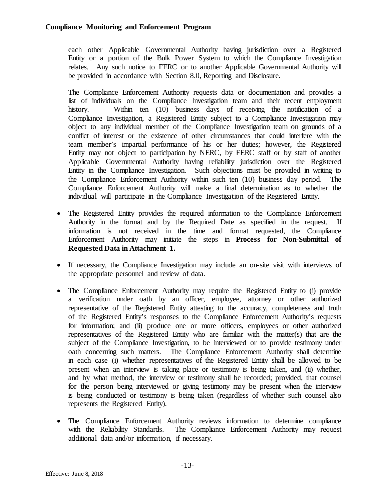each other Applicable Governmental Authority having jurisdiction over a Registered Entity or a portion of the Bulk Power System to which the Compliance Investigation relates. Any such notice to FERC or to another Applicable Governmental Authority will be provided in accordance with Section 8.0, Reporting and Disclosure.

The Compliance Enforcement Authority requests data or documentation and provides a list of individuals on the Compliance Investigation team and their recent employment history. Within ten (10) business days of receiving the notification of a Compliance Investigation, a Registered Entity subject to a Compliance Investigation may object to any individual member of the Compliance Investigation team on grounds of a conflict of interest or the existence of other circumstances that could interfere with the team member's impartial performance of his or her duties; however, the Registered Entity may not object to participation by NERC, by FERC staff or by staff of another Applicable Governmental Authority having reliability jurisdiction over the Registered Entity in the Compliance Investigation. Such objections must be provided in writing to the Compliance Enforcement Authority within such ten (10) business day period. The Compliance Enforcement Authority will make a final determination as to whether the individual will participate in the Compliance Investigation of the Registered Entity.

- The Registered Entity provides the required information to the Compliance Enforcement Authority in the format and by the Required Date as specified in the request. If information is not received in the time and format requested, the Compliance Enforcement Authority may initiate the steps in **Process for Non-Submittal of Requested Data in Attachment 1.**
- If necessary, the Compliance Investigation may include an on-site visit with interviews of the appropriate personnel and review of data.
- The Compliance Enforcement Authority may require the Registered Entity to (i) provide a verification under oath by an officer, employee, attorney or other authorized representative of the Registered Entity attesting to the accuracy, completeness and truth of the Registered Entity's responses to the Compliance Enforcement Authority's requests for information; and (ii) produce one or more officers, employees or other authorized representatives of the Registered Entity who are familiar with the matter(s) that are the subject of the Compliance Investigation, to be interviewed or to provide testimony under oath concerning such matters. The Compliance Enforcement Authority shall determine in each case (i) whether representatives of the Registered Entity shall be allowed to be present when an interview is taking place or testimony is being taken, and (ii) whether, and by what method, the interview or testimony shall be recorded; provided, that counsel for the person being interviewed or giving testimony may be present when the interview is being conducted or testimony is being taken (regardless of whether such counsel also represents the Registered Entity).
- The Compliance Enforcement Authority reviews information to determine compliance with the Reliability Standards. The Compliance Enforcement Authority may request additional data and/or information, if necessary.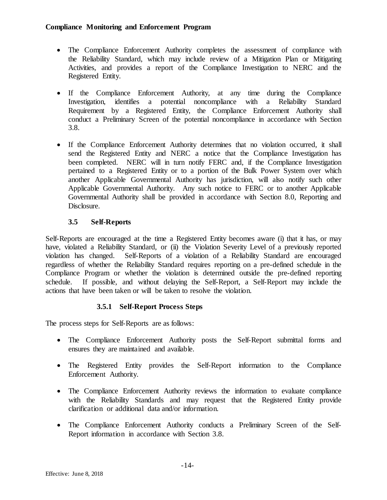- The Compliance Enforcement Authority completes the assessment of compliance with the Reliability Standard, which may include review of a Mitigation Plan or Mitigating Activities, and provides a report of the Compliance Investigation to NERC and the Registered Entity.
- If the Compliance Enforcement Authority, at any time during the Compliance Investigation, identifies a potential noncompliance with a Reliability Standard Requirement by a Registered Entity, the Compliance Enforcement Authority shall conduct a Preliminary Screen of the potential noncompliance in accordance with Section 3.8.
- If the Compliance Enforcement Authority determines that no violation occurred, it shall send the Registered Entity and NERC a notice that the Compliance Investigation has been completed. NERC will in turn notify FERC and, if the Compliance Investigation pertained to a Registered Entity or to a portion of the Bulk Power System over which another Applicable Governmental Authority has jurisdiction, will also notify such other Applicable Governmental Authority. Any such notice to FERC or to another Applicable Governmental Authority shall be provided in accordance with Section 8.0, Reporting and Disclosure.

# **3.5 Self-Reports**

<span id="page-16-0"></span>Self-Reports are encouraged at the time a Registered Entity becomes aware (i) that it has, or may have, violated a Reliability Standard, or (ii) the Violation Severity Level of a previously reported violation has changed. Self-Reports of a violation of a Reliability Standard are encouraged regardless of whether the Reliability Standard requires reporting on a pre-defined schedule in the Compliance Program or whether the violation is determined outside the pre-defined reporting schedule. If possible, and without delaying the Self-Report, a Self-Report may include the actions that have been taken or will be taken to resolve the violation.

# **3.5.1 Self-Report Process Steps**

The process steps for Self-Reports are as follows:

- The Compliance Enforcement Authority posts the Self-Report submittal forms and ensures they are maintained and available.
- The Registered Entity provides the Self-Report information to the Compliance Enforcement Authority.
- The Compliance Enforcement Authority reviews the information to evaluate compliance with the Reliability Standards and may request that the Registered Entity provide clarification or additional data and/or information.
- The Compliance Enforcement Authority conducts a Preliminary Screen of the Self-Report information in accordance with Section 3.8.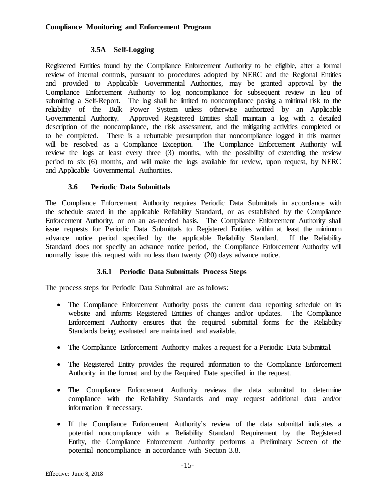# **3.5A Self-Logging**

<span id="page-17-0"></span>Registered Entities found by the Compliance Enforcement Authority to be eligible, after a formal review of internal controls, pursuant to procedures adopted by NERC and the Regional Entities and provided to Applicable Governmental Authorities, may be granted approval by the Compliance Enforcement Authority to log noncompliance for subsequent review in lieu of submitting a Self-Report. The log shall be limited to noncompliance posing a minimal risk to the reliability of the Bulk Power System unless otherwise authorized by an Applicable Governmental Authority. Approved Registered Entities shall maintain a log with a detailed description of the noncompliance, the risk assessment, and the mitigating activities completed or to be completed. There is a rebuttable presumption that noncompliance logged in this manner will be resolved as a Compliance Exception. The Compliance Enforcement Authority will review the logs at least every three (3) months, with the possibility of extending the review period to six (6) months, and will make the logs available for review, upon request, by NERC and Applicable Governmental Authorities.

## **3.6 Periodic Data Submittals**

<span id="page-17-1"></span>The Compliance Enforcement Authority requires Periodic Data Submittals in accordance with the schedule stated in the applicable Reliability Standard, or as established by the Compliance Enforcement Authority, or on an as-needed basis. The Compliance Enforcement Authority shall issue requests for Periodic Data Submittals to Registered Entities within at least the minimum advance notice period specified by the applicable Reliability Standard. If the Reliability Standard does not specify an advance notice period, the Compliance Enforcement Authority will normally issue this request with no less than twenty (20) days advance notice.

# **3.6.1 Periodic Data Submittals Process Steps**

The process steps for Periodic Data Submittal are as follows:

- The Compliance Enforcement Authority posts the current data reporting schedule on its website and informs Registered Entities of changes and/or updates. The Compliance Enforcement Authority ensures that the required submittal forms for the Reliability Standards being evaluated are maintained and available.
- The Compliance Enforcement Authority makes a request for a Periodic Data Submittal.
- The Registered Entity provides the required information to the Compliance Enforcement Authority in the format and by the Required Date specified in the request.
- The Compliance Enforcement Authority reviews the data submittal to determine compliance with the Reliability Standards and may request additional data and/or information if necessary.
- If the Compliance Enforcement Authority's review of the data submittal indicates a potential noncompliance with a Reliability Standard Requirement by the Registered Entity, the Compliance Enforcement Authority performs a Preliminary Screen of the potential noncompliance in accordance with Section 3.8.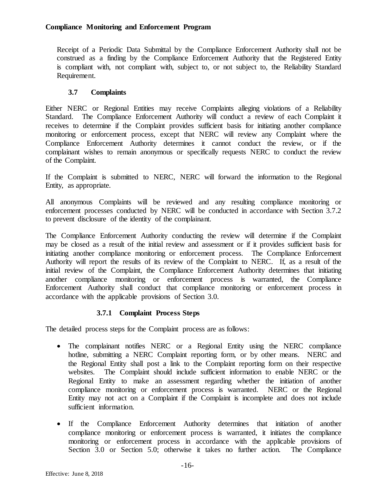Receipt of a Periodic Data Submittal by the Compliance Enforcement Authority shall not be construed as a finding by the Compliance Enforcement Authority that the Registered Entity is compliant with, not compliant with, subject to, or not subject to, the Reliability Standard Requirement.

# **3.7 Complaints**

<span id="page-18-0"></span>Either NERC or Regional Entities may receive Complaints alleging violations of a Reliability Standard. The Compliance Enforcement Authority will conduct a review of each Complaint it receives to determine if the Complaint provides sufficient basis for initiating another compliance monitoring or enforcement process, except that NERC will review any Complaint where the Compliance Enforcement Authority determines it cannot conduct the review, or if the complainant wishes to remain anonymous or specifically requests NERC to conduct the review of the Complaint.

If the Complaint is submitted to NERC, NERC will forward the information to the Regional Entity, as appropriate.

All anonymous Complaints will be reviewed and any resulting compliance monitoring or enforcement processes conducted by NERC will be conducted in accordance with Section 3.7.2 to prevent disclosure of the identity of the complainant.

The Compliance Enforcement Authority conducting the review will determine if the Complaint may be closed as a result of the initial review and assessment or if it provides sufficient basis for initiating another compliance monitoring or enforcement process. The Compliance Enforcement Authority will report the results of its review of the Complaint to NERC. If, as a result of the initial review of the Complaint, the Compliance Enforcement Authority determines that initiating another compliance monitoring or enforcement process is warranted, the Compliance Enforcement Authority shall conduct that compliance monitoring or enforcement process in accordance with the applicable provisions of Section 3.0.

# **3.7.1 Complaint Process Steps**

The detailed process steps for the Complaint process are as follows:

- The complainant notifies NERC or a Regional Entity using the NERC compliance hotline, submitting a NERC Complaint reporting form, or by other means. NERC and the Regional Entity shall post a link to the Complaint reporting form on their respective websites. The Complaint should include sufficient information to enable NERC or the Regional Entity to make an assessment regarding whether the initiation of another compliance monitoring or enforcement process is warranted. NERC or the Regional Entity may not act on a Complaint if the Complaint is incomplete and does not include sufficient information.
- If the Compliance Enforcement Authority determines that initiation of another compliance monitoring or enforcement process is warranted, it initiates the compliance monitoring or enforcement process in accordance with the applicable provisions of Section 3.0 or Section 5.0; otherwise it takes no further action. The Compliance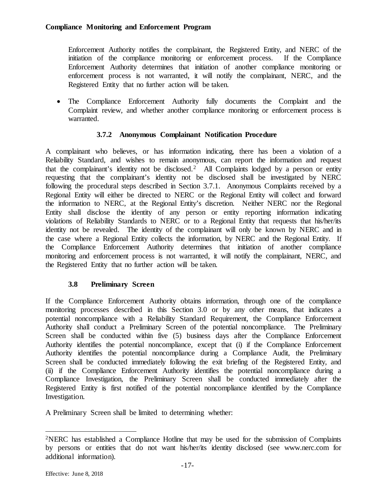Enforcement Authority notifies the complainant, the Registered Entity, and NERC of the initiation of the compliance monitoring or enforcement process. If the Compliance Enforcement Authority determines that initiation of another compliance monitoring or enforcement process is not warranted, it will notify the complainant, NERC, and the Registered Entity that no further action will be taken.

• The Compliance Enforcement Authority fully documents the Complaint and the Complaint review, and whether another compliance monitoring or enforcement process is warranted.

# **3.7.2 Anonymous Complainant Notification Procedure**

A complainant who believes, or has information indicating, there has been a violation of a Reliability Standard, and wishes to remain anonymous, can report the information and request that the complainant's identity not be disclosed.<sup>[2](#page-19-1)</sup> All Complaints lodged by a person or entity requesting that the complainant's identity not be disclosed shall be investigated by NERC following the procedural steps described in Section 3.7.1. Anonymous Complaints received by a Regional Entity will either be directed to NERC or the Regional Entity will collect and forward the information to NERC, at the Regional Entity's discretion. Neither NERC nor the Regional Entity shall disclose the identity of any person or entity reporting information indicating violations of Reliability Standards to NERC or to a Regional Entity that requests that his/her/its identity not be revealed. The identity of the complainant will only be known by NERC and in the case where a Regional Entity collects the information, by NERC and the Regional Entity. If the Compliance Enforcement Authority determines that initiation of another compliance monitoring and enforcement process is not warranted, it will notify the complainant, NERC, and the Registered Entity that no further action will be taken.

# **3.8 Preliminary Screen**

<span id="page-19-0"></span>If the Compliance Enforcement Authority obtains information, through one of the compliance monitoring processes described in this Section 3.0 or by any other means, that indicates a potential noncompliance with a Reliability Standard Requirement, the Compliance Enforcement Authority shall conduct a Preliminary Screen of the potential noncompliance. The Preliminary Screen shall be conducted within five (5) business days after the Compliance Enforcement Authority identifies the potential noncompliance, except that (i) if the Compliance Enforcement Authority identifies the potential noncompliance during a Compliance Audit, the Preliminary Screen shall be conducted immediately following the exit briefing of the Registered Entity, and (ii) if the Compliance Enforcement Authority identifies the potential noncompliance during a Compliance Investigation, the Preliminary Screen shall be conducted immediately after the Registered Entity is first notified of the potential noncompliance identified by the Compliance Investigation.

A Preliminary Screen shall be limited to determining whether:

<span id="page-19-1"></span> <sup>2</sup>NERC has established a Compliance Hotline that may be used for the submission of Complaints by persons or entities that do not want his/her/its identity disclosed (see www.nerc.com for additional information).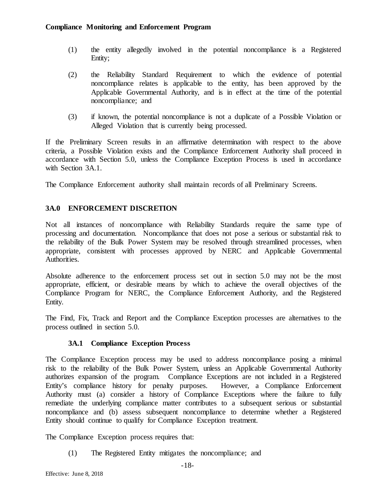- (1) the entity allegedly involved in the potential noncompliance is a Registered Entity;
- (2) the Reliability Standard Requirement to which the evidence of potential noncompliance relates is applicable to the entity, has been approved by the Applicable Governmental Authority, and is in effect at the time of the potential noncompliance; and
- (3) if known, the potential noncompliance is not a duplicate of a Possible Violation or Alleged Violation that is currently being processed.

If the Preliminary Screen results in an affirmative determination with respect to the above criteria, a Possible Violation exists and the Compliance Enforcement Authority shall proceed in accordance with Section 5.0, unless the Compliance Exception Process is used in accordance with Section 3A.1.

The Compliance Enforcement authority shall maintain records of all Preliminary Screens.

# <span id="page-20-0"></span>**3A.0 ENFORCEMENT DISCRETION**

Not all instances of noncompliance with Reliability Standards require the same type of processing and documentation. Noncompliance that does not pose a serious or substantial risk to the reliability of the Bulk Power System may be resolved through streamlined processes, when appropriate, consistent with processes approved by NERC and Applicable Governmental Authorities.

Absolute adherence to the enforcement process set out in section 5.0 may not be the most appropriate, efficient, or desirable means by which to achieve the overall objectives of the Compliance Program for NERC, the Compliance Enforcement Authority, and the Registered Entity.

The Find, Fix, Track and Report and the Compliance Exception processes are alternatives to the process outlined in section 5.0.

#### **3A.1 Compliance Exception Process**

<span id="page-20-1"></span>The Compliance Exception process may be used to address noncompliance posing a minimal risk to the reliability of the Bulk Power System, unless an Applicable Governmental Authority authorizes expansion of the program. Compliance Exceptions are not included in a Registered Entity's compliance history for penalty purposes. However, a Compliance Enforcement Authority must (a) consider a history of Compliance Exceptions where the failure to fully remediate the underlying compliance matter contributes to a subsequent serious or substantial noncompliance and (b) assess subsequent noncompliance to determine whether a Registered Entity should continue to qualify for Compliance Exception treatment.

The Compliance Exception process requires that:

(1) The Registered Entity mitigates the noncompliance; and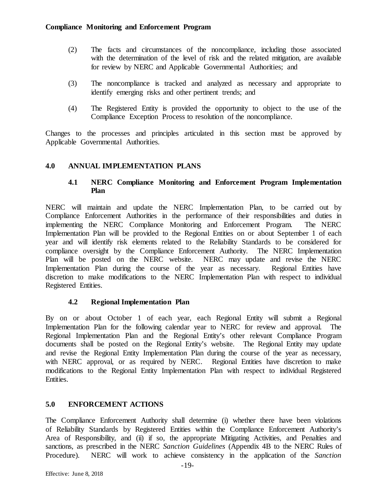- (2) The facts and circumstances of the noncompliance, including those associated with the determination of the level of risk and the related mitigation, are available for review by NERC and Applicable Governmental Authorities; and
- (3) The noncompliance is tracked and analyzed as necessary and appropriate to identify emerging risks and other pertinent trends; and
- (4) The Registered Entity is provided the opportunity to object to the use of the Compliance Exception Process to resolution of the noncompliance.

Changes to the processes and principles articulated in this section must be approved by Applicable Governmental Authorities.

## <span id="page-21-1"></span><span id="page-21-0"></span>**4.0 ANNUAL IMPLEMENTATION PLANS**

## **4.1 NERC Compliance Monitoring and Enforcement Program Implementation Plan**

NERC will maintain and update the NERC Implementation Plan, to be carried out by Compliance Enforcement Authorities in the performance of their responsibilities and duties in implementing the NERC Compliance Monitoring and Enforcement Program. The NERC Implementation Plan will be provided to the Regional Entities on or about September 1 of each year and will identify risk elements related to the Reliability Standards to be considered for compliance oversight by the Compliance Enforcement Authority. The NERC Implementation Plan will be posted on the NERC website. NERC may update and revise the NERC Implementation Plan during the course of the year as necessary. Regional Entities have discretion to make modifications to the NERC Implementation Plan with respect to individual Registered Entities.

#### **4.2 Regional Implementation Plan**

<span id="page-21-2"></span>By on or about October 1 of each year, each Regional Entity will submit a Regional Implementation Plan for the following calendar year to NERC for review and approval. The Regional Implementation Plan and the Regional Entity's other relevant Compliance Program documents shall be posted on the Regional Entity's website. The Regional Entity may update and revise the Regional Entity Implementation Plan during the course of the year as necessary, with NERC approval, or as required by NERC. Regional Entities have discretion to make modifications to the Regional Entity Implementation Plan with respect to individual Registered Entities.

# <span id="page-21-3"></span>**5.0 ENFORCEMENT ACTIONS**

The Compliance Enforcement Authority shall determine (i) whether there have been violations of Reliability Standards by Registered Entities within the Compliance Enforcement Authority's Area of Responsibility, and (ii) if so, the appropriate Mitigating Activities, and Penalties and sanctions, as prescribed in the NERC *Sanction Guidelines* (Appendix 4B to the NERC Rules of Procedure). NERC will work to achieve consistency in the application of the *Sanction*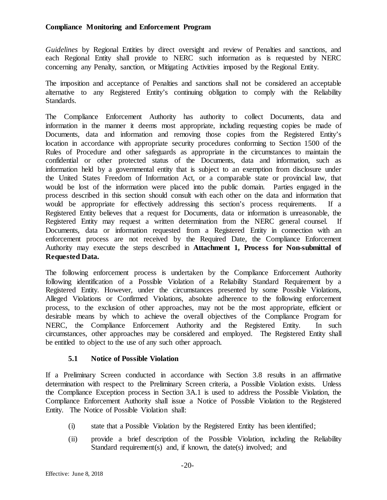*Guidelines* by Regional Entities by direct oversight and review of Penalties and sanctions, and each Regional Entity shall provide to NERC such information as is requested by NERC concerning any Penalty, sanction, or Mitigating Activities imposed by the Regional Entity.

The imposition and acceptance of Penalties and sanctions shall not be considered an acceptable alternative to any Registered Entity's continuing obligation to comply with the Reliability Standards.

The Compliance Enforcement Authority has authority to collect Documents, data and information in the manner it deems most appropriate, including requesting copies be made of Documents, data and information and removing those copies from the Registered Entity's location in accordance with appropriate security procedures conforming to Section 1500 of the Rules of Procedure and other safeguards as appropriate in the circumstances to maintain the confidential or other protected status of the Documents, data and information, such as information held by a governmental entity that is subject to an exemption from disclosure under the United States Freedom of Information Act, or a comparable state or provincial law, that would be lost of the information were placed into the public domain. Parties engaged in the process described in this section should consult with each other on the data and information that would be appropriate for effectively addressing this section's process requirements. If a Registered Entity believes that a request for Documents, data or information is unreasonable, the Registered Entity may request a written determination from the NERC general counsel. If Documents, data or information requested from a Registered Entity in connection with an enforcement process are not received by the Required Date, the Compliance Enforcement Authority may execute the steps described in **Attachment 1, Process for Non-submittal of Requested Data.**

The following enforcement process is undertaken by the Compliance Enforcement Authority following identification of a Possible Violation of a Reliability Standard Requirement by a Registered Entity. However, under the circumstances presented by some Possible Violations, Alleged Violations or Confirmed Violations, absolute adherence to the following enforcement process, to the exclusion of other approaches, may not be the most appropriate, efficient or desirable means by which to achieve the overall objectives of the Compliance Program for NERC, the Compliance Enforcement Authority and the Registered Entity. In such circumstances, other approaches may be considered and employed. The Registered Entity shall be entitled to object to the use of any such other approach.

# **5.1 Notice of Possible Violation**

<span id="page-22-0"></span>If a Preliminary Screen conducted in accordance with Section 3.8 results in an affirmative determination with respect to the Preliminary Screen criteria, a Possible Violation exists. Unless the Compliance Exception process in Section 3A.1 is used to address the Possible Violation, the Compliance Enforcement Authority shall issue a Notice of Possible Violation to the Registered Entity. The Notice of Possible Violation shall:

- (i) state that a Possible Violation by the Registered Entity has been identified;
- (ii) provide a brief description of the Possible Violation, including the Reliability Standard requirement(s) and, if known, the date(s) involved; and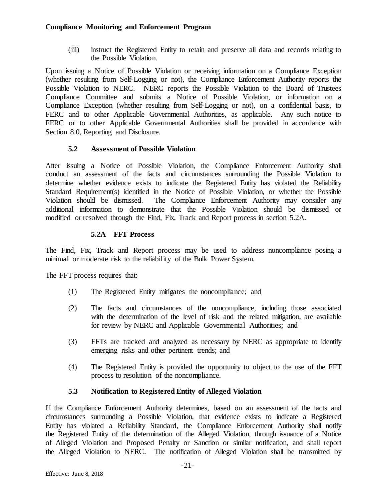(iii) instruct the Registered Entity to retain and preserve all data and records relating to the Possible Violation.

Upon issuing a Notice of Possible Violation or receiving information on a Compliance Exception (whether resulting from Self-Logging or not), the Compliance Enforcement Authority reports the Possible Violation to NERC. NERC reports the Possible Violation to the Board of Trustees Compliance Committee and submits a Notice of Possible Violation, or information on a Compliance Exception (whether resulting from Self-Logging or not), on a confidential basis, to FERC and to other Applicable Governmental Authorities, as applicable. Any such notice to FERC or to other Applicable Governmental Authorities shall be provided in accordance with Section 8.0, Reporting and Disclosure.

# **5.2 Assessment of Possible Violation**

<span id="page-23-0"></span>After issuing a Notice of Possible Violation, the Compliance Enforcement Authority shall conduct an assessment of the facts and circumstances surrounding the Possible Violation to determine whether evidence exists to indicate the Registered Entity has violated the Reliability Standard Requirement(s) identified in the Notice of Possible Violation, or whether the Possible Violation should be dismissed. The Compliance Enforcement Authority may consider any additional information to demonstrate that the Possible Violation should be dismissed or modified or resolved through the Find, Fix, Track and Report process in section 5.2A.

# **5.2A FFT Process**

<span id="page-23-1"></span>The Find, Fix, Track and Report process may be used to address noncompliance posing a minimal or moderate risk to the reliability of the Bulk Power System.

The FFT process requires that:

- (1) The Registered Entity mitigates the noncompliance; and
- (2) The facts and circumstances of the noncompliance, including those associated with the determination of the level of risk and the related mitigation, are available for review by NERC and Applicable Governmental Authorities; and
- (3) FFTs are tracked and analyzed as necessary by NERC as appropriate to identify emerging risks and other pertinent trends; and
- (4) The Registered Entity is provided the opportunity to object to the use of the FFT process to resolution of the noncompliance.

# **5.3 Notification to Registered Entity of Alleged Violation**

<span id="page-23-2"></span>If the Compliance Enforcement Authority determines, based on an assessment of the facts and circumstances surrounding a Possible Violation, that evidence exists to indicate a Registered Entity has violated a Reliability Standard, the Compliance Enforcement Authority shall notify the Registered Entity of the determination of the Alleged Violation, through issuance of a Notice of Alleged Violation and Proposed Penalty or Sanction or similar notification, and shall report the Alleged Violation to NERC. The notification of Alleged Violation shall be transmitted by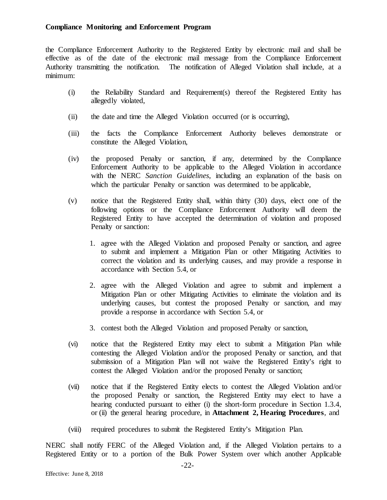the Compliance Enforcement Authority to the Registered Entity by electronic mail and shall be effective as of the date of the electronic mail message from the Compliance Enforcement Authority transmitting the notification. The notification of Alleged Violation shall include, at a minimum:

- (i) the Reliability Standard and Requirement(s) thereof the Registered Entity has allegedly violated,
- (ii) the date and time the Alleged Violation occurred (or is occurring),
- (iii) the facts the Compliance Enforcement Authority believes demonstrate or constitute the Alleged Violation,
- (iv) the proposed Penalty or sanction, if any, determined by the Compliance Enforcement Authority to be applicable to the Alleged Violation in accordance with the NERC *Sanction Guidelines*, including an explanation of the basis on which the particular Penalty or sanction was determined to be applicable,
- (v) notice that the Registered Entity shall, within thirty (30) days, elect one of the following options or the Compliance Enforcement Authority will deem the Registered Entity to have accepted the determination of violation and proposed Penalty or sanction:
	- 1. agree with the Alleged Violation and proposed Penalty or sanction, and agree to submit and implement a Mitigation Plan or other Mitigating Activities to correct the violation and its underlying causes, and may provide a response in accordance with Section 5.4, or
	- 2. agree with the Alleged Violation and agree to submit and implement a Mitigation Plan or other Mitigating Activities to eliminate the violation and its underlying causes, but contest the proposed Penalty or sanction, and may provide a response in accordance with Section 5.4, or
	- 3. contest both the Alleged Violation and proposed Penalty or sanction,
- (vi) notice that the Registered Entity may elect to submit a Mitigation Plan while contesting the Alleged Violation and/or the proposed Penalty or sanction, and that submission of a Mitigation Plan will not waive the Registered Entity's right to contest the Alleged Violation and/or the proposed Penalty or sanction;
- (vii) notice that if the Registered Entity elects to contest the Alleged Violation and/or the proposed Penalty or sanction, the Registered Entity may elect to have a hearing conducted pursuant to either (i) the short-form procedure in Section 1.3.4, or (ii) the general hearing procedure, in **Attachment 2, Hearing Procedures**, and
- (viii) required procedures to submit the Registered Entity's Mitigation Plan.

NERC shall notify FERC of the Alleged Violation and, if the Alleged Violation pertains to a Registered Entity or to a portion of the Bulk Power System over which another Applicable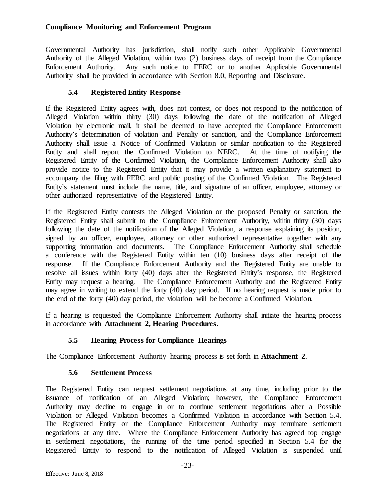Governmental Authority has jurisdiction, shall notify such other Applicable Governmental Authority of the Alleged Violation, within two (2) business days of receipt from the Compliance Enforcement Authority. Any such notice to FERC or to another Applicable Governmental Authority shall be provided in accordance with Section 8.0, Reporting and Disclosure.

# **5.4 Registered Entity Response**

<span id="page-25-0"></span>If the Registered Entity agrees with, does not contest, or does not respond to the notification of Alleged Violation within thirty (30) days following the date of the notification of Alleged Violation by electronic mail, it shall be deemed to have accepted the Compliance Enforcement Authority's determination of violation and Penalty or sanction, and the Compliance Enforcement Authority shall issue a Notice of Confirmed Violation or similar notification to the Registered Entity and shall report the Confirmed Violation to NERC. At the time of notifying the Registered Entity of the Confirmed Violation, the Compliance Enforcement Authority shall also provide notice to the Registered Entity that it may provide a written explanatory statement to accompany the filing with FERC and public posting of the Confirmed Violation. The Registered Entity's statement must include the name, title, and signature of an officer, employee, attorney or other authorized representative of the Registered Entity.

If the Registered Entity contests the Alleged Violation or the proposed Penalty or sanction, the Registered Entity shall submit to the Compliance Enforcement Authority, within thirty (30) days following the date of the notification of the Alleged Violation, a response explaining its position, signed by an officer, employee, attorney or other authorized representative together with any supporting information and documents. The Compliance Enforcement Authority shall schedule a conference with the Registered Entity within ten (10) business days after receipt of the response. If the Compliance Enforcement Authority and the Registered Entity are unable to resolve all issues within forty (40) days after the Registered Entity's response, the Registered Entity may request a hearing. The Compliance Enforcement Authority and the Registered Entity may agree in writing to extend the forty (40) day period. If no hearing request is made prior to the end of the forty (40) day period, the violation will be become a Confirmed Violation.

If a hearing is requested the Compliance Enforcement Authority shall initiate the hearing process in accordance with **Attachment 2, Hearing Procedures**.

# **5.5 Hearing Process for Compliance Hearings**

<span id="page-25-2"></span><span id="page-25-1"></span>The Compliance Enforcement Authority hearing process is set forth in **Attachment 2**.

# **5.6 Settlement Process**

The Registered Entity can request settlement negotiations at any time, including prior to the issuance of notification of an Alleged Violation; however, the Compliance Enforcement Authority may decline to engage in or to continue settlement negotiations after a Possible Violation or Alleged Violation becomes a Confirmed Violation in accordance with Section 5.4. The Registered Entity or the Compliance Enforcement Authority may terminate settlement negotiations at any time. Where the Compliance Enforcement Authority has agreed top engage in settlement negotiations, the running of the time period specified in Section 5.4 for the Registered Entity to respond to the notification of Alleged Violation is suspended until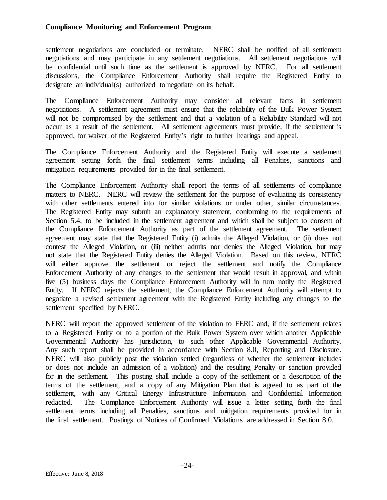settlement negotiations are concluded or terminate. NERC shall be notified of all settlement negotiations and may participate in any settlement negotiations. All settlement negotiations will be confidential until such time as the settlement is approved by NERC. For all settlement discussions, the Compliance Enforcement Authority shall require the Registered Entity to designate an individual(s) authorized to negotiate on its behalf.

The Compliance Enforcement Authority may consider all relevant facts in settlement negotiations. A settlement agreement must ensure that the reliability of the Bulk Power System will not be compromised by the settlement and that a violation of a Reliability Standard will not occur as a result of the settlement. All settlement agreements must provide, if the settlement is approved, for waiver of the Registered Entity's right to further hearings and appeal.

The Compliance Enforcement Authority and the Registered Entity will execute a settlement agreement setting forth the final settlement terms including all Penalties, sanctions and mitigation requirements provided for in the final settlement.

The Compliance Enforcement Authority shall report the terms of all settlements of compliance matters to NERC. NERC will review the settlement for the purpose of evaluating its consistency with other settlements entered into for similar violations or under other, similar circumstances. The Registered Entity may submit an explanatory statement, conforming to the requirements of Section 5.4, to be included in the settlement agreement and which shall be subject to consent of the Compliance Enforcement Authority as part of the settlement agreement. The settlement agreement may state that the Registered Entity (i) admits the Alleged Violation, or (ii) does not contest the Alleged Violation, or (iii) neither admits nor denies the Alleged Violation, but may not state that the Registered Entity denies the Alleged Violation. Based on this review, NERC will either approve the settlement or reject the settlement and notify the Compliance Enforcement Authority of any changes to the settlement that would result in approval, and within five (5) business days the Compliance Enforcement Authority will in turn notify the Registered Entity. If NERC rejects the settlement, the Compliance Enforcement Authority will attempt to negotiate a revised settlement agreement with the Registered Entity including any changes to the settlement specified by NERC.

NERC will report the approved settlement of the violation to FERC and, if the settlement relates to a Registered Entity or to a portion of the Bulk Power System over which another Applicable Governmental Authority has jurisdiction, to such other Applicable Governmental Authority. Any such report shall be provided in accordance with Section 8.0, Reporting and Disclosure. NERC will also publicly post the violation settled (regardless of whether the settlement includes or does not include an admission of a violation) and the resulting Penalty or sanction provided for in the settlement. This posting shall include a copy of the settlement or a description of the terms of the settlement, and a copy of any Mitigation Plan that is agreed to as part of the settlement, with any Critical Energy Infrastructure Information and Confidential Information redacted. The Compliance Enforcement Authority will issue a letter setting forth the final settlement terms including all Penalties, sanctions and mitigation requirements provided for in the final settlement. Postings of Notices of Confirmed Violations are addressed in Section 8.0.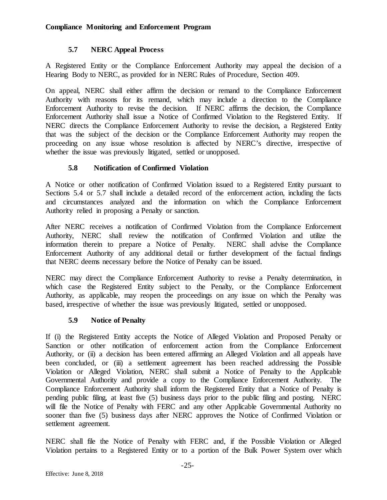## **5.7 NERC Appeal Process**

<span id="page-27-0"></span>A Registered Entity or the Compliance Enforcement Authority may appeal the decision of a Hearing Body to NERC, as provided for in NERC Rules of Procedure, Section 409.

On appeal, NERC shall either affirm the decision or remand to the Compliance Enforcement Authority with reasons for its remand, which may include a direction to the Compliance Enforcement Authority to revise the decision. If NERC affirms the decision, the Compliance Enforcement Authority shall issue a Notice of Confirmed Violation to the Registered Entity. If NERC directs the Compliance Enforcement Authority to revise the decision, a Registered Entity that was the subject of the decision or the Compliance Enforcement Authority may reopen the proceeding on any issue whose resolution is affected by NERC's directive, irrespective of whether the issue was previously litigated, settled or unopposed.

## **5.8 Notification of Confirmed Violation**

<span id="page-27-1"></span>A Notice or other notification of Confirmed Violation issued to a Registered Entity pursuant to Sections 5.4 or 5.7 shall include a detailed record of the enforcement action, including the facts and circumstances analyzed and the information on which the Compliance Enforcement Authority relied in proposing a Penalty or sanction.

After NERC receives a notification of Confirmed Violation from the Compliance Enforcement Authority, NERC shall review the notification of Confirmed Violation and utilize the information therein to prepare a Notice of Penalty. NERC shall advise the Compliance Enforcement Authority of any additional detail or further development of the factual findings that NERC deems necessary before the Notice of Penalty can be issued.

NERC may direct the Compliance Enforcement Authority to revise a Penalty determination, in which case the Registered Entity subject to the Penalty, or the Compliance Enforcement Authority, as applicable, may reopen the proceedings on any issue on which the Penalty was based, irrespective of whether the issue was previously litigated, settled or unopposed.

# **5.9 Notice of Penalty**

<span id="page-27-2"></span>If (i) the Registered Entity accepts the Notice of Alleged Violation and Proposed Penalty or Sanction or other notification of enforcement action from the Compliance Enforcement Authority, or (ii) a decision has been entered affirming an Alleged Violation and all appeals have been concluded, or (iii) a settlement agreement has been reached addressing the Possible Violation or Alleged Violation, NERC shall submit a Notice of Penalty to the Applicable Governmental Authority and provide a copy to the Compliance Enforcement Authority. The Compliance Enforcement Authority shall inform the Registered Entity that a Notice of Penalty is pending public filing, at least five (5) business days prior to the public filing and posting. NERC will file the Notice of Penalty with FERC and any other Applicable Governmental Authority no sooner than five (5) business days after NERC approves the Notice of Confirmed Violation or settlement agreement.

NERC shall file the Notice of Penalty with FERC and, if the Possible Violation or Alleged Violation pertains to a Registered Entity or to a portion of the Bulk Power System over which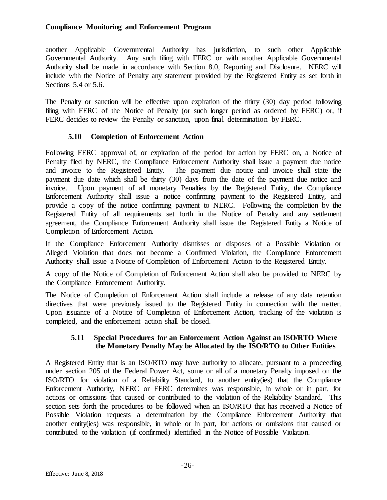another Applicable Governmental Authority has jurisdiction, to such other Applicable Governmental Authority. Any such filing with FERC or with another Applicable Governmental Authority shall be made in accordance with Section 8.0, Reporting and Disclosure. NERC will include with the Notice of Penalty any statement provided by the Registered Entity as set forth in Sections 5.4 or 5.6.

The Penalty or sanction will be effective upon expiration of the thirty (30) day period following filing with FERC of the Notice of Penalty (or such longer period as ordered by FERC) or, if FERC decides to review the Penalty or sanction, upon final determination by FERC.

## **5.10 Completion of Enforcement Action**

<span id="page-28-0"></span>Following FERC approval of, or expiration of the period for action by FERC on, a Notice of Penalty filed by NERC, the Compliance Enforcement Authority shall issue a payment due notice and invoice to the Registered Entity. The payment due notice and invoice shall state the payment due date which shall be thirty (30) days from the date of the payment due notice and invoice. Upon payment of all monetary Penalties by the Registered Entity, the Compliance Enforcement Authority shall issue a notice confirming payment to the Registered Entity, and provide a copy of the notice confirming payment to NERC. Following the completion by the Registered Entity of all requirements set forth in the Notice of Penalty and any settlement agreement, the Compliance Enforcement Authority shall issue the Registered Entity a Notice of Completion of Enforcement Action.

If the Compliance Enforcement Authority dismisses or disposes of a Possible Violation or Alleged Violation that does not become a Confirmed Violation, the Compliance Enforcement Authority shall issue a Notice of Completion of Enforcement Action to the Registered Entity.

A copy of the Notice of Completion of Enforcement Action shall also be provided to NERC by the Compliance Enforcement Authority.

The Notice of Completion of Enforcement Action shall include a release of any data retention directives that were previously issued to the Registered Entity in connection with the matter. Upon issuance of a Notice of Completion of Enforcement Action, tracking of the violation is completed, and the enforcement action shall be closed.

## **5.11 Special Procedures for an Enforcement Action Against an ISO/RTO Where the Monetary Penalty May be Allocated by the ISO/RTO to Other Entities**

<span id="page-28-1"></span>A Registered Entity that is an ISO/RTO may have authority to allocate, pursuant to a proceeding under section 205 of the Federal Power Act, some or all of a monetary Penalty imposed on the ISO/RTO for violation of a Reliability Standard, to another entity(ies) that the Compliance Enforcement Authority, NERC or FERC determines was responsible, in whole or in part, for actions or omissions that caused or contributed to the violation of the Reliability Standard. This section sets forth the procedures to be followed when an ISO/RTO that has received a Notice of Possible Violation requests a determination by the Compliance Enforcement Authority that another entity(ies) was responsible, in whole or in part, for actions or omissions that caused or contributed to the violation (if confirmed) identified in the Notice of Possible Violation.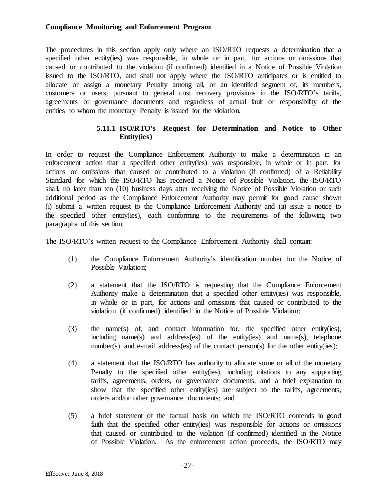The procedures in this section apply only where an ISO/RTO requests a determination that a specified other entity(ies) was responsible, in whole or in part, for actions or omissions that caused or contributed to the violation (if confirmed) identified in a Notice of Possible Violation issued to the ISO/RTO, and shall not apply where the ISO/RTO anticipates or is entitled to allocate or assign a monetary Penalty among all, or an identified segment of, its members, customers or users, pursuant to general cost recovery provisions in the ISO/RTO's tariffs, agreements or governance documents and regardless of actual fault or responsibility of the entities to whom the monetary Penalty is issued for the violation.

#### **5.11.1 ISO/RTO's Request for Determination and Notice to Other Entity(ies)**

In order to request the Compliance Enforcement Authority to make a determination in an enforcement action that a specified other entity(ies) was responsible, in whole or in part, for actions or omissions that caused or contributed to a violation (if confirmed) of a Reliability Standard for which the ISO/RTO has received a Notice of Possible Violation, the ISO/RTO shall, no later than ten (10) business days after receiving the Notice of Possible Violation or such additional period as the Compliance Enforcement Authority may permit for good cause shown (i) submit a written request to the Compliance Enforcement Authority and (ii) issue a notice to the specified other entity(ies), each conforming to the requirements of the following two paragraphs of this section.

The ISO/RTO's written request to the Compliance Enforcement Authority shall contain:

- (1) the Compliance Enforcement Authority's identification number for the Notice of Possible Violation;
- (2) a statement that the ISO/RTO is requesting that the Compliance Enforcement Authority make a determination that a specified other entity(ies) was responsible, in whole or in part, for actions and omissions that caused or contributed to the violation (if confirmed) identified in the Notice of Possible Violation;
- (3) the name(s) of, and contact information for, the specified other entity(ies), including name(s) and address(es) of the entity(ies) and name(s), telephone number(s) and e-mail address(es) of the contact person(s) for the other entity(ies);
- (4) a statement that the ISO/RTO has authority to allocate some or all of the monetary Penalty to the specified other entity(ies), including citations to any supporting tariffs, agreements, orders, or governance documents, and a brief explanation to show that the specified other entity(ies) are subject to the tariffs, agreements, orders and/or other governance documents; and
- (5) a brief statement of the factual basis on which the ISO/RTO contends in good faith that the specified other entity(ies) was responsible for actions or omissions that caused or contributed to the violation (if confirmed) identified in the Notice of Possible Violation. As the enforcement action proceeds, the ISO/RTO may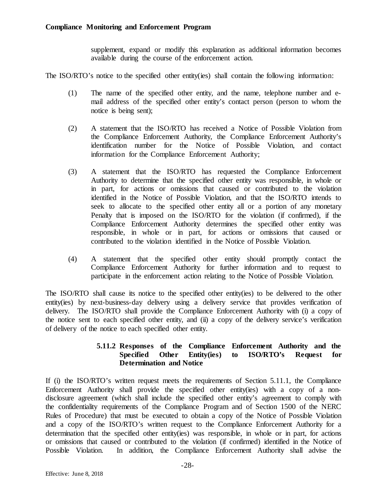supplement, expand or modify this explanation as additional information becomes available during the course of the enforcement action.

The ISO/RTO's notice to the specified other entity(ies) shall contain the following information:

- (1) The name of the specified other entity, and the name, telephone number and email address of the specified other entity's contact person (person to whom the notice is being sent);
- (2) A statement that the ISO/RTO has received a Notice of Possible Violation from the Compliance Enforcement Authority, the Compliance Enforcement Authority's identification number for the Notice of Possible Violation, and contact information for the Compliance Enforcement Authority;
- (3) A statement that the ISO/RTO has requested the Compliance Enforcement Authority to determine that the specified other entity was responsible, in whole or in part, for actions or omissions that caused or contributed to the violation identified in the Notice of Possible Violation, and that the ISO/RTO intends to seek to allocate to the specified other entity all or a portion of any monetary Penalty that is imposed on the ISO/RTO for the violation (if confirmed), if the Compliance Enforcement Authority determines the specified other entity was responsible, in whole or in part, for actions or omissions that caused or contributed to the violation identified in the Notice of Possible Violation.
- (4) A statement that the specified other entity should promptly contact the Compliance Enforcement Authority for further information and to request to participate in the enforcement action relating to the Notice of Possible Violation.

The ISO/RTO shall cause its notice to the specified other entity(ies) to be delivered to the other entity(ies) by next-business-day delivery using a delivery service that provides verification of delivery. The ISO/RTO shall provide the Compliance Enforcement Authority with (i) a copy of the notice sent to each specified other entity, and (ii) a copy of the delivery service's verification of delivery of the notice to each specified other entity.

## **5.11.2 Responses of the Compliance Enforcement Authority and the Specified Other Entity(ies) to ISO/RTO's Request for Determination and Notice**

If (i) the ISO/RTO's written request meets the requirements of Section 5.11.1, the Compliance Enforcement Authority shall provide the specified other entity(ies) with a copy of a nondisclosure agreement (which shall include the specified other entity's agreement to comply with the confidentiality requirements of the Compliance Program and of Section 1500 of the NERC Rules of Procedure) that must be executed to obtain a copy of the Notice of Possible Violation and a copy of the ISO/RTO's written request to the Compliance Enforcement Authority for a determination that the specified other entity(ies) was responsible, in whole or in part, for actions or omissions that caused or contributed to the violation (if confirmed) identified in the Notice of Possible Violation. In addition, the Compliance Enforcement Authority shall advise the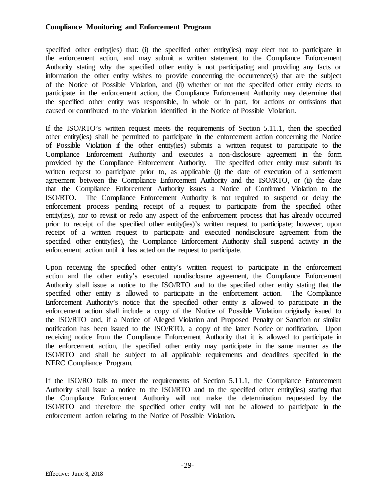specified other entity(ies) that: (i) the specified other entity(ies) may elect not to participate in the enforcement action, and may submit a written statement to the Compliance Enforcement Authority stating why the specified other entity is not participating and providing any facts or information the other entity wishes to provide concerning the occurrence(s) that are the subject of the Notice of Possible Violation, and (ii) whether or not the specified other entity elects to participate in the enforcement action, the Compliance Enforcement Authority may determine that the specified other entity was responsible, in whole or in part, for actions or omissions that caused or contributed to the violation identified in the Notice of Possible Violation.

If the ISO/RTO's written request meets the requirements of Section 5.11.1, then the specified other entity(ies) shall be permitted to participate in the enforcement action concerning the Notice of Possible Violation if the other entity(ies) submits a written request to participate to the Compliance Enforcement Authority and executes a non-disclosure agreement in the form provided by the Compliance Enforcement Authority. The specified other entity must submit its written request to participate prior to, as applicable (i) the date of execution of a settlement agreement between the Compliance Enforcement Authority and the ISO/RTO, or (ii) the date that the Compliance Enforcement Authority issues a Notice of Confirmed Violation to the ISO/RTO. The Compliance Enforcement Authority is not required to suspend or delay the enforcement process pending receipt of a request to participate from the specified other entity(ies), nor to revisit or redo any aspect of the enforcement process that has already occurred prior to receipt of the specified other entity(ies)'s written request to participate; however, upon receipt of a written request to participate and executed nondisclosure agreement from the specified other entity(ies), the Compliance Enforcement Authority shall suspend activity in the enforcement action until it has acted on the request to participate.

Upon receiving the specified other entity's written request to participate in the enforcement action and the other entity's executed nondisclosure agreement, the Compliance Enforcement Authority shall issue a notice to the ISO/RTO and to the specified other entity stating that the specified other entity is allowed to participate in the enforcement action. The Compliance Enforcement Authority's notice that the specified other entity is allowed to participate in the enforcement action shall include a copy of the Notice of Possible Violation originally issued to the ISO/RTO and, if a Notice of Alleged Violation and Proposed Penalty or Sanction or similar notification has been issued to the ISO/RTO, a copy of the latter Notice or notification. Upon receiving notice from the Compliance Enforcement Authority that it is allowed to participate in the enforcement action, the specified other entity may participate in the same manner as the ISO/RTO and shall be subject to all applicable requirements and deadlines specified in the NERC Compliance Program.

If the ISO/RO fails to meet the requirements of Section 5.11.1, the Compliance Enforcement Authority shall issue a notice to the ISO/RTO and to the specified other entity(ies) stating that the Compliance Enforcement Authority will not make the determination requested by the ISO/RTO and therefore the specified other entity will not be allowed to participate in the enforcement action relating to the Notice of Possible Violation.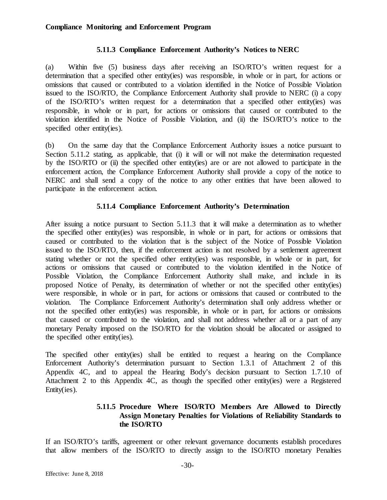#### **5.11.3 Compliance Enforcement Authority's Notices to NERC**

(a) Within five (5) business days after receiving an ISO/RTO's written request for a determination that a specified other entity(ies) was responsible, in whole or in part, for actions or omissions that caused or contributed to a violation identified in the Notice of Possible Violation issued to the ISO/RTO, the Compliance Enforcement Authority shall provide to NERC (i) a copy of the ISO/RTO's written request for a determination that a specified other entity(ies) was responsible, in whole or in part, for actions or omissions that caused or contributed to the violation identified in the Notice of Possible Violation, and (ii) the ISO/RTO's notice to the specified other entity(ies).

(b) On the same day that the Compliance Enforcement Authority issues a notice pursuant to Section 5.11.2 stating, as applicable, that (i) it will or will not make the determination requested by the ISO/RTO or (ii) the specified other entity(ies) are or are not allowed to participate in the enforcement action, the Compliance Enforcement Authority shall provide a copy of the notice to NERC and shall send a copy of the notice to any other entities that have been allowed to participate in the enforcement action.

## **5.11.4 Compliance Enforcement Authority's Determination**

After issuing a notice pursuant to Section 5.11.3 that it will make a determination as to whether the specified other entity(ies) was responsible, in whole or in part, for actions or omissions that caused or contributed to the violation that is the subject of the Notice of Possible Violation issued to the ISO/RTO, then, if the enforcement action is not resolved by a settlement agreement stating whether or not the specified other entity(ies) was responsible, in whole or in part, for actions or omissions that caused or contributed to the violation identified in the Notice of Possible Violation, the Compliance Enforcement Authority shall make, and include in its proposed Notice of Penalty, its determination of whether or not the specified other entity(ies) were responsible, in whole or in part, for actions or omissions that caused or contributed to the violation. The Compliance Enforcement Authority's determination shall only address whether or not the specified other entity(ies) was responsible, in whole or in part, for actions or omissions that caused or contributed to the violation, and shall not address whether all or a part of any monetary Penalty imposed on the ISO/RTO for the violation should be allocated or assigned to the specified other entity(ies).

The specified other entity(ies) shall be entitled to request a hearing on the Compliance Enforcement Authority's determination pursuant to Section 1.3.1 of Attachment 2 of this Appendix 4C, and to appeal the Hearing Body's decision pursuant to Section 1.7.10 of Attachment 2 to this Appendix 4C, as though the specified other entity(ies) were a Registered Entity(ies).

## **5.11.5 Procedure Where ISO/RTO Members Are Allowed to Directly Assign Monetary Penalties for Violations of Reliability Standards to the ISO/RTO**

If an ISO/RTO's tariffs, agreement or other relevant governance documents establish procedures that allow members of the ISO/RTO to directly assign to the ISO/RTO monetary Penalties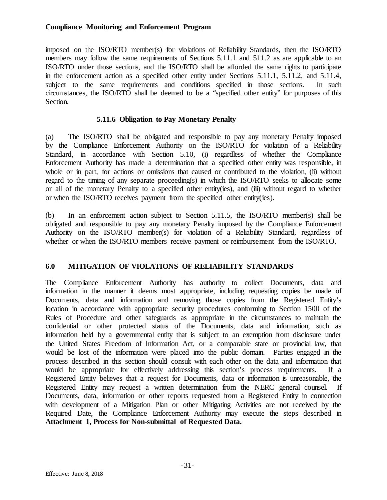imposed on the ISO/RTO member(s) for violations of Reliability Standards, then the ISO/RTO members may follow the same requirements of Sections 5.11.1 and 511.2 as are applicable to an ISO/RTO under those sections, and the ISO/RTO shall be afforded the same rights to participate in the enforcement action as a specified other entity under Sections 5.11.1, 5.11.2, and 5.11.4, subject to the same requirements and conditions specified in those sections. In such circumstances, the ISO/RTO shall be deemed to be a "specified other entity" for purposes of this Section.

## **5.11.6 Obligation to Pay Monetary Penalty**

(a) The ISO/RTO shall be obligated and responsible to pay any monetary Penalty imposed by the Compliance Enforcement Authority on the ISO/RTO for violation of a Reliability Standard, in accordance with Section 5.10, (i) regardless of whether the Compliance Enforcement Authority has made a determination that a specified other entity was responsible, in whole or in part, for actions or omissions that caused or contributed to the violation, (ii) without regard to the timing of any separate proceeding(s) in which the ISO/RTO seeks to allocate some or all of the monetary Penalty to a specified other entity(ies), and (iii) without regard to whether or when the ISO/RTO receives payment from the specified other entity(ies).

(b) In an enforcement action subject to Section 5.11.5, the ISO/RTO member(s) shall be obligated and responsible to pay any monetary Penalty imposed by the Compliance Enforcement Authority on the ISO/RTO member(s) for violation of a Reliability Standard, regardless of whether or when the ISO/RTO members receive payment or reimbursement from the ISO/RTO.

# <span id="page-33-0"></span>**6.0 MITIGATION OF VIOLATIONS OF RELIABILITY STANDARDS**

The Compliance Enforcement Authority has authority to collect Documents, data and information in the manner it deems most appropriate, including requesting copies be made of Documents, data and information and removing those copies from the Registered Entity's location in accordance with appropriate security procedures conforming to Section 1500 of the Rules of Procedure and other safeguards as appropriate in the circumstances to maintain the confidential or other protected status of the Documents, data and information, such as information held by a governmental entity that is subject to an exemption from disclosure under the United States Freedom of Information Act, or a comparable state or provincial law, that would be lost of the information were placed into the public domain. Parties engaged in the process described in this section should consult with each other on the data and information that would be appropriate for effectively addressing this section's process requirements. If a Registered Entity believes that a request for Documents, data or information is unreasonable, the Registered Entity may request a written determination from the NERC general counsel. If Documents, data, information or other reports requested from a Registered Entity in connection with development of a Mitigation Plan or other Mitigating Activities are not received by the Required Date, the Compliance Enforcement Authority may execute the steps described in **Attachment 1, Process for Non-submittal of Requested Data.**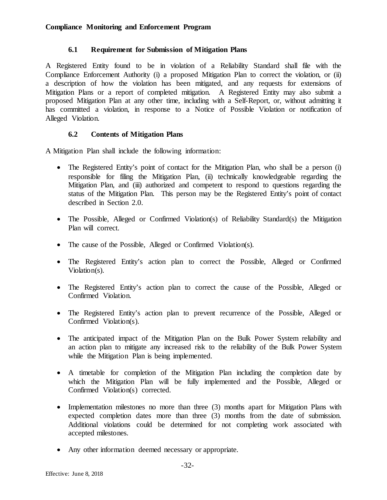## **6.1 Requirement for Submission of Mitigation Plans**

<span id="page-34-0"></span>A Registered Entity found to be in violation of a Reliability Standard shall file with the Compliance Enforcement Authority (i) a proposed Mitigation Plan to correct the violation, or (ii) a description of how the violation has been mitigated, and any requests for extensions of Mitigation Plans or a report of completed mitigation. A Registered Entity may also submit a proposed Mitigation Plan at any other time, including with a Self-Report, or, without admitting it has committed a violation, in response to a Notice of Possible Violation or notification of Alleged Violation.

# **6.2 Contents of Mitigation Plans**

<span id="page-34-1"></span>A Mitigation Plan shall include the following information:

- The Registered Entity's point of contact for the Mitigation Plan, who shall be a person (i) responsible for filing the Mitigation Plan, (ii) technically knowledgeable regarding the Mitigation Plan, and (iii) authorized and competent to respond to questions regarding the status of the Mitigation Plan. This person may be the Registered Entity's point of contact described in Section 2.0.
- The Possible, Alleged or Confirmed Violation(s) of Reliability Standard(s) the Mitigation Plan will correct.
- The cause of the Possible, Alleged or Confirmed Violation(s).
- The Registered Entity's action plan to correct the Possible, Alleged or Confirmed Violation(s).
- The Registered Entity's action plan to correct the cause of the Possible, Alleged or Confirmed Violation.
- The Registered Entity's action plan to prevent recurrence of the Possible, Alleged or Confirmed Violation(s).
- The anticipated impact of the Mitigation Plan on the Bulk Power System reliability and an action plan to mitigate any increased risk to the reliability of the Bulk Power System while the Mitigation Plan is being implemented.
- A timetable for completion of the Mitigation Plan including the completion date by which the Mitigation Plan will be fully implemented and the Possible, Alleged or Confirmed Violation(s) corrected.
- Implementation milestones no more than three (3) months apart for Mitigation Plans with expected completion dates more than three (3) months from the date of submission. Additional violations could be determined for not completing work associated with accepted milestones.
- Any other information deemed necessary or appropriate.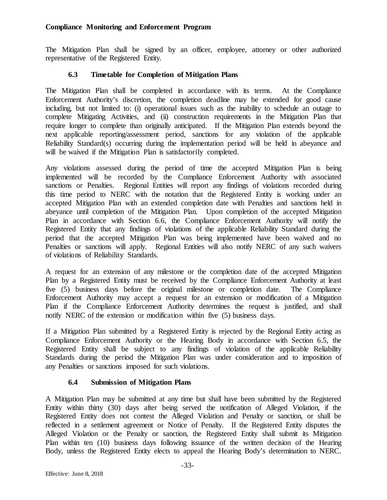The Mitigation Plan shall be signed by an officer, employee, attorney or other authorized representative of the Registered Entity.

# **6.3 Timetable for Completion of Mitigation Plans**

<span id="page-35-0"></span>The Mitigation Plan shall be completed in accordance with its terms. At the Compliance Enforcement Authority's discretion, the completion deadline may be extended for good cause including, but not limited to: (i) operational issues such as the inability to schedule an outage to complete Mitigating Activities, and (ii) construction requirements in the Mitigation Plan that require longer to complete than originally anticipated. If the Mitigation Plan extends beyond the next applicable reporting/assessment period, sanctions for any violation of the applicable Reliability Standard(s) occurring during the implementation period will be held in abeyance and will be waived if the Mitigation Plan is satisfactorily completed.

Any violations assessed during the period of time the accepted Mitigation Plan is being implemented will be recorded by the Compliance Enforcement Authority with associated sanctions or Penalties. Regional Entities will report any findings of violations recorded during this time period to NERC with the notation that the Registered Entity is working under an accepted Mitigation Plan with an extended completion date with Penalties and sanctions held in abeyance until completion of the Mitigation Plan. Upon completion of the accepted Mitigation Plan in accordance with Section 6.6, the Compliance Enforcement Authority will notify the Registered Entity that any findings of violations of the applicable Reliability Standard during the period that the accepted Mitigation Plan was being implemented have been waived and no Penalties or sanctions will apply. Regional Entities will also notify NERC of any such waivers of violations of Reliability Standards.

A request for an extension of any milestone or the completion date of the accepted Mitigation Plan by a Registered Entity must be received by the Compliance Enforcement Authority at least five (5) business days before the original milestone or completion date. The Compliance Enforcement Authority may accept a request for an extension or modification of a Mitigation Plan if the Compliance Enforcement Authority determines the request is justified, and shall notify NERC of the extension or modification within five (5) business days.

If a Mitigation Plan submitted by a Registered Entity is rejected by the Regional Entity acting as Compliance Enforcement Authority or the Hearing Body in accordance with Section 6.5, the Registered Entity shall be subject to any findings of violation of the applicable Reliability Standards during the period the Mitigation Plan was under consideration and to imposition of any Penalties or sanctions imposed for such violations.

# **6.4 Submission of Mitigation Plans**

<span id="page-35-1"></span>A Mitigation Plan may be submitted at any time but shall have been submitted by the Registered Entity within thirty (30) days after being served the notification of Alleged Violation, if the Registered Entity does not contest the Alleged Violation and Penalty or sanction, or shall be reflected in a settlement agreement or Notice of Penalty. If the Registered Entity disputes the Alleged Violation or the Penalty or sanction, the Registered Entity shall submit its Mitigation Plan within ten (10) business days following issuance of the written decision of the Hearing Body, unless the Registered Entity elects to appeal the Hearing Body's determination to NERC.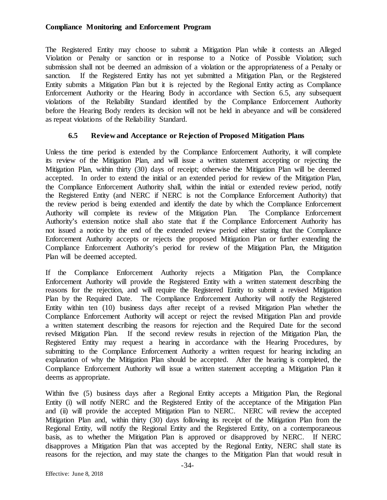The Registered Entity may choose to submit a Mitigation Plan while it contests an Alleged Violation or Penalty or sanction or in response to a Notice of Possible Violation; such submission shall not be deemed an admission of a violation or the appropriateness of a Penalty or sanction. If the Registered Entity has not yet submitted a Mitigation Plan, or the Registered Entity submits a Mitigation Plan but it is rejected by the Regional Entity acting as Compliance Enforcement Authority or the Hearing Body in accordance with Section 6.5, any subsequent violations of the Reliability Standard identified by the Compliance Enforcement Authority before the Hearing Body renders its decision will not be held in abeyance and will be considered as repeat violations of the Reliability Standard.

### **6.5 Review and Acceptance or Rejection of Proposed Mitigation Plans**

Unless the time period is extended by the Compliance Enforcement Authority, it will complete its review of the Mitigation Plan, and will issue a written statement accepting or rejecting the Mitigation Plan, within thirty (30) days of receipt; otherwise the Mitigation Plan will be deemed accepted. In order to extend the initial or an extended period for review of the Mitigation Plan, the Compliance Enforcement Authority shall, within the initial or extended review period, notify the Registered Entity (and NERC if NERC is not the Compliance Enforcement Authority) that the review period is being extended and identify the date by which the Compliance Enforcement Authority will complete its review of the Mitigation Plan. The Compliance Enforcement Authority's extension notice shall also state that if the Compliance Enforcement Authority has not issued a notice by the end of the extended review period either stating that the Compliance Enforcement Authority accepts or rejects the proposed Mitigation Plan or further extending the Compliance Enforcement Authority's period for review of the Mitigation Plan, the Mitigation Plan will be deemed accepted.

If the Compliance Enforcement Authority rejects a Mitigation Plan, the Compliance Enforcement Authority will provide the Registered Entity with a written statement describing the reasons for the rejection, and will require the Registered Entity to submit a revised Mitigation Plan by the Required Date. The Compliance Enforcement Authority will notify the Registered Entity within ten (10) business days after receipt of a revised Mitigation Plan whether the Compliance Enforcement Authority will accept or reject the revised Mitigation Plan and provide a written statement describing the reasons for rejection and the Required Date for the second revised Mitigation Plan. If the second review results in rejection of the Mitigation Plan, the Registered Entity may request a hearing in accordance with the Hearing Procedures, by submitting to the Compliance Enforcement Authority a written request for hearing including an explanation of why the Mitigation Plan should be accepted. After the hearing is completed, the Compliance Enforcement Authority will issue a written statement accepting a Mitigation Plan it deems as appropriate.

Within five (5) business days after a Regional Entity accepts a Mitigation Plan, the Regional Entity (i) will notify NERC and the Registered Entity of the acceptance of the Mitigation Plan and (ii) will provide the accepted Mitigation Plan to NERC. NERC will review the accepted Mitigation Plan and, within thirty (30) days following its receipt of the Mitigation Plan from the Regional Entity, will notify the Regional Entity and the Registered Entity, on a contemporaneous basis, as to whether the Mitigation Plan is approved or disapproved by NERC. If NERC disapproves a Mitigation Plan that was accepted by the Regional Entity, NERC shall state its reasons for the rejection, and may state the changes to the Mitigation Plan that would result in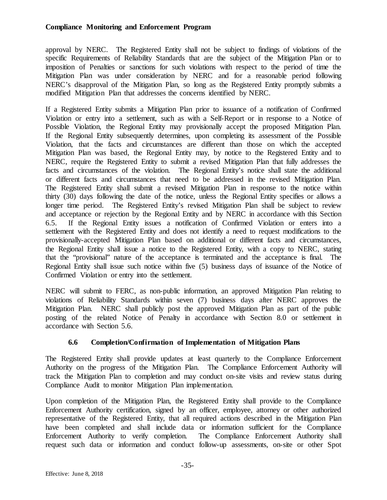approval by NERC. The Registered Entity shall not be subject to findings of violations of the specific Requirements of Reliability Standards that are the subject of the Mitigation Plan or to imposition of Penalties or sanctions for such violations with respect to the period of time the Mitigation Plan was under consideration by NERC and for a reasonable period following NERC's disapproval of the Mitigation Plan, so long as the Registered Entity promptly submits a modified Mitigation Plan that addresses the concerns identified by NERC.

If a Registered Entity submits a Mitigation Plan prior to issuance of a notification of Confirmed Violation or entry into a settlement, such as with a Self-Report or in response to a Notice of Possible Violation, the Regional Entity may provisionally accept the proposed Mitigation Plan. If the Regional Entity subsequently determines, upon completing its assessment of the Possible Violation, that the facts and circumstances are different than those on which the accepted Mitigation Plan was based, the Regional Entity may, by notice to the Registered Entity and to NERC, require the Registered Entity to submit a revised Mitigation Plan that fully addresses the facts and circumstances of the violation. The Regional Entity's notice shall state the additional or different facts and circumstances that need to be addressed in the revised Mitigation Plan. The Registered Entity shall submit a revised Mitigation Plan in response to the notice within thirty (30) days following the date of the notice, unless the Regional Entity specifies or allows a longer time period. The Registered Entity's revised Mitigation Plan shall be subject to review and acceptance or rejection by the Regional Entity and by NERC in accordance with this Section 6.5. If the Regional Entity issues a notification of Confirmed Violation or enters into a settlement with the Registered Entity and does not identify a need to request modifications to the provisionally-accepted Mitigation Plan based on additional or different facts and circumstances, the Regional Entity shall issue a notice to the Registered Entity, with a copy to NERC, stating that the "provisional" nature of the acceptance is terminated and the acceptance is final. The Regional Entity shall issue such notice within five (5) business days of issuance of the Notice of Confirmed Violation or entry into the settlement.

NERC will submit to FERC, as non-public information, an approved Mitigation Plan relating to violations of Reliability Standards within seven (7) business days after NERC approves the Mitigation Plan. NERC shall publicly post the approved Mitigation Plan as part of the public posting of the related Notice of Penalty in accordance with Section 8.0 or settlement in accordance with Section 5.6.

## **6.6 Completion/Confirmation of Implementation of Mitigation Plans**

The Registered Entity shall provide updates at least quarterly to the Compliance Enforcement Authority on the progress of the Mitigation Plan. The Compliance Enforcement Authority will track the Mitigation Plan to completion and may conduct on-site visits and review status during Compliance Audit to monitor Mitigation Plan implementation.

Upon completion of the Mitigation Plan, the Registered Entity shall provide to the Compliance Enforcement Authority certification, signed by an officer, employee, attorney or other authorized representative of the Registered Entity, that all required actions described in the Mitigation Plan have been completed and shall include data or information sufficient for the Compliance Enforcement Authority to verify completion. The Compliance Enforcement Authority shall request such data or information and conduct follow-up assessments, on-site or other Spot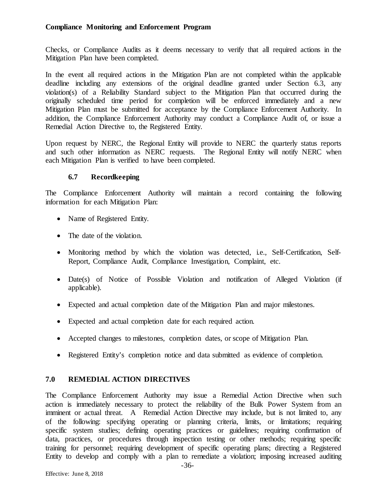Checks, or Compliance Audits as it deems necessary to verify that all required actions in the Mitigation Plan have been completed.

In the event all required actions in the Mitigation Plan are not completed within the applicable deadline including any extensions of the original deadline granted under Section 6.3, any violation(s) of a Reliability Standard subject to the Mitigation Plan that occurred during the originally scheduled time period for completion will be enforced immediately and a new Mitigation Plan must be submitted for acceptance by the Compliance Enforcement Authority. In addition, the Compliance Enforcement Authority may conduct a Compliance Audit of, or issue a Remedial Action Directive to, the Registered Entity.

Upon request by NERC, the Regional Entity will provide to NERC the quarterly status reports and such other information as NERC requests. The Regional Entity will notify NERC when each Mitigation Plan is verified to have been completed.

### **6.7 Recordkeeping**

The Compliance Enforcement Authority will maintain a record containing the following information for each Mitigation Plan:

- Name of Registered Entity.
- The date of the violation.
- Monitoring method by which the violation was detected, i.e., Self-Certification, Self-Report, Compliance Audit, Compliance Investigation, Complaint, etc.
- Date(s) of Notice of Possible Violation and notification of Alleged Violation (if applicable).
- Expected and actual completion date of the Mitigation Plan and major milestones.
- Expected and actual completion date for each required action.
- Accepted changes to milestones, completion dates, or scope of Mitigation Plan.
- Registered Entity's completion notice and data submitted as evidence of completion.

## **7.0 REMEDIAL ACTION DIRECTIVES**

The Compliance Enforcement Authority may issue a Remedial Action Directive when such action is immediately necessary to protect the reliability of the Bulk Power System from an imminent or actual threat. A Remedial Action Directive may include, but is not limited to, any of the following: specifying operating or planning criteria, limits, or limitations; requiring specific system studies; defining operating practices or guidelines; requiring confirmation of data, practices, or procedures through inspection testing or other methods; requiring specific training for personnel; requiring development of specific operating plans; directing a Registered Entity to develop and comply with a plan to remediate a violation; imposing increased auditing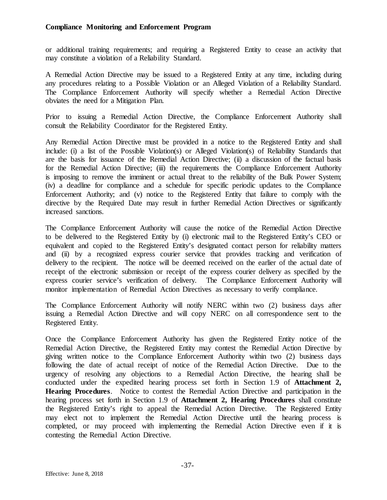or additional training requirements; and requiring a Registered Entity to cease an activity that may constitute a violation of a Reliability Standard.

A Remedial Action Directive may be issued to a Registered Entity at any time, including during any procedures relating to a Possible Violation or an Alleged Violation of a Reliability Standard. The Compliance Enforcement Authority will specify whether a Remedial Action Directive obviates the need for a Mitigation Plan.

Prior to issuing a Remedial Action Directive, the Compliance Enforcement Authority shall consult the Reliability Coordinator for the Registered Entity.

Any Remedial Action Directive must be provided in a notice to the Registered Entity and shall include: (i) a list of the Possible Violation(s) or Alleged Violation(s) of Reliability Standards that are the basis for issuance of the Remedial Action Directive; (ii) a discussion of the factual basis for the Remedial Action Directive; (iii) the requirements the Compliance Enforcement Authority is imposing to remove the imminent or actual threat to the reliability of the Bulk Power System; (iv) a deadline for compliance and a schedule for specific periodic updates to the Compliance Enforcement Authority; and (v) notice to the Registered Entity that failure to comply with the directive by the Required Date may result in further Remedial Action Directives or significantly increased sanctions.

The Compliance Enforcement Authority will cause the notice of the Remedial Action Directive to be delivered to the Registered Entity by (i) electronic mail to the Registered Entity's CEO or equivalent and copied to the Registered Entity's designated contact person for reliability matters and (ii) by a recognized express courier service that provides tracking and verification of delivery to the recipient. The notice will be deemed received on the earlier of the actual date of receipt of the electronic submission or receipt of the express courier delivery as specified by the express courier service's verification of delivery. The Compliance Enforcement Authority will monitor implementation of Remedial Action Directives as necessary to verify compliance.

The Compliance Enforcement Authority will notify NERC within two (2) business days after issuing a Remedial Action Directive and will copy NERC on all correspondence sent to the Registered Entity.

Once the Compliance Enforcement Authority has given the Registered Entity notice of the Remedial Action Directive, the Registered Entity may contest the Remedial Action Directive by giving written notice to the Compliance Enforcement Authority within two (2) business days following the date of actual receipt of notice of the Remedial Action Directive. Due to the urgency of resolving any objections to a Remedial Action Directive, the hearing shall be conducted under the expedited hearing process set forth in Section 1.9 of **Attachment 2, Hearing Procedures**. Notice to contest the Remedial Action Directive and participation in the hearing process set forth in Section 1.9 of **Attachment 2, Hearing Procedures** shall constitute the Registered Entity's right to appeal the Remedial Action Directive. The Registered Entity may elect not to implement the Remedial Action Directive until the hearing process is completed, or may proceed with implementing the Remedial Action Directive even if it is contesting the Remedial Action Directive.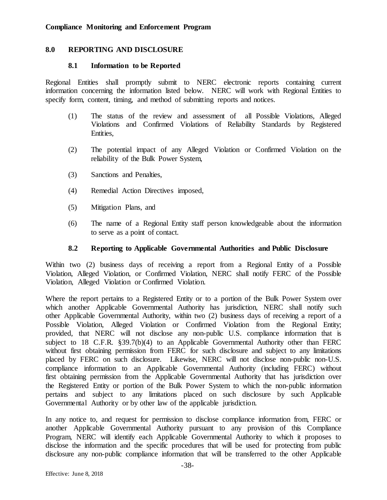#### **8.0 REPORTING AND DISCLOSURE**

#### **8.1 Information to be Reported**

Regional Entities shall promptly submit to NERC electronic reports containing current information concerning the information listed below. NERC will work with Regional Entities to specify form, content, timing, and method of submitting reports and notices.

- (1) The status of the review and assessment of all Possible Violations, Alleged Violations and Confirmed Violations of Reliability Standards by Registered Entities,
- (2) The potential impact of any Alleged Violation or Confirmed Violation on the reliability of the Bulk Power System,
- (3) Sanctions and Penalties,
- (4) Remedial Action Directives imposed,
- (5) Mitigation Plans, and
- (6) The name of a Regional Entity staff person knowledgeable about the information to serve as a point of contact.

#### **8.2 Reporting to Applicable Governmental Authorities and Public Disclosure**

Within two (2) business days of receiving a report from a Regional Entity of a Possible Violation, Alleged Violation, or Confirmed Violation, NERC shall notify FERC of the Possible Violation, Alleged Violation or Confirmed Violation.

Where the report pertains to a Registered Entity or to a portion of the Bulk Power System over which another Applicable Governmental Authority has jurisdiction, NERC shall notify such other Applicable Governmental Authority, within two (2) business days of receiving a report of a Possible Violation, Alleged Violation or Confirmed Violation from the Regional Entity; provided, that NERC will not disclose any non-public U.S. compliance information that is subject to 18 C.F.R. §39.7(b)(4) to an Applicable Governmental Authority other than FERC without first obtaining permission from FERC for such disclosure and subject to any limitations placed by FERC on such disclosure. Likewise, NERC will not disclose non-public non-U.S. compliance information to an Applicable Governmental Authority (including FERC) without first obtaining permission from the Applicable Governmental Authority that has jurisdiction over the Registered Entity or portion of the Bulk Power System to which the non-public information pertains and subject to any limitations placed on such disclosure by such Applicable Governmental Authority or by other law of the applicable jurisdiction.

In any notice to, and request for permission to disclose compliance information from, FERC or another Applicable Governmental Authority pursuant to any provision of this Compliance Program, NERC will identify each Applicable Governmental Authority to which it proposes to disclose the information and the specific procedures that will be used for protecting from public disclosure any non-public compliance information that will be transferred to the other Applicable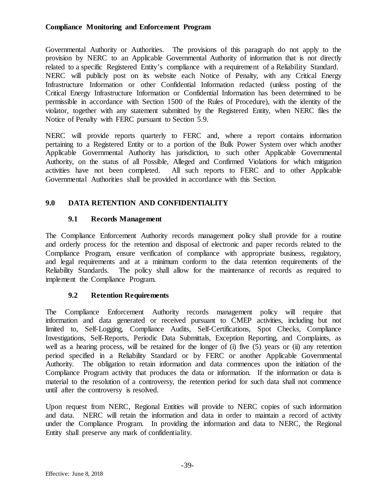Governmental Authority or Authorities. The provisions of this paragraph do not apply to the provision by NERC to an Applicable Governmental Authority of information that is not directly related to a specific Registered Entity's compliance with a requirement of a Reliability Standard. NERC will publicly post on its website each Notice of Penalty, with any Critical Energy Infrastructure Information or other Confidential Information redacted (unless posting of the Critical Energy Infrastructure Information or Confidential Information has been determined to be permissible in accordance with Section 1500 of the Rules of Procedure), with the identity of the violator, together with any statement submitted by the Registered Entity, when NERC files the Notice of Penalty with FERC pursuant to Section 5.9.

NERC will provide reports quarterly to FERC and, where a report contains information pertaining to a Registered Entity or to a portion of the Bulk Power System over which another Applicable Governmental Authority has jurisdiction, to such other Applicable Governmental Authority, on the status of all Possible, Alleged and Confirmed Violations for which mitigation activities have not been completed. All such reports to FERC and to other Applicable Governmental Authorities shall be provided in accordance with this Section.

# **9.0 DATA RETENTION AND CONFIDENTIALITY**

## **9.1 Records Management**

The Compliance Enforcement Authority records management policy shall provide for a routine and orderly process for the retention and disposal of electronic and paper records related to the Compliance Program, ensure verification of compliance with appropriate business, regulatory, and legal requirements and at a minimum conform to the data retention requirements of the Reliability Standards. The policy shall allow for the maintenance of records as required to implement the Compliance Program.

## **9.2 Retention Requirements**

The Compliance Enforcement Authority records management policy will require that information and data generated or received pursuant to CMEP activities, including but not limited to, Self-Logging, Compliance Audits, Self-Certifications, Spot Checks, Compliance Investigations, Self-Reports, Periodic Data Submittals, Exception Reporting, and Complaints, as well as a hearing process, will be retained for the longer of (i) five (5) years or (ii) any retention period specified in a Reliability Standard or by FERC or another Applicable Governmental Authority. The obligation to retain information and data commences upon the initiation of the Compliance Program activity that produces the data or information. If the information or data is material to the resolution of a controversy, the retention period for such data shall not commence until after the controversy is resolved.

Upon request from NERC, Regional Entities will provide to NERC copies of such information and data. NERC will retain the information and data in order to maintain a record of activity under the Compliance Program. In providing the information and data to NERC, the Regional Entity shall preserve any mark of confidentiality.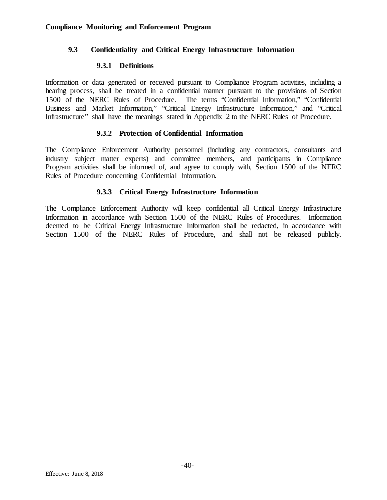### **9.3 Confidentiality and Critical Energy Infrastructure Information**

#### **9.3.1 Definitions**

Information or data generated or received pursuant to Compliance Program activities, including a hearing process, shall be treated in a confidential manner pursuant to the provisions of Section 1500 of the NERC Rules of Procedure. The terms "Confidential Information," "Confidential Business and Market Information," "Critical Energy Infrastructure Information," and "Critical Infrastructure" shall have the meanings stated in Appendix 2 to the NERC Rules of Procedure.

### **9.3.2 Protection of Confidential Information**

The Compliance Enforcement Authority personnel (including any contractors, consultants and industry subject matter experts) and committee members, and participants in Compliance Program activities shall be informed of, and agree to comply with, Section 1500 of the NERC Rules of Procedure concerning Confidential Information.

### **9.3.3 Critical Energy Infrastructure Information**

The Compliance Enforcement Authority will keep confidential all Critical Energy Infrastructure Information in accordance with Section 1500 of the NERC Rules of Procedures. Information deemed to be Critical Energy Infrastructure Information shall be redacted, in accordance with Section 1500 of the NERC Rules of Procedure, and shall not be released publicly.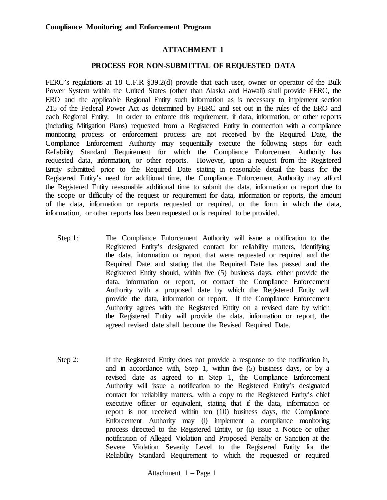#### **ATTACHMENT 1**

#### **PROCESS FOR NON-SUBMITTAL OF REQUESTED DATA**

FERC's regulations at 18 C.F.R §39.2(d) provide that each user, owner or operator of the Bulk Power System within the United States (other than Alaska and Hawaii) shall provide FERC, the ERO and the applicable Regional Entity such information as is necessary to implement section 215 of the Federal Power Act as determined by FERC and set out in the rules of the ERO and each Regional Entity. In order to enforce this requirement, if data, information, or other reports (including Mitigation Plans) requested from a Registered Entity in connection with a compliance monitoring process or enforcement process are not received by the Required Date, the Compliance Enforcement Authority may sequentially execute the following steps for each Reliability Standard Requirement for which the Compliance Enforcement Authority has requested data, information, or other reports. However, upon a request from the Registered Entity submitted prior to the Required Date stating in reasonable detail the basis for the Registered Entity's need for additional time, the Compliance Enforcement Authority may afford the Registered Entity reasonable additional time to submit the data, information or report due to the scope or difficulty of the request or requirement for data, information or reports, the amount of the data, information or reports requested or required, or the form in which the data, information, or other reports has been requested or is required to be provided.

- Step 1: The Compliance Enforcement Authority will issue a notification to the Registered Entity's designated contact for reliability matters, identifying the data, information or report that were requested or required and the Required Date and stating that the Required Date has passed and the Registered Entity should, within five (5) business days, either provide the data, information or report, or contact the Compliance Enforcement Authority with a proposed date by which the Registered Entity will provide the data, information or report. If the Compliance Enforcement Authority agrees with the Registered Entity on a revised date by which the Registered Entity will provide the data, information or report, the agreed revised date shall become the Revised Required Date.
- Step 2: If the Registered Entity does not provide a response to the notification in, and in accordance with, Step 1, within five (5) business days, or by a revised date as agreed to in Step 1, the Compliance Enforcement Authority will issue a notification to the Registered Entity's designated contact for reliability matters, with a copy to the Registered Entity's chief executive officer or equivalent, stating that if the data, information or report is not received within ten (10) business days, the Compliance Enforcement Authority may (i) implement a compliance monitoring process directed to the Registered Entity, or (ii) issue a Notice or other notification of Alleged Violation and Proposed Penalty or Sanction at the Severe Violation Severity Level to the Registered Entity for the Reliability Standard Requirement to which the requested or required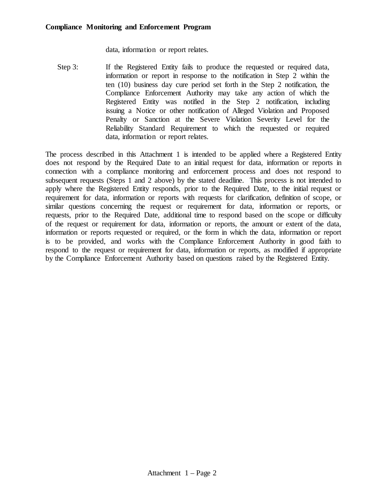data, information or report relates.

Step 3: If the Registered Entity fails to produce the requested or required data, information or report in response to the notification in Step 2 within the ten (10) business day cure period set forth in the Step 2 notification, the Compliance Enforcement Authority may take any action of which the Registered Entity was notified in the Step 2 notification, including issuing a Notice or other notification of Alleged Violation and Proposed Penalty or Sanction at the Severe Violation Severity Level for the Reliability Standard Requirement to which the requested or required data, information or report relates.

The process described in this Attachment 1 is intended to be applied where a Registered Entity does not respond by the Required Date to an initial request for data, information or reports in connection with a compliance monitoring and enforcement process and does not respond to subsequent requests (Steps 1 and 2 above) by the stated deadline. This process is not intended to apply where the Registered Entity responds, prior to the Required Date, to the initial request or requirement for data, information or reports with requests for clarification, definition of scope, or similar questions concerning the request or requirement for data, information or reports, or requests, prior to the Required Date, additional time to respond based on the scope or difficulty of the request or requirement for data, information or reports, the amount or extent of the data, information or reports requested or required, or the form in which the data, information or report is to be provided, and works with the Compliance Enforcement Authority in good faith to respond to the request or requirement for data, information or reports, as modified if appropriate by the Compliance Enforcement Authority based on questions raised by the Registered Entity.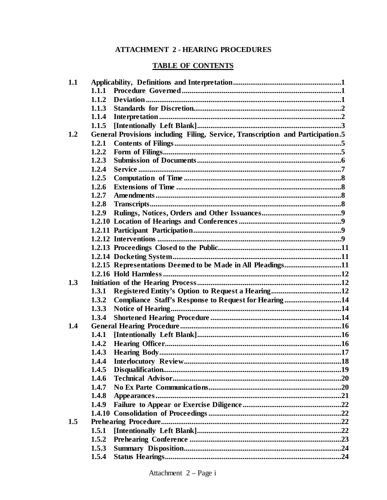# **ATTACHMENT 2 - HEARING PROCEDURES**

# **TABLE OF CONTENTS**

| 1.1 |                                                                                 |  |
|-----|---------------------------------------------------------------------------------|--|
|     | 1.1.1                                                                           |  |
|     | 1.1.2                                                                           |  |
|     | 1.1.3                                                                           |  |
|     | 1.1.4                                                                           |  |
|     | 1.1.5                                                                           |  |
| 1.2 | General Provisions including Filing, Service, Transcription and Participation.5 |  |
|     | 1.2.1                                                                           |  |
|     | 1.2.2                                                                           |  |
|     | 1.2.3                                                                           |  |
|     | 1.2.4                                                                           |  |
|     | 1.2.5                                                                           |  |
|     | 1.2.6                                                                           |  |
|     | 1.2.7                                                                           |  |
|     | 1.2.8                                                                           |  |
|     | 1.2.9                                                                           |  |
|     |                                                                                 |  |
|     |                                                                                 |  |
|     |                                                                                 |  |
|     |                                                                                 |  |
|     |                                                                                 |  |
|     | 1.2.15 Representations Deemed to be Made in All Pleadings11                     |  |
|     |                                                                                 |  |
| 1.3 |                                                                                 |  |
|     | 1.3.1                                                                           |  |
|     | 1.3.2<br>Compliance Staff's Response to Request for Hearing14                   |  |
|     | 1.3.3                                                                           |  |
|     | 1.3.4                                                                           |  |
| 1.4 |                                                                                 |  |
|     | 1.4.1                                                                           |  |
|     | 1.4.2                                                                           |  |
|     | 1.4.3                                                                           |  |
|     | 1.4.4                                                                           |  |
|     | 1.4.5                                                                           |  |
|     | 1.4.6                                                                           |  |
|     | 1.4.7                                                                           |  |
|     | 1.4.8                                                                           |  |
|     | 1.4.9                                                                           |  |
|     |                                                                                 |  |
| 1.5 |                                                                                 |  |
|     | 1.5.1                                                                           |  |
|     | 1.5.2                                                                           |  |
|     | 1.5.3                                                                           |  |
|     | 1.5.4                                                                           |  |
|     |                                                                                 |  |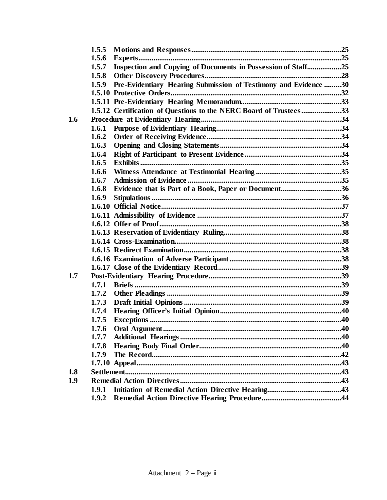|     | 1.5.5 |                                                                   |  |
|-----|-------|-------------------------------------------------------------------|--|
|     | 1.5.6 |                                                                   |  |
|     | 1.5.7 | Inspection and Copying of Documents in Possession of Staff25      |  |
|     | 1.5.8 |                                                                   |  |
|     | 1.5.9 | Pre-Evidentiary Hearing Submission of Testimony and Evidence 30   |  |
|     |       |                                                                   |  |
|     |       |                                                                   |  |
|     |       | 1.5.12 Certification of Questions to the NERC Board of Trustees33 |  |
| 1.6 |       |                                                                   |  |
|     | 1.6.1 |                                                                   |  |
|     | 1.6.2 |                                                                   |  |
|     | 1.6.3 |                                                                   |  |
|     | 1.6.4 |                                                                   |  |
|     | 1.6.5 |                                                                   |  |
|     | 1.6.6 |                                                                   |  |
|     | 1.6.7 |                                                                   |  |
|     | 1.6.8 | Evidence that is Part of a Book, Paper or Document36              |  |
|     | 1.6.9 |                                                                   |  |
|     |       |                                                                   |  |
|     |       |                                                                   |  |
|     |       |                                                                   |  |
|     |       |                                                                   |  |
|     |       |                                                                   |  |
|     |       |                                                                   |  |
|     |       |                                                                   |  |
|     |       |                                                                   |  |
| 1.7 |       |                                                                   |  |
|     | 1.7.1 |                                                                   |  |
|     | 1.7.2 |                                                                   |  |
|     | 1.7.3 |                                                                   |  |
|     | 1.7.4 |                                                                   |  |
|     | 1.7.5 |                                                                   |  |
|     | 1.7.6 |                                                                   |  |
|     | 1.7.7 |                                                                   |  |
|     | 1.7.8 |                                                                   |  |
|     | 1.7.9 |                                                                   |  |
|     |       |                                                                   |  |
| 1.8 |       |                                                                   |  |
| 1.9 |       |                                                                   |  |
|     | 1.9.1 |                                                                   |  |
|     | 1.9.2 |                                                                   |  |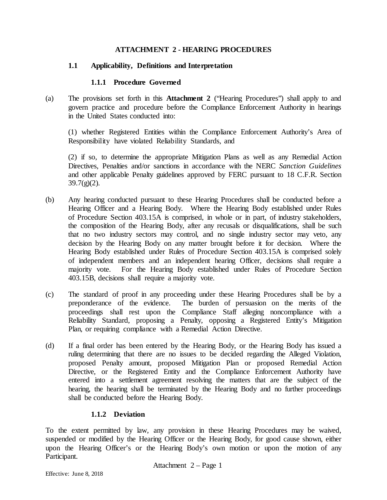### **ATTACHMENT 2 - HEARING PROCEDURES**

### **1.1 Applicability, Definitions and Interpretation**

#### **1.1.1 Procedure Governed**

(a) The provisions set forth in this **Attachment 2** ("Hearing Procedures") shall apply to and govern practice and procedure before the Compliance Enforcement Authority in hearings in the United States conducted into:

(1) whether Registered Entities within the Compliance Enforcement Authority's Area of Responsibility have violated Reliability Standards, and

(2) if so, to determine the appropriate Mitigation Plans as well as any Remedial Action Directives, Penalties and/or sanctions in accordance with the NERC *Sanction Guidelines* and other applicable Penalty guidelines approved by FERC pursuant to 18 C.F.R. Section  $39.7(g)(2)$ .

- (b) Any hearing conducted pursuant to these Hearing Procedures shall be conducted before a Hearing Officer and a Hearing Body. Where the Hearing Body established under Rules of Procedure Section 403.15A is comprised, in whole or in part, of industry stakeholders, the composition of the Hearing Body, after any recusals or disqualifications, shall be such that no two industry sectors may control, and no single industry sector may veto, any decision by the Hearing Body on any matter brought before it for decision. Where the Hearing Body established under Rules of Procedure Section 403.15A is comprised solely of independent members and an independent hearing Officer, decisions shall require a majority vote. For the Hearing Body established under Rules of Procedure Section 403.15B, decisions shall require a majority vote.
- (c) The standard of proof in any proceeding under these Hearing Procedures shall be by a preponderance of the evidence. The burden of persuasion on the merits of the proceedings shall rest upon the Compliance Staff alleging noncompliance with a Reliability Standard, proposing a Penalty, opposing a Registered Entity's Mitigation Plan, or requiring compliance with a Remedial Action Directive.
- (d) If a final order has been entered by the Hearing Body, or the Hearing Body has issued a ruling determining that there are no issues to be decided regarding the Alleged Violation, proposed Penalty amount, proposed Mitigation Plan or proposed Remedial Action Directive, or the Registered Entity and the Compliance Enforcement Authority have entered into a settlement agreement resolving the matters that are the subject of the hearing, the hearing shall be terminated by the Hearing Body and no further proceedings shall be conducted before the Hearing Body.

## **1.1.2 Deviation**

To the extent permitted by law, any provision in these Hearing Procedures may be waived, suspended or modified by the Hearing Officer or the Hearing Body, for good cause shown, either upon the Hearing Officer's or the Hearing Body's own motion or upon the motion of any Participant.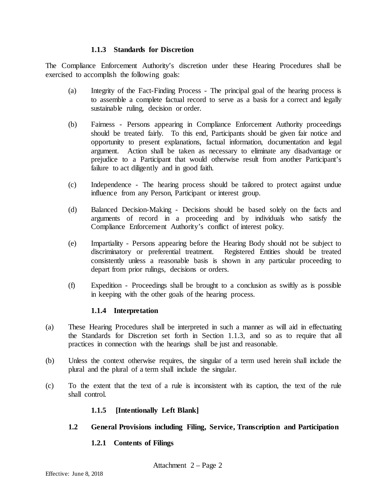#### **1.1.3 Standards for Discretion**

The Compliance Enforcement Authority's discretion under these Hearing Procedures shall be exercised to accomplish the following goals:

- (a) Integrity of the Fact-Finding Process The principal goal of the hearing process is to assemble a complete factual record to serve as a basis for a correct and legally sustainable ruling, decision or order.
- (b) Fairness Persons appearing in Compliance Enforcement Authority proceedings should be treated fairly. To this end, Participants should be given fair notice and opportunity to present explanations, factual information, documentation and legal argument. Action shall be taken as necessary to eliminate any disadvantage or prejudice to a Participant that would otherwise result from another Participant's failure to act diligently and in good faith.
- (c) Independence The hearing process should be tailored to protect against undue influence from any Person, Participant or interest group.
- (d) Balanced Decision-Making Decisions should be based solely on the facts and arguments of record in a proceeding and by individuals who satisfy the Compliance Enforcement Authority's conflict of interest policy.
- (e) Impartiality Persons appearing before the Hearing Body should not be subject to discriminatory or preferential treatment. Registered Entities should be treated consistently unless a reasonable basis is shown in any particular proceeding to depart from prior rulings, decisions or orders.
- (f) Expedition Proceedings shall be brought to a conclusion as swiftly as is possible in keeping with the other goals of the hearing process.

## **1.1.4 Interpretation**

- (a) These Hearing Procedures shall be interpreted in such a manner as will aid in effectuating the Standards for Discretion set forth in Section 1.1.3, and so as to require that all practices in connection with the hearings shall be just and reasonable.
- (b) Unless the context otherwise requires, the singular of a term used herein shall include the plural and the plural of a term shall include the singular.
- (c) To the extent that the text of a rule is inconsistent with its caption, the text of the rule shall control.

## **1.1.5 [Intentionally Left Blank]**

**1.2 General Provisions including Filing, Service, Transcription and Participation**

## **1.2.1 Contents of Filings**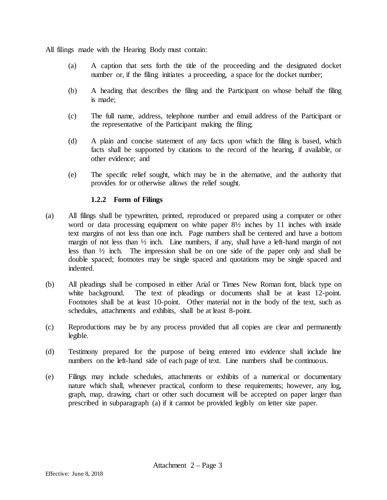All filings made with the Hearing Body must contain:

- (a) A caption that sets forth the title of the proceeding and the designated docket number or, if the filing initiates a proceeding, a space for the docket number;
- (b) A heading that describes the filing and the Participant on whose behalf the filing is made;
- (c) The full name, address, telephone number and email address of the Participant or the representative of the Participant making the filing;
- (d) A plain and concise statement of any facts upon which the filing is based, which facts shall be supported by citations to the record of the hearing, if available, or other evidence; and
- (e) The specific relief sought, which may be in the alternative, and the authority that provides for or otherwise allows the relief sought.

### **1.2.2 Form of Filings**

- (a) All filings shall be typewritten, printed, reproduced or prepared using a computer or other word or data processing equipment on white paper 8½ inches by 11 inches with inside text margins of not less than one inch. Page numbers shall be centered and have a bottom margin of not less than ½ inch. Line numbers, if any, shall have a left-hand margin of not less than ½ inch. The impression shall be on one side of the paper only and shall be double spaced; footnotes may be single spaced and quotations may be single spaced and indented.
- (b) All pleadings shall be composed in either Arial or Times New Roman font, black type on white background. The text of pleadings or documents shall be at least 12-point. Footnotes shall be at least 10-point. Other material not in the body of the text, such as schedules, attachments and exhibits, shall be at least 8-point.
- (c) Reproductions may be by any process provided that all copies are clear and permanently legible.
- (d) Testimony prepared for the purpose of being entered into evidence shall include line numbers on the left-hand side of each page of text. Line numbers shall be continuous.
- (e) Filings may include schedules, attachments or exhibits of a numerical or documentary nature which shall, whenever practical, conform to these requirements; however, any log, graph, map, drawing, chart or other such document will be accepted on paper larger than prescribed in subparagraph (a) if it cannot be provided legibly on letter size paper.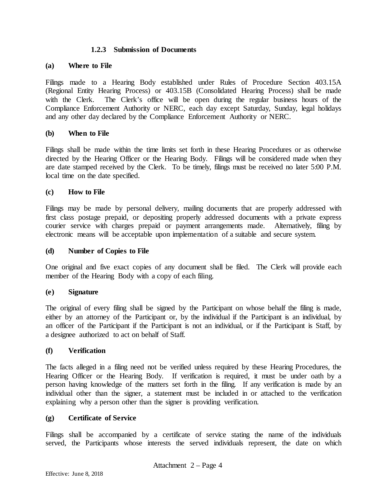#### **1.2.3 Submission of Documents**

#### **(a) Where to File**

Filings made to a Hearing Body established under Rules of Procedure Section 403.15A (Regional Entity Hearing Process) or 403.15B (Consolidated Hearing Process) shall be made with the Clerk. The Clerk's office will be open during the regular business hours of the Compliance Enforcement Authority or NERC, each day except Saturday, Sunday, legal holidays and any other day declared by the Compliance Enforcement Authority or NERC.

#### **(b) When to File**

Filings shall be made within the time limits set forth in these Hearing Procedures or as otherwise directed by the Hearing Officer or the Hearing Body. Filings will be considered made when they are date stamped received by the Clerk. To be timely, filings must be received no later 5:00 P.M. local time on the date specified.

#### **(c) How to File**

Filings may be made by personal delivery, mailing documents that are properly addressed with first class postage prepaid, or depositing properly addressed documents with a private express courier service with charges prepaid or payment arrangements made. Alternatively, filing by electronic means will be acceptable upon implementation of a suitable and secure system.

#### **(d) Number of Copies to File**

One original and five exact copies of any document shall be filed. The Clerk will provide each member of the Hearing Body with a copy of each filing.

#### **(e) Signature**

The original of every filing shall be signed by the Participant on whose behalf the filing is made, either by an attorney of the Participant or, by the individual if the Participant is an individual, by an officer of the Participant if the Participant is not an individual, or if the Participant is Staff, by a designee authorized to act on behalf of Staff.

#### **(f) Verification**

The facts alleged in a filing need not be verified unless required by these Hearing Procedures, the Hearing Officer or the Hearing Body. If verification is required, it must be under oath by a person having knowledge of the matters set forth in the filing. If any verification is made by an individual other than the signer, a statement must be included in or attached to the verification explaining why a person other than the signer is providing verification.

#### **(g) Certificate of Service**

Filings shall be accompanied by a certificate of service stating the name of the individuals served, the Participants whose interests the served individuals represent, the date on which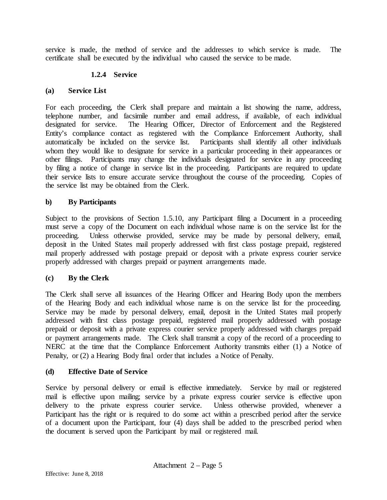service is made, the method of service and the addresses to which service is made. The certificate shall be executed by the individual who caused the service to be made.

# **1.2.4 Service**

### **(a) Service List**

For each proceeding, the Clerk shall prepare and maintain a list showing the name, address, telephone number, and facsimile number and email address, if available, of each individual designated for service. The Hearing Officer, Director of Enforcement and the Registered Entity's compliance contact as registered with the Compliance Enforcement Authority, shall automatically be included on the service list. Participants shall identify all other individuals whom they would like to designate for service in a particular proceeding in their appearances or other filings. Participants may change the individuals designated for service in any proceeding by filing a notice of change in service list in the proceeding. Participants are required to update their service lists to ensure accurate service throughout the course of the proceeding. Copies of the service list may be obtained from the Clerk.

## **b) By Participants**

Subject to the provisions of Section 1.5.10, any Participant filing a Document in a proceeding must serve a copy of the Document on each individual whose name is on the service list for the proceeding. Unless otherwise provided, service may be made by personal delivery, email, deposit in the United States mail properly addressed with first class postage prepaid, registered mail properly addressed with postage prepaid or deposit with a private express courier service properly addressed with charges prepaid or payment arrangements made.

## **(c) By the Clerk**

The Clerk shall serve all issuances of the Hearing Officer and Hearing Body upon the members of the Hearing Body and each individual whose name is on the service list for the proceeding. Service may be made by personal delivery, email, deposit in the United States mail properly addressed with first class postage prepaid, registered mail properly addressed with postage prepaid or deposit with a private express courier service properly addressed with charges prepaid or payment arrangements made. The Clerk shall transmit a copy of the record of a proceeding to NERC at the time that the Compliance Enforcement Authority transmits either (1) a Notice of Penalty, or (2) a Hearing Body final order that includes a Notice of Penalty.

## **(d) Effective Date of Service**

Service by personal delivery or email is effective immediately. Service by mail or registered mail is effective upon mailing; service by a private express courier service is effective upon delivery to the private express courier service. Unless otherwise provided, whenever a Participant has the right or is required to do some act within a prescribed period after the service of a document upon the Participant, four (4) days shall be added to the prescribed period when the document is served upon the Participant by mail or registered mail.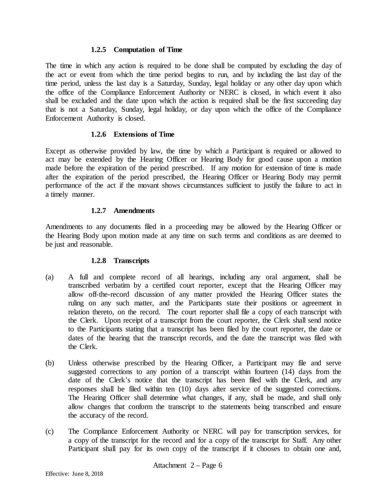#### **1.2.5 Computation of Time**

The time in which any action is required to be done shall be computed by excluding the day of the act or event from which the time period begins to run, and by including the last day of the time period, unless the last day is a Saturday, Sunday, legal holiday or any other day upon which the office of the Compliance Enforcement Authority or NERC is closed, in which event it also shall be excluded and the date upon which the action is required shall be the first succeeding day that is not a Saturday, Sunday, legal holiday, or day upon which the office of the Compliance Enforcement Authority is closed.

## **1.2.6 Extensions of Time**

Except as otherwise provided by law, the time by which a Participant is required or allowed to act may be extended by the Hearing Officer or Hearing Body for good cause upon a motion made before the expiration of the period prescribed. If any motion for extension of time is made after the expiration of the period prescribed, the Hearing Officer or Hearing Body may permit performance of the act if the movant shows circumstances sufficient to justify the failure to act in a timely manner.

## **1.2.7 Amendments**

Amendments to any documents filed in a proceeding may be allowed by the Hearing Officer or the Hearing Body upon motion made at any time on such terms and conditions as are deemed to be just and reasonable.

## **1.2.8 Transcripts**

- (a) A full and complete record of all hearings, including any oral argument, shall be transcribed verbatim by a certified court reporter, except that the Hearing Officer may allow off-the-record discussion of any matter provided the Hearing Officer states the ruling on any such matter, and the Participants state their positions or agreement in relation thereto, on the record. The court reporter shall file a copy of each transcript with the Clerk. Upon receipt of a transcript from the court reporter, the Clerk shall send notice to the Participants stating that a transcript has been filed by the court reporter, the date or dates of the hearing that the transcript records, and the date the transcript was filed with the Clerk.
- (b) Unless otherwise prescribed by the Hearing Officer, a Participant may file and serve suggested corrections to any portion of a transcript within fourteen (14) days from the date of the Clerk's notice that the transcript has been filed with the Clerk, and any responses shall be filed within ten (10) days after service of the suggested corrections. The Hearing Officer shall determine what changes, if any, shall be made, and shall only allow changes that conform the transcript to the statements being transcribed and ensure the accuracy of the record.
- (c) The Compliance Enforcement Authority or NERC will pay for transcription services, for a copy of the transcript for the record and for a copy of the transcript for Staff. Any other Participant shall pay for its own copy of the transcript if it chooses to obtain one and,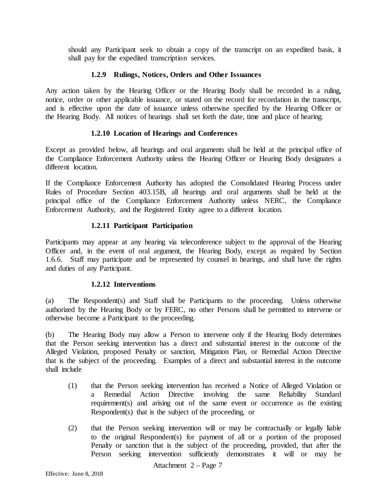should any Participant seek to obtain a copy of the transcript on an expedited basis, it shall pay for the expedited transcription services.

### **1.2.9 Rulings, Notices, Orders and Other Issuances**

Any action taken by the Hearing Officer or the Hearing Body shall be recorded in a ruling, notice, order or other applicable issuance, or stated on the record for recordation in the transcript, and is effective upon the date of issuance unless otherwise specified by the Hearing Officer or the Hearing Body. All notices of hearings shall set forth the date, time and place of hearing.

### **1.2.10 Location of Hearings and Conferences**

Except as provided below, all hearings and oral arguments shall be held at the principal office of the Compliance Enforcement Authority unless the Hearing Officer or Hearing Body designates a different location.

If the Compliance Enforcement Authority has adopted the Consolidated Hearing Process under Rules of Procedure Section 403.15B, all hearings and oral arguments shall be held at the principal office of the Compliance Enforcement Authority unless NERC, the Compliance Enforcement Authority, and the Registered Entity agree to a different location.

## **1.2.11 Participant Participation**

Participants may appear at any hearing via teleconference subject to the approval of the Hearing Officer and, in the event of oral argument, the Hearing Body, except as required by Section 1.6.6. Staff may participate and be represented by counsel in hearings, and shall have the rights and duties of any Participant.

#### **1.2.12 Interventions**

(a) The Respondent(s) and Staff shall be Participants to the proceeding. Unless otherwise authorized by the Hearing Body or by FERC, no other Persons shall be permitted to intervene or otherwise become a Participant to the proceeding.

(b) The Hearing Body may allow a Person to intervene only if the Hearing Body determines that the Person seeking intervention has a direct and substantial interest in the outcome of the Alleged Violation, proposed Penalty or sanction, Mitigation Plan, or Remedial Action Directive that is the subject of the proceeding. Examples of a direct and substantial interest in the outcome shall include

- (1) that the Person seeking intervention has received a Notice of Alleged Violation or a Remedial Action Directive involving the same Reliability Standard requirement(s) and arising out of the same event or occurrence as the existing Respondent(s) that is the subject of the proceeding, or
- (2) that the Person seeking intervention will or may be contractually or legally liable to the original Respondent(s) for payment of all or a portion of the proposed Penalty or sanction that is the subject of the proceeding, provided, that after the Person seeking intervention sufficiently demonstrates it will or may be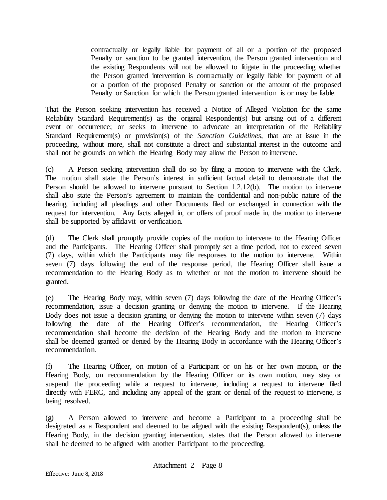contractually or legally liable for payment of all or a portion of the proposed Penalty or sanction to be granted intervention, the Person granted intervention and the existing Respondents will not be allowed to litigate in the proceeding whether the Person granted intervention is contractually or legally liable for payment of all or a portion of the proposed Penalty or sanction or the amount of the proposed Penalty or Sanction for which the Person granted intervention is or may be liable.

That the Person seeking intervention has received a Notice of Alleged Violation for the same Reliability Standard Requirement(s) as the original Respondent(s) but arising out of a different event or occurrence; or seeks to intervene to advocate an interpretation of the Reliability Standard Requirement(s) or provision(s) of the *Sanction Guidelines*, that are at issue in the proceeding, without more, shall not constitute a direct and substantial interest in the outcome and shall not be grounds on which the Hearing Body may allow the Person to intervene.

(c) A Person seeking intervention shall do so by filing a motion to intervene with the Clerk. The motion shall state the Person's interest in sufficient factual detail to demonstrate that the Person should be allowed to intervene pursuant to Section 1.2.12(b). The motion to intervene shall also state the Person's agreement to maintain the confidential and non-public nature of the hearing, including all pleadings and other Documents filed or exchanged in connection with the request for intervention. Any facts alleged in, or offers of proof made in, the motion to intervene shall be supported by affidavit or verification.

(d) The Clerk shall promptly provide copies of the motion to intervene to the Hearing Officer and the Participants. The Hearing Officer shall promptly set a time period, not to exceed seven (7) days, within which the Participants may file responses to the motion to intervene. Within seven (7) days following the end of the response period, the Hearing Officer shall issue a recommendation to the Hearing Body as to whether or not the motion to intervene should be granted.

(e) The Hearing Body may, within seven (7) days following the date of the Hearing Officer's recommendation, issue a decision granting or denying the motion to intervene. If the Hearing Body does not issue a decision granting or denying the motion to intervene within seven (7) days following the date of the Hearing Officer's recommendation, the Hearing Officer's recommendation shall become the decision of the Hearing Body and the motion to intervene shall be deemed granted or denied by the Hearing Body in accordance with the Hearing Officer's recommendation.

(f) The Hearing Officer, on motion of a Participant or on his or her own motion, or the Hearing Body, on recommendation by the Hearing Officer or its own motion, may stay or suspend the proceeding while a request to intervene, including a request to intervene filed directly with FERC, and including any appeal of the grant or denial of the request to intervene, is being resolved.

(g) A Person allowed to intervene and become a Participant to a proceeding shall be designated as a Respondent and deemed to be aligned with the existing Respondent(s), unless the Hearing Body, in the decision granting intervention, states that the Person allowed to intervene shall be deemed to be aligned with another Participant to the proceeding.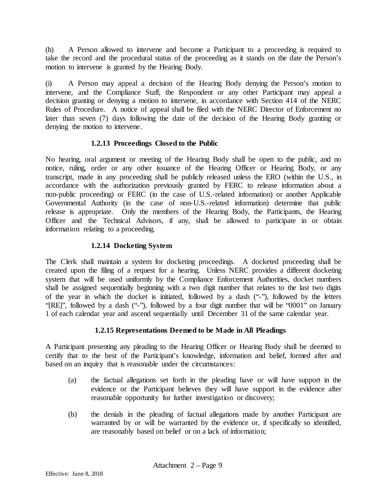(h) A Person allowed to intervene and become a Participant to a proceeding is required to take the record and the procedural status of the proceeding as it stands on the date the Person's motion to intervene is granted by the Hearing Body.

(i) A Person may appeal a decision of the Hearing Body denying the Person's motion to intervene, and the Compliance Staff, the Respondent or any other Participant may appeal a decision granting or denying a motion to intervene, in accordance with Section 414 of the NERC Rules of Procedure. A notice of appeal shall be filed with the NERC Director of Enforcement no later than seven (7) days following the date of the decision of the Hearing Body granting or denying the motion to intervene.

# **1.2.13 Proceedings Closed to the Public**

No hearing, oral argument or meeting of the Hearing Body shall be open to the public, and no notice, ruling, order or any other issuance of the Hearing Officer or Hearing Body, or any transcript, made in any proceeding shall be publicly released unless the ERO (within the U.S., in accordance with the authorization previously granted by FERC to release information about a non-public proceeding) or FERC (in the case of U.S.-related information) or another Applicable Governmental Authority (in the case of non-U.S.-related information) determine that public release is appropriate. Only the members of the Hearing Body, the Participants, the Hearing Officer and the Technical Advisors, if any, shall be allowed to participate in or obtain information relating to a proceeding.

## **1.2.14 Docketing System**

The Clerk shall maintain a system for docketing proceedings. A docketed proceeding shall be created upon the filing of a request for a hearing. Unless NERC provides a different docketing system that will be used uniformly by the Compliance Enforcement Authorities, docket numbers shall be assigned sequentially beginning with a two digit number that relates to the last two digits of the year in which the docket is initiated, followed by a dash ("-"), followed by the letters "[RE]", followed by a dash ("-"), followed by a four digit number that will be "0001" on January 1 of each calendar year and ascend sequentially until December 31 of the same calendar year.

# **1.2.15 Representations Deemed to be Made in All Pleadings**

A Participant presenting any pleading to the Hearing Officer or Hearing Body shall be deemed to certify that to the best of the Participant's knowledge, information and belief, formed after and based on an inquiry that is reasonable under the circumstances:

- (a) the factual allegations set forth in the pleading have or will have support in the evidence or the Participant believes they will have support in the evidence after reasonable opportunity for further investigation or discovery;
- (b) the denials in the pleading of factual allegations made by another Participant are warranted by or will be warranted by the evidence or, if specifically so identified, are reasonably based on belief or on a lack of information;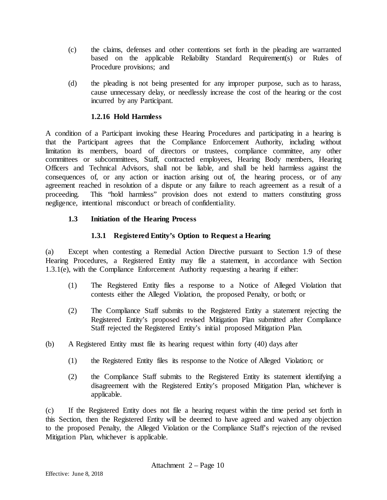- (c) the claims, defenses and other contentions set forth in the pleading are warranted based on the applicable Reliability Standard Requirement(s) or Rules of Procedure provisions; and
- (d) the pleading is not being presented for any improper purpose, such as to harass, cause unnecessary delay, or needlessly increase the cost of the hearing or the cost incurred by any Participant.

### **1.2.16 Hold Harmless**

A condition of a Participant invoking these Hearing Procedures and participating in a hearing is that the Participant agrees that the Compliance Enforcement Authority, including without limitation its members, board of directors or trustees, compliance committee, any other committees or subcommittees, Staff, contracted employees, Hearing Body members, Hearing Officers and Technical Advisors, shall not be liable, and shall be held harmless against the consequences of, or any action or inaction arising out of, the hearing process, or of any agreement reached in resolution of a dispute or any failure to reach agreement as a result of a proceeding. This "hold harmless" provision does not extend to matters constituting gross negligence, intentional misconduct or breach of confidentiality.

### **1.3 Initiation of the Hearing Process**

## **1.3.1 Registered Entity's Option to Request a Hearing**

(a) Except when contesting a Remedial Action Directive pursuant to Section 1.9 of these Hearing Procedures, a Registered Entity may file a statement, in accordance with Section 1.3.1(e), with the Compliance Enforcement Authority requesting a hearing if either:

- (1) The Registered Entity files a response to a Notice of Alleged Violation that contests either the Alleged Violation, the proposed Penalty, or both; or
- (2) The Compliance Staff submits to the Registered Entity a statement rejecting the Registered Entity's proposed revised Mitigation Plan submitted after Compliance Staff rejected the Registered Entity's initial proposed Mitigation Plan.
- (b) A Registered Entity must file its hearing request within forty (40) days after
	- (1) the Registered Entity files its response to the Notice of Alleged Violation; or
	- (2) the Compliance Staff submits to the Registered Entity its statement identifying a disagreement with the Registered Entity's proposed Mitigation Plan, whichever is applicable.

(c) If the Registered Entity does not file a hearing request within the time period set forth in this Section, then the Registered Entity will be deemed to have agreed and waived any objection to the proposed Penalty, the Alleged Violation or the Compliance Staff's rejection of the revised Mitigation Plan, whichever is applicable.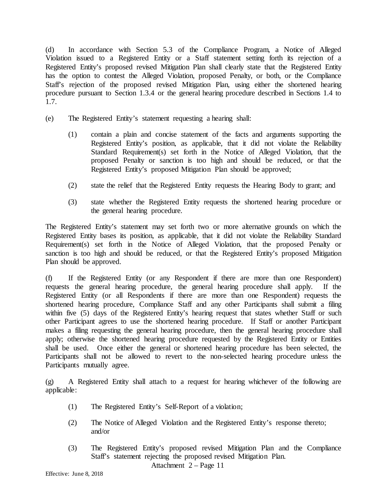(d) In accordance with Section 5.3 of the Compliance Program, a Notice of Alleged Violation issued to a Registered Entity or a Staff statement setting forth its rejection of a Registered Entity's proposed revised Mitigation Plan shall clearly state that the Registered Entity has the option to contest the Alleged Violation, proposed Penalty, or both, or the Compliance Staff's rejection of the proposed revised Mitigation Plan, using either the shortened hearing procedure pursuant to Section 1.3.4 or the general hearing procedure described in Sections 1.4 to 1.7.

- (e) The Registered Entity's statement requesting a hearing shall:
	- (1) contain a plain and concise statement of the facts and arguments supporting the Registered Entity's position, as applicable, that it did not violate the Reliability Standard Requirement(s) set forth in the Notice of Alleged Violation, that the proposed Penalty or sanction is too high and should be reduced, or that the Registered Entity's proposed Mitigation Plan should be approved;
	- (2) state the relief that the Registered Entity requests the Hearing Body to grant; and
	- (3) state whether the Registered Entity requests the shortened hearing procedure or the general hearing procedure.

The Registered Entity's statement may set forth two or more alternative grounds on which the Registered Entity bases its position, as applicable, that it did not violate the Reliability Standard Requirement(s) set forth in the Notice of Alleged Violation, that the proposed Penalty or sanction is too high and should be reduced, or that the Registered Entity's proposed Mitigation Plan should be approved.

(f) If the Registered Entity (or any Respondent if there are more than one Respondent) requests the general hearing procedure, the general hearing procedure shall apply. If the Registered Entity (or all Respondents if there are more than one Respondent) requests the shortened hearing procedure, Compliance Staff and any other Participants shall submit a filing within five (5) days of the Registered Entity's hearing request that states whether Staff or such other Participant agrees to use the shortened hearing procedure. If Staff or another Participant makes a filing requesting the general hearing procedure, then the general hearing procedure shall apply; otherwise the shortened hearing procedure requested by the Registered Entity or Entities shall be used. Once either the general or shortened hearing procedure has been selected, the Participants shall not be allowed to revert to the non-selected hearing procedure unless the Participants mutually agree.

(g) A Registered Entity shall attach to a request for hearing whichever of the following are applicable:

- (1) The Registered Entity's Self-Report of a violation;
- (2) The Notice of Alleged Violation and the Registered Entity's response thereto; and/or
- (3) The Registered Entity's proposed revised Mitigation Plan and the Compliance Staff's statement rejecting the proposed revised Mitigation Plan.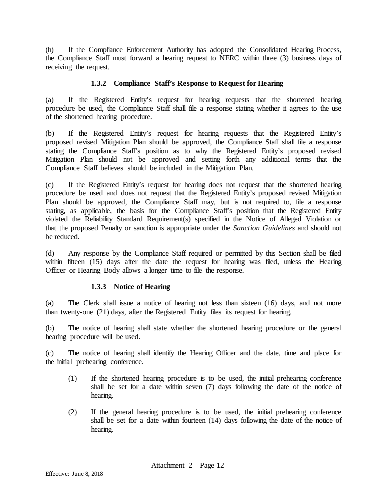(h) If the Compliance Enforcement Authority has adopted the Consolidated Hearing Process, the Compliance Staff must forward a hearing request to NERC within three (3) business days of receiving the request.

### **1.3.2 Compliance Staff's Response to Request for Hearing**

(a) If the Registered Entity's request for hearing requests that the shortened hearing procedure be used, the Compliance Staff shall file a response stating whether it agrees to the use of the shortened hearing procedure.

(b) If the Registered Entity's request for hearing requests that the Registered Entity's proposed revised Mitigation Plan should be approved, the Compliance Staff shall file a response stating the Compliance Staff's position as to why the Registered Entity's proposed revised Mitigation Plan should not be approved and setting forth any additional terms that the Compliance Staff believes should be included in the Mitigation Plan.

(c) If the Registered Entity's request for hearing does not request that the shortened hearing procedure be used and does not request that the Registered Entity's proposed revised Mitigation Plan should be approved, the Compliance Staff may, but is not required to, file a response stating, as applicable, the basis for the Compliance Staff's position that the Registered Entity violated the Reliability Standard Requirement(s) specified in the Notice of Alleged Violation or that the proposed Penalty or sanction is appropriate under the *Sanction Guidelines* and should not be reduced.

(d) Any response by the Compliance Staff required or permitted by this Section shall be filed within fifteen (15) days after the date the request for hearing was filed, unless the Hearing Officer or Hearing Body allows a longer time to file the response.

## **1.3.3 Notice of Hearing**

(a) The Clerk shall issue a notice of hearing not less than sixteen (16) days, and not more than twenty-one (21) days, after the Registered Entity files its request for hearing.

(b) The notice of hearing shall state whether the shortened hearing procedure or the general hearing procedure will be used.

(c) The notice of hearing shall identify the Hearing Officer and the date, time and place for the initial prehearing conference.

- (1) If the shortened hearing procedure is to be used, the initial prehearing conference shall be set for a date within seven (7) days following the date of the notice of hearing.
- (2) If the general hearing procedure is to be used, the initial prehearing conference shall be set for a date within fourteen (14) days following the date of the notice of hearing.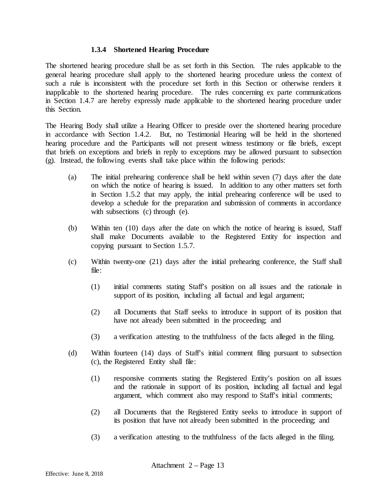#### **1.3.4 Shortened Hearing Procedure**

The shortened hearing procedure shall be as set forth in this Section. The rules applicable to the general hearing procedure shall apply to the shortened hearing procedure unless the context of such a rule is inconsistent with the procedure set forth in this Section or otherwise renders it inapplicable to the shortened hearing procedure. The rules concerning ex parte communications in Section 1.4.7 are hereby expressly made applicable to the shortened hearing procedure under this Section.

The Hearing Body shall utilize a Hearing Officer to preside over the shortened hearing procedure in accordance with Section 1.4.2. But, no Testimonial Hearing will be held in the shortened hearing procedure and the Participants will not present witness testimony or file briefs, except that briefs on exceptions and briefs in reply to exceptions may be allowed pursuant to subsection (g). Instead, the following events shall take place within the following periods:

- (a) The initial prehearing conference shall be held within seven (7) days after the date on which the notice of hearing is issued. In addition to any other matters set forth in Section 1.5.2 that may apply, the initial prehearing conference will be used to develop a schedule for the preparation and submission of comments in accordance with subsections (c) through (e).
- (b) Within ten (10) days after the date on which the notice of hearing is issued, Staff shall make Documents available to the Registered Entity for inspection and copying pursuant to Section 1.5.7.
- (c) Within twenty-one (21) days after the initial prehearing conference, the Staff shall file:
	- (1) initial comments stating Staff's position on all issues and the rationale in support of its position, including all factual and legal argument;
	- (2) all Documents that Staff seeks to introduce in support of its position that have not already been submitted in the proceeding; and
	- (3) a verification attesting to the truthfulness of the facts alleged in the filing.
- (d) Within fourteen (14) days of Staff's initial comment filing pursuant to subsection (c), the Registered Entity shall file:
	- (1) responsive comments stating the Registered Entity's position on all issues and the rationale in support of its position, including all factual and legal argument, which comment also may respond to Staff's initial comments;
	- (2) all Documents that the Registered Entity seeks to introduce in support of its position that have not already been submitted in the proceeding; and
	- (3) a verification attesting to the truthfulness of the facts alleged in the filing.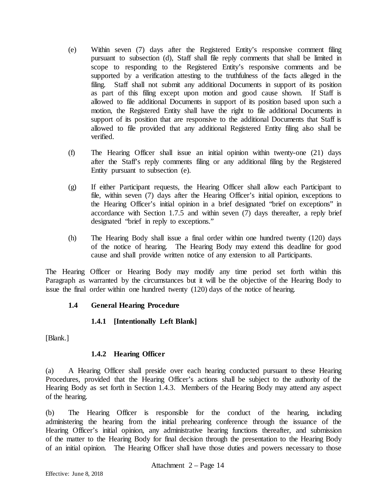- (e) Within seven (7) days after the Registered Entity's responsive comment filing pursuant to subsection (d), Staff shall file reply comments that shall be limited in scope to responding to the Registered Entity's responsive comments and be supported by a verification attesting to the truthfulness of the facts alleged in the filing. Staff shall not submit any additional Documents in support of its position as part of this filing except upon motion and good cause shown. If Staff is allowed to file additional Documents in support of its position based upon such a motion, the Registered Entity shall have the right to file additional Documents in support of its position that are responsive to the additional Documents that Staff is allowed to file provided that any additional Registered Entity filing also shall be verified.
- (f) The Hearing Officer shall issue an initial opinion within twenty-one (21) days after the Staff's reply comments filing or any additional filing by the Registered Entity pursuant to subsection (e).
- (g) If either Participant requests, the Hearing Officer shall allow each Participant to file, within seven (7) days after the Hearing Officer's initial opinion, exceptions to the Hearing Officer's initial opinion in a brief designated "brief on exceptions" in accordance with Section 1.7.5 and within seven (7) days thereafter, a reply brief designated "brief in reply to exceptions."
- (h) The Hearing Body shall issue a final order within one hundred twenty (120) days of the notice of hearing. The Hearing Body may extend this deadline for good cause and shall provide written notice of any extension to all Participants.

The Hearing Officer or Hearing Body may modify any time period set forth within this Paragraph as warranted by the circumstances but it will be the objective of the Hearing Body to issue the final order within one hundred twenty (120) days of the notice of hearing.

## **1.4 General Hearing Procedure**

# **1.4.1 [Intentionally Left Blank]**

[Blank.]

## **1.4.2 Hearing Officer**

(a) A Hearing Officer shall preside over each hearing conducted pursuant to these Hearing Procedures, provided that the Hearing Officer's actions shall be subject to the authority of the Hearing Body as set forth in Section 1.4.3. Members of the Hearing Body may attend any aspect of the hearing.

(b) The Hearing Officer is responsible for the conduct of the hearing, including administering the hearing from the initial prehearing conference through the issuance of the Hearing Officer's initial opinion, any administrative hearing functions thereafter, and submission of the matter to the Hearing Body for final decision through the presentation to the Hearing Body of an initial opinion. The Hearing Officer shall have those duties and powers necessary to those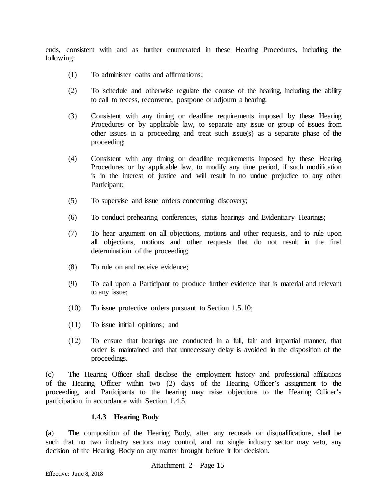ends, consistent with and as further enumerated in these Hearing Procedures, including the following:

- (1) To administer oaths and affirmations;
- (2) To schedule and otherwise regulate the course of the hearing, including the ability to call to recess, reconvene, postpone or adjourn a hearing;
- (3) Consistent with any timing or deadline requirements imposed by these Hearing Procedures or by applicable law, to separate any issue or group of issues from other issues in a proceeding and treat such issue(s) as a separate phase of the proceeding;
- (4) Consistent with any timing or deadline requirements imposed by these Hearing Procedures or by applicable law, to modify any time period, if such modification is in the interest of justice and will result in no undue prejudice to any other Participant;
- (5) To supervise and issue orders concerning discovery;
- (6) To conduct prehearing conferences, status hearings and Evidentiary Hearings;
- (7) To hear argument on all objections, motions and other requests, and to rule upon all objections, motions and other requests that do not result in the final determination of the proceeding;
- (8) To rule on and receive evidence;
- (9) To call upon a Participant to produce further evidence that is material and relevant to any issue;
- (10) To issue protective orders pursuant to Section 1.5.10;
- (11) To issue initial opinions; and
- (12) To ensure that hearings are conducted in a full, fair and impartial manner, that order is maintained and that unnecessary delay is avoided in the disposition of the proceedings.

(c) The Hearing Officer shall disclose the employment history and professional affiliations of the Hearing Officer within two (2) days of the Hearing Officer's assignment to the proceeding, and Participants to the hearing may raise objections to the Hearing Officer's participation in accordance with Section 1.4.5.

#### **1.4.3 Hearing Body**

(a) The composition of the Hearing Body, after any recusals or disqualifications, shall be such that no two industry sectors may control, and no single industry sector may veto, any decision of the Hearing Body on any matter brought before it for decision.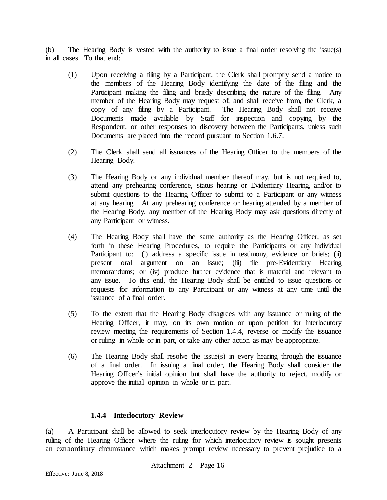(b) The Hearing Body is vested with the authority to issue a final order resolving the issue(s) in all cases. To that end:

- (1) Upon receiving a filing by a Participant, the Clerk shall promptly send a notice to the members of the Hearing Body identifying the date of the filing and the Participant making the filing and briefly describing the nature of the filing. Any member of the Hearing Body may request of, and shall receive from, the Clerk, a copy of any filing by a Participant. The Hearing Body shall not receive Documents made available by Staff for inspection and copying by the Respondent, or other responses to discovery between the Participants, unless such Documents are placed into the record pursuant to Section 1.6.7.
- (2) The Clerk shall send all issuances of the Hearing Officer to the members of the Hearing Body.
- (3) The Hearing Body or any individual member thereof may, but is not required to, attend any prehearing conference, status hearing or Evidentiary Hearing, and/or to submit questions to the Hearing Officer to submit to a Participant or any witness at any hearing. At any prehearing conference or hearing attended by a member of the Hearing Body, any member of the Hearing Body may ask questions directly of any Participant or witness.
- (4) The Hearing Body shall have the same authority as the Hearing Officer, as set forth in these Hearing Procedures, to require the Participants or any individual Participant to: (i) address a specific issue in testimony, evidence or briefs; (ii) present oral argument on an issue; (iii) file pre-Evidentiary Hearing memorandums; or (iv) produce further evidence that is material and relevant to any issue. To this end, the Hearing Body shall be entitled to issue questions or requests for information to any Participant or any witness at any time until the issuance of a final order.
- (5) To the extent that the Hearing Body disagrees with any issuance or ruling of the Hearing Officer, it may, on its own motion or upon petition for interlocutory review meeting the requirements of Section 1.4.4, reverse or modify the issuance or ruling in whole or in part, or take any other action as may be appropriate.
- (6) The Hearing Body shall resolve the issue(s) in every hearing through the issuance of a final order. In issuing a final order, the Hearing Body shall consider the Hearing Officer's initial opinion but shall have the authority to reject, modify or approve the initial opinion in whole or in part.

## **1.4.4 Interlocutory Review**

(a) A Participant shall be allowed to seek interlocutory review by the Hearing Body of any ruling of the Hearing Officer where the ruling for which interlocutory review is sought presents an extraordinary circumstance which makes prompt review necessary to prevent prejudice to a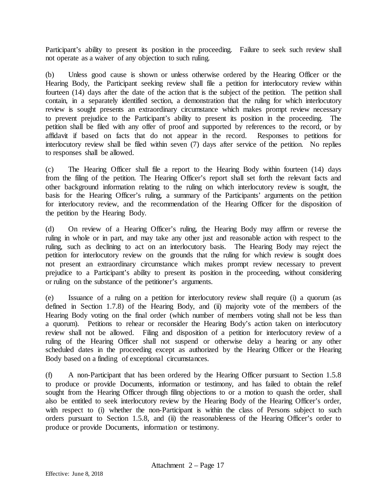Participant's ability to present its position in the proceeding. Failure to seek such review shall not operate as a waiver of any objection to such ruling.

(b) Unless good cause is shown or unless otherwise ordered by the Hearing Officer or the Hearing Body, the Participant seeking review shall file a petition for interlocutory review within fourteen (14) days after the date of the action that is the subject of the petition. The petition shall contain, in a separately identified section, a demonstration that the ruling for which interlocutory review is sought presents an extraordinary circumstance which makes prompt review necessary to prevent prejudice to the Participant's ability to present its position in the proceeding. The petition shall be filed with any offer of proof and supported by references to the record, or by affidavit if based on facts that do not appear in the record. Responses to petitions for interlocutory review shall be filed within seven (7) days after service of the petition. No replies to responses shall be allowed.

(c) The Hearing Officer shall file a report to the Hearing Body within fourteen (14) days from the filing of the petition. The Hearing Officer's report shall set forth the relevant facts and other background information relating to the ruling on which interlocutory review is sought, the basis for the Hearing Officer's ruling, a summary of the Participants' arguments on the petition for interlocutory review, and the recommendation of the Hearing Officer for the disposition of the petition by the Hearing Body.

(d) On review of a Hearing Officer's ruling, the Hearing Body may affirm or reverse the ruling in whole or in part, and may take any other just and reasonable action with respect to the ruling, such as declining to act on an interlocutory basis. The Hearing Body may reject the petition for interlocutory review on the grounds that the ruling for which review is sought does not present an extraordinary circumstance which makes prompt review necessary to prevent prejudice to a Participant's ability to present its position in the proceeding, without considering or ruling on the substance of the petitioner's arguments.

(e) Issuance of a ruling on a petition for interlocutory review shall require (i) a quorum (as defined in Section 1.7.8) of the Hearing Body, and (ii) majority vote of the members of the Hearing Body voting on the final order (which number of members voting shall not be less than a quorum). Petitions to rehear or reconsider the Hearing Body's action taken on interlocutory review shall not be allowed. Filing and disposition of a petition for interlocutory review of a ruling of the Hearing Officer shall not suspend or otherwise delay a hearing or any other scheduled dates in the proceeding except as authorized by the Hearing Officer or the Hearing Body based on a finding of exceptional circumstances.

(f) A non-Participant that has been ordered by the Hearing Officer pursuant to Section 1.5.8 to produce or provide Documents, information or testimony, and has failed to obtain the relief sought from the Hearing Officer through filing objections to or a motion to quash the order, shall also be entitled to seek interlocutory review by the Hearing Body of the Hearing Officer's order, with respect to (i) whether the non-Participant is within the class of Persons subject to such orders pursuant to Section 1.5.8, and (ii) the reasonableness of the Hearing Officer's order to produce or provide Documents, information or testimony.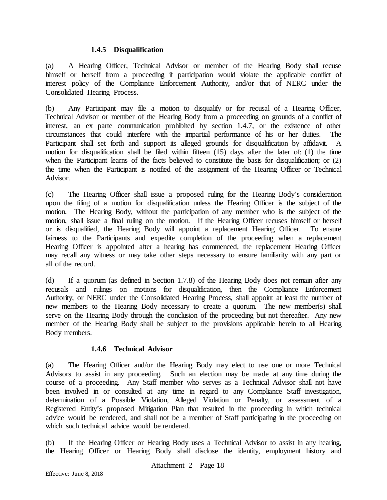#### **1.4.5 Disqualification**

(a) A Hearing Officer, Technical Advisor or member of the Hearing Body shall recuse himself or herself from a proceeding if participation would violate the applicable conflict of interest policy of the Compliance Enforcement Authority, and/or that of NERC under the Consolidated Hearing Process.

(b) Any Participant may file a motion to disqualify or for recusal of a Hearing Officer, Technical Advisor or member of the Hearing Body from a proceeding on grounds of a conflict of interest, an ex parte communication prohibited by section 1.4.7, or the existence of other circumstances that could interfere with the impartial performance of his or her duties. The Participant shall set forth and support its alleged grounds for disqualification by affidavit. A motion for disqualification shall be filed within fifteen (15) days after the later of: (1) the time when the Participant learns of the facts believed to constitute the basis for disqualification; or (2) the time when the Participant is notified of the assignment of the Hearing Officer or Technical Advisor.

(c) The Hearing Officer shall issue a proposed ruling for the Hearing Body's consideration upon the filing of a motion for disqualification unless the Hearing Officer is the subject of the motion. The Hearing Body, without the participation of any member who is the subject of the motion, shall issue a final ruling on the motion. If the Hearing Officer recuses himself or herself or is disqualified, the Hearing Body will appoint a replacement Hearing Officer. To ensure fairness to the Participants and expedite completion of the proceeding when a replacement Hearing Officer is appointed after a hearing has commenced, the replacement Hearing Officer may recall any witness or may take other steps necessary to ensure familiarity with any part or all of the record.

(d) If a quorum (as defined in Section 1.7.8) of the Hearing Body does not remain after any recusals and rulings on motions for disqualification, then the Compliance Enforcement Authority, or NERC under the Consolidated Hearing Process, shall appoint at least the number of new members to the Hearing Body necessary to create a quorum. The new member(s) shall serve on the Hearing Body through the conclusion of the proceeding but not thereafter. Any new member of the Hearing Body shall be subject to the provisions applicable herein to all Hearing Body members.

## **1.4.6 Technical Advisor**

(a) The Hearing Officer and/or the Hearing Body may elect to use one or more Technical Advisors to assist in any proceeding. Such an election may be made at any time during the course of a proceeding. Any Staff member who serves as a Technical Advisor shall not have been involved in or consulted at any time in regard to any Compliance Staff investigation, determination of a Possible Violation, Alleged Violation or Penalty, or assessment of a Registered Entity's proposed Mitigation Plan that resulted in the proceeding in which technical advice would be rendered, and shall not be a member of Staff participating in the proceeding on which such technical advice would be rendered.

(b) If the Hearing Officer or Hearing Body uses a Technical Advisor to assist in any hearing, the Hearing Officer or Hearing Body shall disclose the identity, employment history and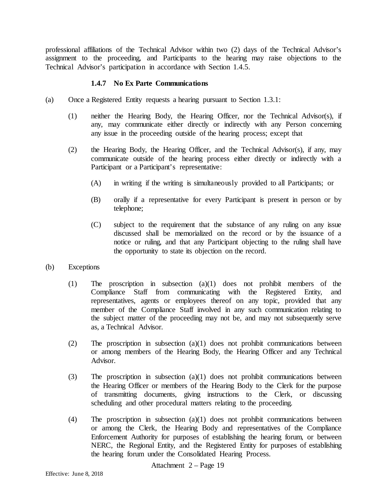professional affiliations of the Technical Advisor within two (2) days of the Technical Advisor's assignment to the proceeding, and Participants to the hearing may raise objections to the Technical Advisor's participation in accordance with Section 1.4.5.

### **1.4.7 No Ex Parte Communications**

- (a) Once a Registered Entity requests a hearing pursuant to Section 1.3.1:
	- (1) neither the Hearing Body, the Hearing Officer, nor the Technical Advisor(s), if any, may communicate either directly or indirectly with any Person concerning any issue in the proceeding outside of the hearing process; except that
	- (2) the Hearing Body, the Hearing Officer, and the Technical Advisor(s), if any, may communicate outside of the hearing process either directly or indirectly with a Participant or a Participant's representative:
		- (A) in writing if the writing is simultaneously provided to all Participants; or
		- (B) orally if a representative for every Participant is present in person or by telephone;
		- (C) subject to the requirement that the substance of any ruling on any issue discussed shall be memorialized on the record or by the issuance of a notice or ruling, and that any Participant objecting to the ruling shall have the opportunity to state its objection on the record.
- (b) Exceptions
	- (1) The proscription in subsection (a)(1) does not prohibit members of the Compliance Staff from communicating with the Registered Entity, and representatives, agents or employees thereof on any topic, provided that any member of the Compliance Staff involved in any such communication relating to the subject matter of the proceeding may not be, and may not subsequently serve as, a Technical Advisor.
	- (2) The proscription in subsection (a)(1) does not prohibit communications between or among members of the Hearing Body, the Hearing Officer and any Technical Advisor.
	- (3) The proscription in subsection (a)(1) does not prohibit communications between the Hearing Officer or members of the Hearing Body to the Clerk for the purpose of transmitting documents, giving instructions to the Clerk, or discussing scheduling and other procedural matters relating to the proceeding.
	- (4) The proscription in subsection (a)(1) does not prohibit communications between or among the Clerk, the Hearing Body and representatives of the Compliance Enforcement Authority for purposes of establishing the hearing forum, or between NERC, the Regional Entity, and the Registered Entity for purposes of establishing the hearing forum under the Consolidated Hearing Process.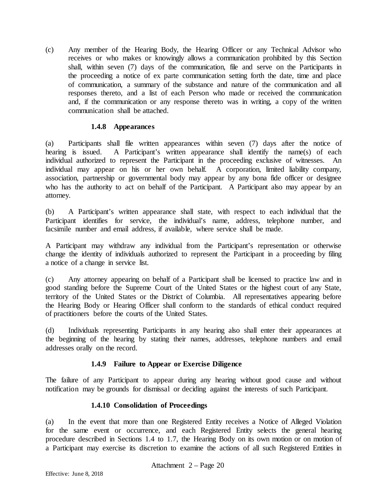(c) Any member of the Hearing Body, the Hearing Officer or any Technical Advisor who receives or who makes or knowingly allows a communication prohibited by this Section shall, within seven (7) days of the communication, file and serve on the Participants in the proceeding a notice of ex parte communication setting forth the date, time and place of communication, a summary of the substance and nature of the communication and all responses thereto, and a list of each Person who made or received the communication and, if the communication or any response thereto was in writing, a copy of the written communication shall be attached.

### **1.4.8 Appearances**

(a) Participants shall file written appearances within seven (7) days after the notice of hearing is issued. A Participant's written appearance shall identify the name(s) of each individual authorized to represent the Participant in the proceeding exclusive of witnesses. An individual may appear on his or her own behalf. A corporation, limited liability company, association, partnership or governmental body may appear by any bona fide officer or designee who has the authority to act on behalf of the Participant. A Participant also may appear by an attorney.

(b) A Participant's written appearance shall state, with respect to each individual that the Participant identifies for service, the individual's name, address, telephone number, and facsimile number and email address, if available, where service shall be made.

A Participant may withdraw any individual from the Participant's representation or otherwise change the identity of individuals authorized to represent the Participant in a proceeding by filing a notice of a change in service list.

(c) Any attorney appearing on behalf of a Participant shall be licensed to practice law and in good standing before the Supreme Court of the United States or the highest court of any State, territory of the United States or the District of Columbia. All representatives appearing before the Hearing Body or Hearing Officer shall conform to the standards of ethical conduct required of practitioners before the courts of the United States.

(d) Individuals representing Participants in any hearing also shall enter their appearances at the beginning of the hearing by stating their names, addresses, telephone numbers and email addresses orally on the record.

## **1.4.9 Failure to Appear or Exercise Diligence**

The failure of any Participant to appear during any hearing without good cause and without notification may be grounds for dismissal or deciding against the interests of such Participant.

## **1.4.10 Consolidation of Proceedings**

(a) In the event that more than one Registered Entity receives a Notice of Alleged Violation for the same event or occurrence, and each Registered Entity selects the general hearing procedure described in Sections 1.4 to 1.7, the Hearing Body on its own motion or on motion of a Participant may exercise its discretion to examine the actions of all such Registered Entities in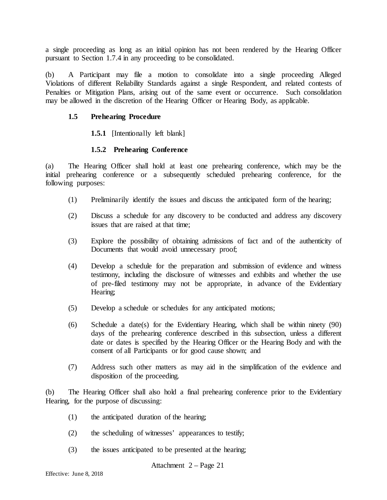a single proceeding as long as an initial opinion has not been rendered by the Hearing Officer pursuant to Section 1.7.4 in any proceeding to be consolidated.

(b) A Participant may file a motion to consolidate into a single proceeding Alleged Violations of different Reliability Standards against a single Respondent, and related contests of Penalties or Mitigation Plans, arising out of the same event or occurrence. Such consolidation may be allowed in the discretion of the Hearing Officer or Hearing Body, as applicable.

#### **1.5 Prehearing Procedure**

#### **1.5.1** [Intentionally left blank]

#### **1.5.2 Prehearing Conference**

(a) The Hearing Officer shall hold at least one prehearing conference, which may be the initial prehearing conference or a subsequently scheduled prehearing conference, for the following purposes:

- (1) Preliminarily identify the issues and discuss the anticipated form of the hearing;
- (2) Discuss a schedule for any discovery to be conducted and address any discovery issues that are raised at that time;
- (3) Explore the possibility of obtaining admissions of fact and of the authenticity of Documents that would avoid unnecessary proof;
- (4) Develop a schedule for the preparation and submission of evidence and witness testimony, including the disclosure of witnesses and exhibits and whether the use of pre-filed testimony may not be appropriate, in advance of the Evidentiary Hearing;
- (5) Develop a schedule or schedules for any anticipated motions;
- (6) Schedule a date(s) for the Evidentiary Hearing, which shall be within ninety (90) days of the prehearing conference described in this subsection, unless a different date or dates is specified by the Hearing Officer or the Hearing Body and with the consent of all Participants or for good cause shown; and
- (7) Address such other matters as may aid in the simplification of the evidence and disposition of the proceeding.

(b) The Hearing Officer shall also hold a final prehearing conference prior to the Evidentiary Hearing, for the purpose of discussing:

- (1) the anticipated duration of the hearing;
- (2) the scheduling of witnesses' appearances to testify;
- (3) the issues anticipated to be presented at the hearing;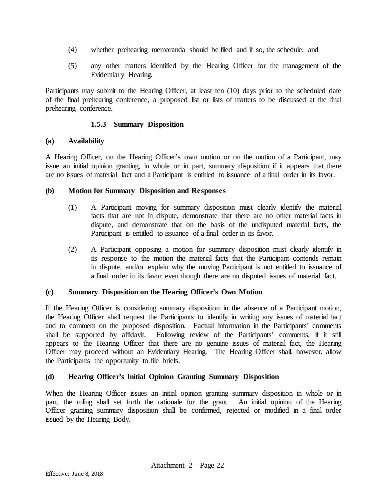- (4) whether prehearing memoranda should be filed and if so, the schedule; and
- (5) any other matters identified by the Hearing Officer for the management of the Evidentiary Hearing.

Participants may submit to the Hearing Officer, at least ten (10) days prior to the scheduled date of the final prehearing conference, a proposed list or lists of matters to be discussed at the final prehearing conference.

### **1.5.3 Summary Disposition**

### **(a) Availability**

A Hearing Officer, on the Hearing Officer's own motion or on the motion of a Participant, may issue an initial opinion granting, in whole or in part, summary disposition if it appears that there are no issues of material fact and a Participant is entitled to issuance of a final order in its favor.

### **(b) Motion for Summary Disposition and Responses**

- (1) A Participant moving for summary disposition must clearly identify the material facts that are not in dispute, demonstrate that there are no other material facts in dispute, and demonstrate that on the basis of the undisputed material facts, the Participant is entitled to issuance of a final order in its favor.
- (2) A Participant opposing a motion for summary disposition must clearly identify in its response to the motion the material facts that the Participant contends remain in dispute, and/or explain why the moving Participant is not entitled to issuance of a final order in its favor even though there are no disputed issues of material fact.

## **(c) Summary Disposition on the Hearing Officer's Own Motion**

If the Hearing Officer is considering summary disposition in the absence of a Participant motion, the Hearing Officer shall request the Participants to identify in writing any issues of material fact and to comment on the proposed disposition. Factual information in the Participants' comments shall be supported by affidavit. Following review of the Participants' comments, if it still appears to the Hearing Officer that there are no genuine issues of material fact, the Hearing Officer may proceed without an Evidentiary Hearing. The Hearing Officer shall, however, allow the Participants the opportunity to file briefs.

## **(d) Hearing Officer's Initial Opinion Granting Summary Disposition**

When the Hearing Officer issues an initial opinion granting summary disposition in whole or in part, the ruling shall set forth the rationale for the grant. An initial opinion of the Hearing Officer granting summary disposition shall be confirmed, rejected or modified in a final order issued by the Hearing Body.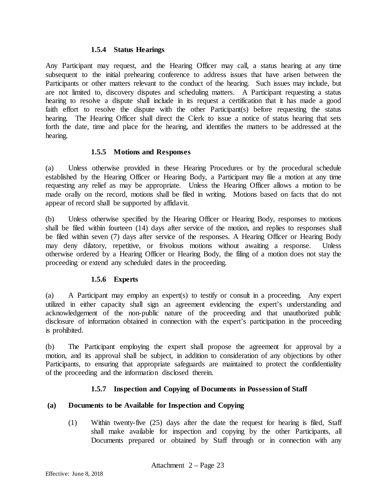#### **1.5.4 Status Hearings**

Any Participant may request, and the Hearing Officer may call, a status hearing at any time subsequent to the initial prehearing conference to address issues that have arisen between the Participants or other matters relevant to the conduct of the hearing. Such issues may include, but are not limited to, discovery disputes and scheduling matters. A Participant requesting a status hearing to resolve a dispute shall include in its request a certification that it has made a good faith effort to resolve the dispute with the other Participant(s) before requesting the status hearing. The Hearing Officer shall direct the Clerk to issue a notice of status hearing that sets forth the date, time and place for the hearing, and identifies the matters to be addressed at the hearing.

### **1.5.5 Motions and Responses**

(a) Unless otherwise provided in these Hearing Procedures or by the procedural schedule established by the Hearing Officer or Hearing Body, a Participant may file a motion at any time requesting any relief as may be appropriate. Unless the Hearing Officer allows a motion to be made orally on the record, motions shall be filed in writing. Motions based on facts that do not appear of record shall be supported by affidavit.

(b) Unless otherwise specified by the Hearing Officer or Hearing Body, responses to motions shall be filed within fourteen (14) days after service of the motion, and replies to responses shall be filed within seven (7) days after service of the responses. A Hearing Officer or Hearing Body may deny dilatory, repetitive, or frivolous motions without awaiting a response. Unless otherwise ordered by a Hearing Officer or Hearing Body, the filing of a motion does not stay the proceeding or extend any scheduled dates in the proceeding.

## **1.5.6 Experts**

(a) A Participant may employ an expert(s) to testify or consult in a proceeding. Any expert utilized in either capacity shall sign an agreement evidencing the expert's understanding and acknowledgement of the non-public nature of the proceeding and that unauthorized public disclosure of information obtained in connection with the expert's participation in the proceeding is prohibited.

(b) The Participant employing the expert shall propose the agreement for approval by a motion, and its approval shall be subject, in addition to consideration of any objections by other Participants, to ensuring that appropriate safeguards are maintained to protect the confidentiality of the proceeding and the information disclosed therein.

## **1.5.7 Inspection and Copying of Documents in Possession of Staff**

## **(a) Documents to be Available for Inspection and Copying**

(1) Within twenty-five (25) days after the date the request for hearing is filed, Staff shall make available for inspection and copying by the other Participants, all Documents prepared or obtained by Staff through or in connection with any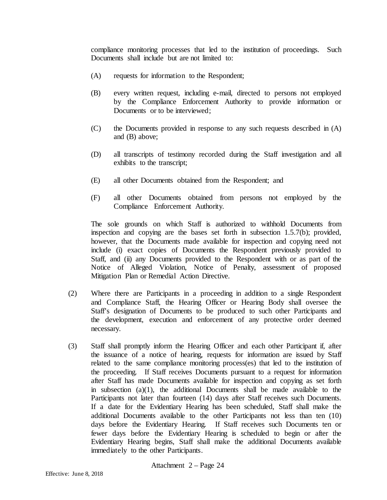compliance monitoring processes that led to the institution of proceedings. Such Documents shall include but are not limited to:

- (A) requests for information to the Respondent;
- (B) every written request, including e-mail, directed to persons not employed by the Compliance Enforcement Authority to provide information or Documents or to be interviewed;
- (C) the Documents provided in response to any such requests described in (A) and (B) above;
- (D) all transcripts of testimony recorded during the Staff investigation and all exhibits to the transcript;
- (E) all other Documents obtained from the Respondent; and
- (F) all other Documents obtained from persons not employed by the Compliance Enforcement Authority.

The sole grounds on which Staff is authorized to withhold Documents from inspection and copying are the bases set forth in subsection 1.5.7(b); provided, however, that the Documents made available for inspection and copying need not include (i) exact copies of Documents the Respondent previously provided to Staff, and (ii) any Documents provided to the Respondent with or as part of the Notice of Alleged Violation, Notice of Penalty, assessment of proposed Mitigation Plan or Remedial Action Directive.

- (2) Where there are Participants in a proceeding in addition to a single Respondent and Compliance Staff, the Hearing Officer or Hearing Body shall oversee the Staff's designation of Documents to be produced to such other Participants and the development, execution and enforcement of any protective order deemed necessary.
- (3) Staff shall promptly inform the Hearing Officer and each other Participant if, after the issuance of a notice of hearing, requests for information are issued by Staff related to the same compliance monitoring process(es) that led to the institution of the proceeding. If Staff receives Documents pursuant to a request for information after Staff has made Documents available for inspection and copying as set forth in subsection (a)(1), the additional Documents shall be made available to the Participants not later than fourteen (14) days after Staff receives such Documents. If a date for the Evidentiary Hearing has been scheduled, Staff shall make the additional Documents available to the other Participants not less than ten (10) days before the Evidentiary Hearing. If Staff receives such Documents ten or fewer days before the Evidentiary Hearing is scheduled to begin or after the Evidentiary Hearing begins, Staff shall make the additional Documents available immediately to the other Participants.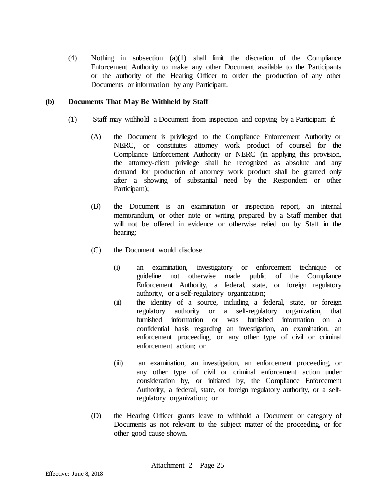(4) Nothing in subsection (a)(1) shall limit the discretion of the Compliance Enforcement Authority to make any other Document available to the Participants or the authority of the Hearing Officer to order the production of any other Documents or information by any Participant.

#### **(b) Documents That May Be Withheld by Staff**

- (1) Staff may withhold a Document from inspection and copying by a Participant if:
	- (A) the Document is privileged to the Compliance Enforcement Authority or NERC, or constitutes attorney work product of counsel for the Compliance Enforcement Authority or NERC (in applying this provision, the attorney-client privilege shall be recognized as absolute and any demand for production of attorney work product shall be granted only after a showing of substantial need by the Respondent or other Participant);
	- (B) the Document is an examination or inspection report, an internal memorandum, or other note or writing prepared by a Staff member that will not be offered in evidence or otherwise relied on by Staff in the hearing;
	- (C) the Document would disclose
		- (i) an examination, investigatory or enforcement technique or guideline not otherwise made public of the Compliance Enforcement Authority, a federal, state, or foreign regulatory authority, or a self-regulatory organization;
		- (ii) the identity of a source, including a federal, state, or foreign regulatory authority or a self-regulatory organization, that furnished information or was furnished information on a confidential basis regarding an investigation, an examination, an enforcement proceeding, or any other type of civil or criminal enforcement action; or
		- (iii) an examination, an investigation, an enforcement proceeding, or any other type of civil or criminal enforcement action under consideration by, or initiated by, the Compliance Enforcement Authority, a federal, state, or foreign regulatory authority, or a selfregulatory organization; or
	- (D) the Hearing Officer grants leave to withhold a Document or category of Documents as not relevant to the subject matter of the proceeding, or for other good cause shown.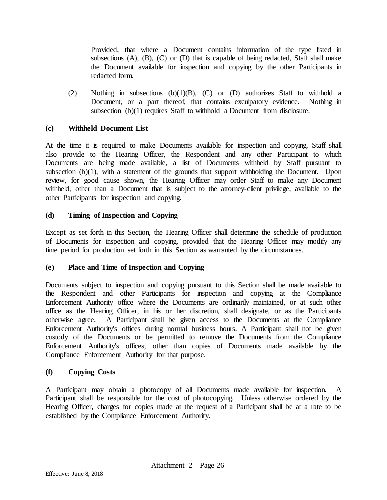Provided, that where a Document contains information of the type listed in subsections (A), (B), (C) or (D) that is capable of being redacted, Staff shall make the Document available for inspection and copying by the other Participants in redacted form.

(2) Nothing in subsections (b)(1)(B), (C) or (D) authorizes Staff to withhold a Document, or a part thereof, that contains exculpatory evidence. Nothing in subsection (b)(1) requires Staff to withhold a Document from disclosure.

### **(c) Withheld Document List**

At the time it is required to make Documents available for inspection and copying, Staff shall also provide to the Hearing Officer, the Respondent and any other Participant to which Documents are being made available, a list of Documents withheld by Staff pursuant to subsection (b)(1), with a statement of the grounds that support withholding the Document. Upon review, for good cause shown, the Hearing Officer may order Staff to make any Document withheld, other than a Document that is subject to the attorney-client privilege, available to the other Participants for inspection and copying.

## **(d) Timing of Inspection and Copying**

Except as set forth in this Section, the Hearing Officer shall determine the schedule of production of Documents for inspection and copying, provided that the Hearing Officer may modify any time period for production set forth in this Section as warranted by the circumstances.

#### **(e) Place and Time of Inspection and Copying**

Documents subject to inspection and copying pursuant to this Section shall be made available to the Respondent and other Participants for inspection and copying at the Compliance Enforcement Authority office where the Documents are ordinarily maintained, or at such other office as the Hearing Officer, in his or her discretion, shall designate, or as the Participants otherwise agree. A Participant shall be given access to the Documents at the Compliance Enforcement Authority's offices during normal business hours. A Participant shall not be given custody of the Documents or be permitted to remove the Documents from the Compliance Enforcement Authority's offices, other than copies of Documents made available by the Compliance Enforcement Authority for that purpose.

#### **(f) Copying Costs**

A Participant may obtain a photocopy of all Documents made available for inspection. A Participant shall be responsible for the cost of photocopying. Unless otherwise ordered by the Hearing Officer, charges for copies made at the request of a Participant shall be at a rate to be established by the Compliance Enforcement Authority.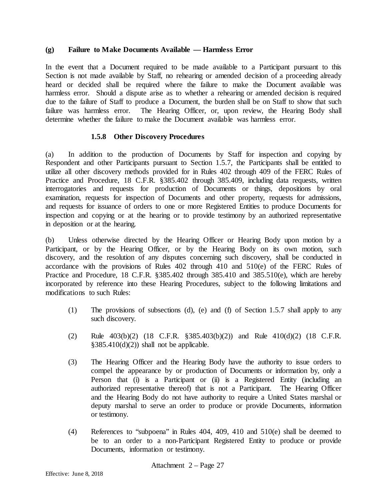#### **(g) Failure to Make Documents Available — Harmless Error**

In the event that a Document required to be made available to a Participant pursuant to this Section is not made available by Staff, no rehearing or amended decision of a proceeding already heard or decided shall be required where the failure to make the Document available was harmless error. Should a dispute arise as to whether a rehearing or amended decision is required due to the failure of Staff to produce a Document, the burden shall be on Staff to show that such failure was harmless error. The Hearing Officer, or, upon review, the Hearing Body shall determine whether the failure to make the Document available was harmless error.

#### **1.5.8 Other Discovery Procedures**

(a) In addition to the production of Documents by Staff for inspection and copying by Respondent and other Participants pursuant to Section 1.5.7, the Participants shall be entitled to utilize all other discovery methods provided for in Rules 402 through 409 of the FERC Rules of Practice and Procedure, 18 C.F.R. §385.402 through 385.409, including data requests, written interrogatories and requests for production of Documents or things, depositions by oral examination, requests for inspection of Documents and other property, requests for admissions, and requests for issuance of orders to one or more Registered Entities to produce Documents for inspection and copying or at the hearing or to provide testimony by an authorized representative in deposition or at the hearing.

(b) Unless otherwise directed by the Hearing Officer or Hearing Body upon motion by a Participant, or by the Hearing Officer, or by the Hearing Body on its own motion, such discovery, and the resolution of any disputes concerning such discovery, shall be conducted in accordance with the provisions of Rules 402 through 410 and 510(e) of the FERC Rules of Practice and Procedure, 18 C.F.R. §385.402 through 385.410 and 385.510(e), which are hereby incorporated by reference into these Hearing Procedures, subject to the following limitations and modifications to such Rules:

- (1) The provisions of subsections (d), (e) and (f) of Section 1.5.7 shall apply to any such discovery.
- (2) Rule 403(b)(2) (18 C.F.R. §385.403(b)(2)) and Rule 410(d)(2) (18 C.F.R.  $§385.410(d)(2))$  shall not be applicable.
- (3) The Hearing Officer and the Hearing Body have the authority to issue orders to compel the appearance by or production of Documents or information by, only a Person that (i) is a Participant or (ii) is a Registered Entity (including an authorized representative thereof) that is not a Participant. The Hearing Officer and the Hearing Body do not have authority to require a United States marshal or deputy marshal to serve an order to produce or provide Documents, information or testimony.
- (4) References to "subpoena" in Rules 404, 409, 410 and 510(e) shall be deemed to be to an order to a non-Participant Registered Entity to produce or provide Documents, information or testimony.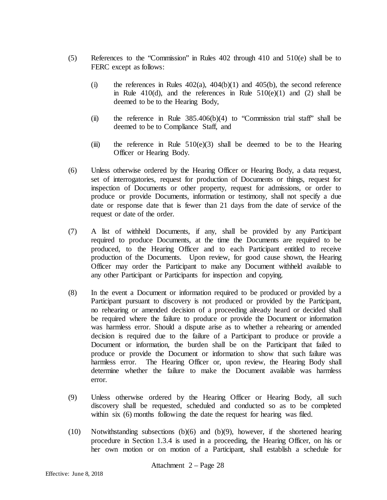- (5) References to the "Commission" in Rules 402 through 410 and 510(e) shall be to FERC except as follows:
	- (i) the references in Rules  $402(a)$ ,  $404(b)(1)$  and  $405(b)$ , the second reference in Rule  $410(d)$ , and the references in Rule  $510(e)(1)$  and (2) shall be deemed to be to the Hearing Body,
	- (ii) the reference in Rule  $385.406(b)(4)$  to "Commission trial staff" shall be deemed to be to Compliance Staff, and
	- (iii) the reference in Rule  $510(e)(3)$  shall be deemed to be to the Hearing Officer or Hearing Body.
- (6) Unless otherwise ordered by the Hearing Officer or Hearing Body, a data request, set of interrogatories, request for production of Documents or things, request for inspection of Documents or other property, request for admissions, or order to produce or provide Documents, information or testimony, shall not specify a due date or response date that is fewer than 21 days from the date of service of the request or date of the order.
- (7) A list of withheld Documents, if any, shall be provided by any Participant required to produce Documents, at the time the Documents are required to be produced, to the Hearing Officer and to each Participant entitled to receive production of the Documents. Upon review, for good cause shown, the Hearing Officer may order the Participant to make any Document withheld available to any other Participant or Participants for inspection and copying.
- (8) In the event a Document or information required to be produced or provided by a Participant pursuant to discovery is not produced or provided by the Participant, no rehearing or amended decision of a proceeding already heard or decided shall be required where the failure to produce or provide the Document or information was harmless error. Should a dispute arise as to whether a rehearing or amended decision is required due to the failure of a Participant to produce or provide a Document or information, the burden shall be on the Participant that failed to produce or provide the Document or information to show that such failure was harmless error. The Hearing Officer or, upon review, the Hearing Body shall determine whether the failure to make the Document available was harmless error.
- (9) Unless otherwise ordered by the Hearing Officer or Hearing Body, all such discovery shall be requested, scheduled and conducted so as to be completed within six (6) months following the date the request for hearing was filed.
- (10) Notwithstanding subsections (b)(6) and (b)(9), however, if the shortened hearing procedure in Section 1.3.4 is used in a proceeding, the Hearing Officer, on his or her own motion or on motion of a Participant, shall establish a schedule for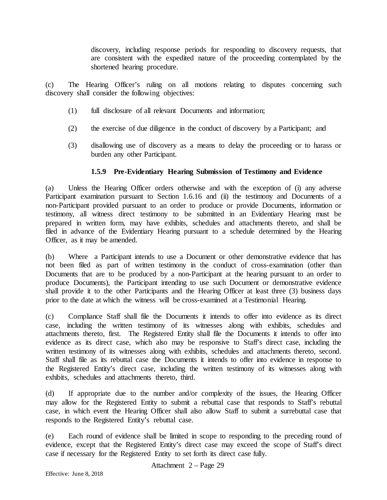discovery, including response periods for responding to discovery requests, that are consistent with the expedited nature of the proceeding contemplated by the shortened hearing procedure.

(c) The Hearing Officer's ruling on all motions relating to disputes concerning such discovery shall consider the following objectives:

- (1) full disclosure of all relevant Documents and information;
- (2) the exercise of due diligence in the conduct of discovery by a Participant; and
- (3) disallowing use of discovery as a means to delay the proceeding or to harass or burden any other Participant.

## **1.5.9 Pre-Evidentiary Hearing Submission of Testimony and Evidence**

(a) Unless the Hearing Officer orders otherwise and with the exception of (i) any adverse Participant examination pursuant to Section 1.6.16 and (ii) the testimony and Documents of a non-Participant provided pursuant to an order to produce or provide Documents, information or testimony, all witness direct testimony to be submitted in an Evidentiary Hearing must be prepared in written form, may have exhibits, schedules and attachments thereto, and shall be filed in advance of the Evidentiary Hearing pursuant to a schedule determined by the Hearing Officer, as it may be amended.

(b) Where a Participant intends to use a Document or other demonstrative evidence that has not been filed as part of written testimony in the conduct of cross-examination (other than Documents that are to be produced by a non-Participant at the hearing pursuant to an order to produce Documents), the Participant intending to use such Document or demonstrative evidence shall provide it to the other Participants and the Hearing Officer at least three (3) business days prior to the date at which the witness will be cross-examined at a Testimonial Hearing.

(c) Compliance Staff shall file the Documents it intends to offer into evidence as its direct case, including the written testimony of its witnesses along with exhibits, schedules and attachments thereto, first. The Registered Entity shall file the Documents it intends to offer into evidence as its direct case, which also may be responsive to Staff's direct case, including the written testimony of its witnesses along with exhibits, schedules and attachments thereto, second. Staff shall file as its rebuttal case the Documents it intends to offer into evidence in response to the Registered Entity's direct case, including the written testimony of its witnesses along with exhibits, schedules and attachments thereto, third.

(d) If appropriate due to the number and/or complexity of the issues, the Hearing Officer may allow for the Registered Entity to submit a rebuttal case that responds to Staff's rebuttal case, in which event the Hearing Officer shall also allow Staff to submit a surrebuttal case that responds to the Registered Entity's rebuttal case.

(e) Each round of evidence shall be limited in scope to responding to the preceding round of evidence, except that the Registered Entity's direct case may exceed the scope of Staff's direct case if necessary for the Registered Entity to set forth its direct case fully.

Attachment 2 – Page 29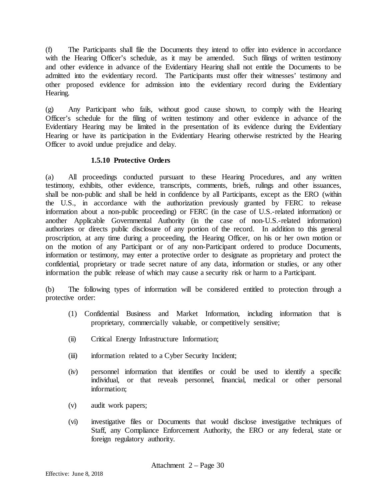(f) The Participants shall file the Documents they intend to offer into evidence in accordance with the Hearing Officer's schedule, as it may be amended. Such filings of written testimony and other evidence in advance of the Evidentiary Hearing shall not entitle the Documents to be admitted into the evidentiary record. The Participants must offer their witnesses' testimony and other proposed evidence for admission into the evidentiary record during the Evidentiary Hearing.

(g) Any Participant who fails, without good cause shown, to comply with the Hearing Officer's schedule for the filing of written testimony and other evidence in advance of the Evidentiary Hearing may be limited in the presentation of its evidence during the Evidentiary Hearing or have its participation in the Evidentiary Hearing otherwise restricted by the Hearing Officer to avoid undue prejudice and delay.

## **1.5.10 Protective Orders**

(a) All proceedings conducted pursuant to these Hearing Procedures, and any written testimony, exhibits, other evidence, transcripts, comments, briefs, rulings and other issuances, shall be non-public and shall be held in confidence by all Participants, except as the ERO (within the U.S., in accordance with the authorization previously granted by FERC to release information about a non-public proceeding) or FERC (in the case of U.S.-related information) or another Applicable Governmental Authority (in the case of non-U.S.-related information) authorizes or directs public disclosure of any portion of the record. In addition to this general proscription, at any time during a proceeding, the Hearing Officer, on his or her own motion or on the motion of any Participant or of any non-Participant ordered to produce Documents, information or testimony, may enter a protective order to designate as proprietary and protect the confidential, proprietary or trade secret nature of any data, information or studies, or any other information the public release of which may cause a security risk or harm to a Participant.

(b) The following types of information will be considered entitled to protection through a protective order:

- (1) Confidential Business and Market Information, including information that is proprietary, commercially valuable, or competitively sensitive;
- (ii) Critical Energy Infrastructure Information;
- (iii) information related to a Cyber Security Incident;
- (iv) personnel information that identifies or could be used to identify a specific individual, or that reveals personnel, financial, medical or other personal information;
- (v) audit work papers;
- (vi) investigative files or Documents that would disclose investigative techniques of Staff, any Compliance Enforcement Authority, the ERO or any federal, state or foreign regulatory authority.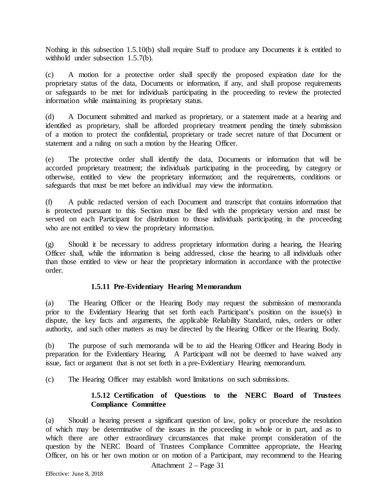Nothing in this subsection 1.5.10(b) shall require Staff to produce any Documents it is entitled to withhold under subsection 1.5.7(b).

(c) A motion for a protective order shall specify the proposed expiration date for the proprietary status of the data, Documents or information, if any, and shall propose requirements or safeguards to be met for individuals participating in the proceeding to review the protected information while maintaining its proprietary status.

(d) A Document submitted and marked as proprietary, or a statement made at a hearing and identified as proprietary, shall be afforded proprietary treatment pending the timely submission of a motion to protect the confidential, proprietary or trade secret nature of that Document or statement and a ruling on such a motion by the Hearing Officer.

(e) The protective order shall identify the data, Documents or information that will be accorded proprietary treatment; the individuals participating in the proceeding, by category or otherwise, entitled to view the proprietary information; and the requirements, conditions or safeguards that must be met before an individual may view the information.

(f) A public redacted version of each Document and transcript that contains information that is protected pursuant to this Section must be filed with the proprietary version and must be served on each Participant for distribution to those individuals participating in the proceeding who are not entitled to view the proprietary information.

(g) Should it be necessary to address proprietary information during a hearing, the Hearing Officer shall, while the information is being addressed, close the hearing to all individuals other than those entitled to view or hear the proprietary information in accordance with the protective order.

## **1.5.11 Pre-Evidentiary Hearing Memorandum**

(a) The Hearing Officer or the Hearing Body may request the submission of memoranda prior to the Evidentiary Hearing that set forth each Participant's position on the issue(s) in dispute, the key facts and arguments, the applicable Reliability Standard, rules, orders or other authority, and such other matters as may be directed by the Hearing Officer or the Hearing Body.

(b) The purpose of such memoranda will be to aid the Hearing Officer and Hearing Body in preparation for the Evidentiary Hearing. A Participant will not be deemed to have waived any issue, fact or argument that is not set forth in a pre-Evidentiary Hearing memorandum.

(c) The Hearing Officer may establish word limitations on such submissions.

## **1.5.12 Certification of Questions to the NERC Board of Trustees Compliance Committee**

(a) Should a hearing present a significant question of law, policy or procedure the resolution of which may be determinative of the issues in the proceeding in whole or in part, and as to which there are other extraordinary circumstances that make prompt consideration of the question by the NERC Board of Trustees Compliance Committee appropriate, the Hearing Officer, on his or her own motion or on motion of a Participant, may recommend to the Hearing

Attachment 2 – Page 31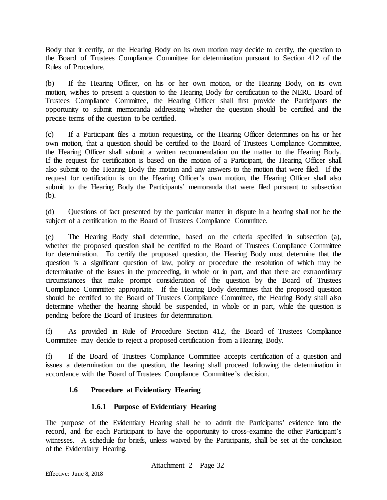Body that it certify, or the Hearing Body on its own motion may decide to certify, the question to the Board of Trustees Compliance Committee for determination pursuant to Section 412 of the Rules of Procedure.

(b) If the Hearing Officer, on his or her own motion, or the Hearing Body, on its own motion, wishes to present a question to the Hearing Body for certification to the NERC Board of Trustees Compliance Committee, the Hearing Officer shall first provide the Participants the opportunity to submit memoranda addressing whether the question should be certified and the precise terms of the question to be certified.

(c) If a Participant files a motion requesting, or the Hearing Officer determines on his or her own motion, that a question should be certified to the Board of Trustees Compliance Committee, the Hearing Officer shall submit a written recommendation on the matter to the Hearing Body. If the request for certification is based on the motion of a Participant, the Hearing Officer shall also submit to the Hearing Body the motion and any answers to the motion that were filed. If the request for certification is on the Hearing Officer's own motion, the Hearing Officer shall also submit to the Hearing Body the Participants' memoranda that were filed pursuant to subsection (b).

(d) Questions of fact presented by the particular matter in dispute in a hearing shall not be the subject of a certification to the Board of Trustees Compliance Committee.

(e) The Hearing Body shall determine, based on the criteria specified in subsection (a), whether the proposed question shall be certified to the Board of Trustees Compliance Committee for determination. To certify the proposed question, the Hearing Body must determine that the question is a significant question of law, policy or procedure the resolution of which may be determinative of the issues in the proceeding, in whole or in part, and that there are extraordinary circumstances that make prompt consideration of the question by the Board of Trustees Compliance Committee appropriate. If the Hearing Body determines that the proposed question should be certified to the Board of Trustees Compliance Committee, the Hearing Body shall also determine whether the hearing should be suspended, in whole or in part, while the question is pending before the Board of Trustees for determination.

(f) As provided in Rule of Procedure Section 412, the Board of Trustees Compliance Committee may decide to reject a proposed certification from a Hearing Body.

(f) If the Board of Trustees Compliance Committee accepts certification of a question and issues a determination on the question, the hearing shall proceed following the determination in accordance with the Board of Trustees Compliance Committee's decision.

# **1.6 Procedure at Evidentiary Hearing**

# **1.6.1 Purpose of Evidentiary Hearing**

The purpose of the Evidentiary Hearing shall be to admit the Participants' evidence into the record, and for each Participant to have the opportunity to cross-examine the other Participant's witnesses. A schedule for briefs, unless waived by the Participants, shall be set at the conclusion of the Evidentiary Hearing.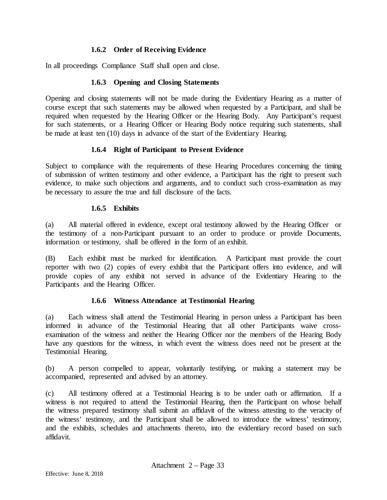## **1.6.2 Order of Receiving Evidence**

In all proceedings Compliance Staff shall open and close.

### **1.6.3 Opening and Closing Statements**

Opening and closing statements will not be made during the Evidentiary Hearing as a matter of course except that such statements may be allowed when requested by a Participant, and shall be required when requested by the Hearing Officer or the Hearing Body. Any Participant's request for such statements, or a Hearing Officer or Hearing Body notice requiring such statements, shall be made at least ten (10) days in advance of the start of the Evidentiary Hearing.

### **1.6.4 Right of Participant to Present Evidence**

Subject to compliance with the requirements of these Hearing Procedures concerning the timing of submission of written testimony and other evidence, a Participant has the right to present such evidence, to make such objections and arguments, and to conduct such cross-examination as may be necessary to assure the true and full disclosure of the facts.

#### **1.6.5 Exhibits**

(a) All material offered in evidence, except oral testimony allowed by the Hearing Officer or the testimony of a non-Participant pursuant to an order to produce or provide Documents, information or testimony, shall be offered in the form of an exhibit.

(B) Each exhibit must be marked for identification. A Participant must provide the court reporter with two (2) copies of every exhibit that the Participant offers into evidence, and will provide copies of any exhibit not served in advance of the Evidentiary Hearing to the Participants and the Hearing Officer.

## **1.6.6 Witness Attendance at Testimonial Hearing**

(a) Each witness shall attend the Testimonial Hearing in person unless a Participant has been informed in advance of the Testimonial Hearing that all other Participants waive crossexamination of the witness and neither the Hearing Officer nor the members of the Hearing Body have any questions for the witness, in which event the witness does need not be present at the Testimonial Hearing.

(b) A person compelled to appear, voluntarily testifying, or making a statement may be accompanied, represented and advised by an attorney.

(c) All testimony offered at a Testimonial Hearing is to be under oath or affirmation. If a witness is not required to attend the Testimonial Hearing, then the Participant on whose behalf the witness prepared testimony shall submit an affidavit of the witness attesting to the veracity of the witness' testimony, and the Participant shall be allowed to introduce the witness' testimony, and the exhibits, schedules and attachments thereto, into the evidentiary record based on such affidavit.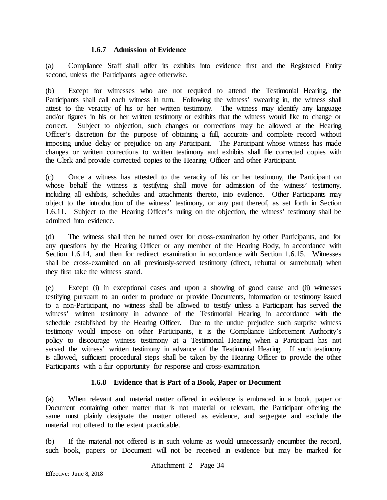#### **1.6.7 Admission of Evidence**

(a) Compliance Staff shall offer its exhibits into evidence first and the Registered Entity second, unless the Participants agree otherwise.

(b) Except for witnesses who are not required to attend the Testimonial Hearing, the Participants shall call each witness in turn. Following the witness' swearing in, the witness shall attest to the veracity of his or her written testimony. The witness may identify any language and/or figures in his or her written testimony or exhibits that the witness would like to change or correct. Subject to objection, such changes or corrections may be allowed at the Hearing Officer's discretion for the purpose of obtaining a full, accurate and complete record without imposing undue delay or prejudice on any Participant. The Participant whose witness has made changes or written corrections to written testimony and exhibits shall file corrected copies with the Clerk and provide corrected copies to the Hearing Officer and other Participant.

(c) Once a witness has attested to the veracity of his or her testimony, the Participant on whose behalf the witness is testifying shall move for admission of the witness' testimony, including all exhibits, schedules and attachments thereto, into evidence. Other Participants may object to the introduction of the witness' testimony, or any part thereof, as set forth in Section 1.6.11. Subject to the Hearing Officer's ruling on the objection, the witness' testimony shall be admitted into evidence.

(d) The witness shall then be turned over for cross-examination by other Participants, and for any questions by the Hearing Officer or any member of the Hearing Body, in accordance with Section 1.6.14, and then for redirect examination in accordance with Section 1.6.15. Witnesses shall be cross-examined on all previously-served testimony (direct, rebuttal or surrebuttal) when they first take the witness stand.

(e) Except (i) in exceptional cases and upon a showing of good cause and (ii) witnesses testifying pursuant to an order to produce or provide Documents, information or testimony issued to a non-Participant, no witness shall be allowed to testify unless a Participant has served the witness' written testimony in advance of the Testimonial Hearing in accordance with the schedule established by the Hearing Officer. Due to the undue prejudice such surprise witness testimony would impose on other Participants, it is the Compliance Enforcement Authority's policy to discourage witness testimony at a Testimonial Hearing when a Participant has not served the witness<sup>7</sup> written testimony in advance of the Testimonial Hearing. If such testimony is allowed, sufficient procedural steps shall be taken by the Hearing Officer to provide the other Participants with a fair opportunity for response and cross-examination.

## **1.6.8 Evidence that is Part of a Book, Paper or Document**

(a) When relevant and material matter offered in evidence is embraced in a book, paper or Document containing other matter that is not material or relevant, the Participant offering the same must plainly designate the matter offered as evidence, and segregate and exclude the material not offered to the extent practicable.

(b) If the material not offered is in such volume as would unnecessarily encumber the record, such book, papers or Document will not be received in evidence but may be marked for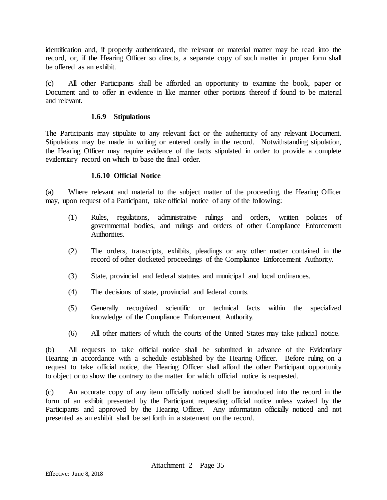identification and, if properly authenticated, the relevant or material matter may be read into the record, or, if the Hearing Officer so directs, a separate copy of such matter in proper form shall be offered as an exhibit.

(c) All other Participants shall be afforded an opportunity to examine the book, paper or Document and to offer in evidence in like manner other portions thereof if found to be material and relevant.

### **1.6.9 Stipulations**

The Participants may stipulate to any relevant fact or the authenticity of any relevant Document. Stipulations may be made in writing or entered orally in the record. Notwithstanding stipulation, the Hearing Officer may require evidence of the facts stipulated in order to provide a complete evidentiary record on which to base the final order.

### **1.6.10 Official Notice**

(a) Where relevant and material to the subject matter of the proceeding, the Hearing Officer may, upon request of a Participant, take official notice of any of the following:

- (1) Rules, regulations, administrative rulings and orders, written policies of governmental bodies, and rulings and orders of other Compliance Enforcement Authorities.
- (2) The orders, transcripts, exhibits, pleadings or any other matter contained in the record of other docketed proceedings of the Compliance Enforcement Authority.
- (3) State, provincial and federal statutes and municipal and local ordinances.
- (4) The decisions of state, provincial and federal courts.
- (5) Generally recognized scientific or technical facts within the specialized knowledge of the Compliance Enforcement Authority*.*
- (6) All other matters of which the courts of the United States may take judicial notice.

(b) All requests to take official notice shall be submitted in advance of the Evidentiary Hearing in accordance with a schedule established by the Hearing Officer. Before ruling on a request to take official notice, the Hearing Officer shall afford the other Participant opportunity to object or to show the contrary to the matter for which official notice is requested.

(c) An accurate copy of any item officially noticed shall be introduced into the record in the form of an exhibit presented by the Participant requesting official notice unless waived by the Participants and approved by the Hearing Officer. Any information officially noticed and not presented as an exhibit shall be set forth in a statement on the record.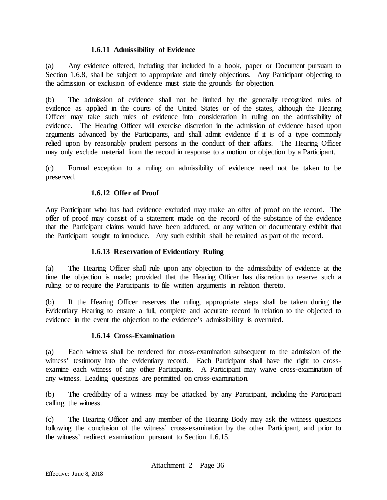### **1.6.11 Admissibility of Evidence**

(a) Any evidence offered, including that included in a book, paper or Document pursuant to Section 1.6.8, shall be subject to appropriate and timely objections. Any Participant objecting to the admission or exclusion of evidence must state the grounds for objection.

(b) The admission of evidence shall not be limited by the generally recognized rules of evidence as applied in the courts of the United States or of the states, although the Hearing Officer may take such rules of evidence into consideration in ruling on the admissibility of evidence. The Hearing Officer will exercise discretion in the admission of evidence based upon arguments advanced by the Participants, and shall admit evidence if it is of a type commonly relied upon by reasonably prudent persons in the conduct of their affairs. The Hearing Officer may only exclude material from the record in response to a motion or objection by a Participant.

(c) Formal exception to a ruling on admissibility of evidence need not be taken to be preserved.

### **1.6.12 Offer of Proof**

Any Participant who has had evidence excluded may make an offer of proof on the record. The offer of proof may consist of a statement made on the record of the substance of the evidence that the Participant claims would have been adduced, or any written or documentary exhibit that the Participant sought to introduce. Any such exhibit shall be retained as part of the record.

#### **1.6.13 Reservation of Evidentiary Ruling**

(a) The Hearing Officer shall rule upon any objection to the admissibility of evidence at the time the objection is made; provided that the Hearing Officer has discretion to reserve such a ruling or to require the Participants to file written arguments in relation thereto.

(b) If the Hearing Officer reserves the ruling, appropriate steps shall be taken during the Evidentiary Hearing to ensure a full, complete and accurate record in relation to the objected to evidence in the event the objection to the evidence's admissibility is overruled.

#### **1.6.14 Cross-Examination**

(a) Each witness shall be tendered for cross-examination subsequent to the admission of the witness' testimony into the evidentiary record. Each Participant shall have the right to crossexamine each witness of any other Participants. A Participant may waive cross-examination of any witness. Leading questions are permitted on cross-examination.

(b) The credibility of a witness may be attacked by any Participant, including the Participant calling the witness.

(c) The Hearing Officer and any member of the Hearing Body may ask the witness questions following the conclusion of the witness' cross-examination by the other Participant, and prior to the witness' redirect examination pursuant to Section 1.6.15.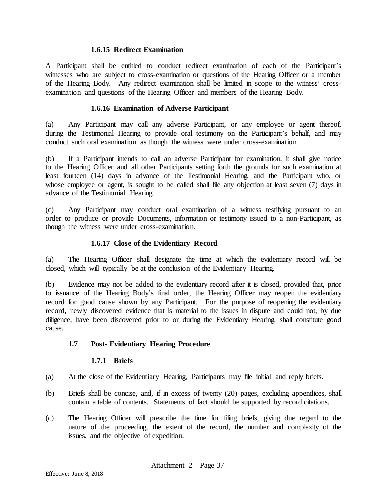#### **1.6.15 Redirect Examination**

A Participant shall be entitled to conduct redirect examination of each of the Participant's witnesses who are subject to cross-examination or questions of the Hearing Officer or a member of the Hearing Body. Any redirect examination shall be limited in scope to the witness' crossexamination and questions of the Hearing Officer and members of the Hearing Body.

#### **1.6.16 Examination of Adverse Participant**

(a) Any Participant may call any adverse Participant, or any employee or agent thereof, during the Testimonial Hearing to provide oral testimony on the Participant's behalf, and may conduct such oral examination as though the witness were under cross-examination.

(b) If a Participant intends to call an adverse Participant for examination, it shall give notice to the Hearing Officer and all other Participants setting forth the grounds for such examination at least fourteen (14) days in advance of the Testimonial Hearing, and the Participant who, or whose employee or agent, is sought to be called shall file any objection at least seven (7) days in advance of the Testimonial Hearing.

(c) Any Participant may conduct oral examination of a witness testifying pursuant to an order to produce or provide Documents, information or testimony issued to a non-Participant, as though the witness were under cross-examination.

### **1.6.17 Close of the Evidentiary Record**

(a) The Hearing Officer shall designate the time at which the evidentiary record will be closed, which will typically be at the conclusion of the Evidentiary Hearing.

(b) Evidence may not be added to the evidentiary record after it is closed, provided that, prior to issuance of the Hearing Body's final order, the Hearing Officer may reopen the evidentiary record for good cause shown by any Participant. For the purpose of reopening the evidentiary record, newly discovered evidence that is material to the issues in dispute and could not, by due diligence, have been discovered prior to or during the Evidentiary Hearing, shall constitute good cause.

## **1.7 Post- Evidentiary Hearing Procedure**

#### **1.7.1 Briefs**

- (a) At the close of the Evidentiary Hearing, Participants may file initial and reply briefs.
- (b) Briefs shall be concise, and, if in excess of twenty (20) pages, excluding appendices, shall contain a table of contents. Statements of fact should be supported by record citations.
- (c) The Hearing Officer will prescribe the time for filing briefs, giving due regard to the nature of the proceeding, the extent of the record, the number and complexity of the issues, and the objective of expedition.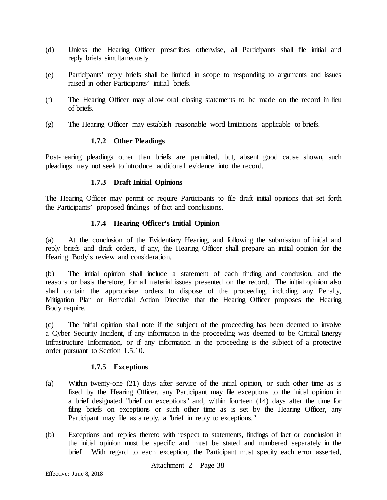- (d) Unless the Hearing Officer prescribes otherwise, all Participants shall file initial and reply briefs simultaneously.
- (e) Participants' reply briefs shall be limited in scope to responding to arguments and issues raised in other Participants' initial briefs.
- (f) The Hearing Officer may allow oral closing statements to be made on the record in lieu of briefs.
- (g) The Hearing Officer may establish reasonable word limitations applicable to briefs.

#### **1.7.2 Other Pleadings**

Post-hearing pleadings other than briefs are permitted, but, absent good cause shown, such pleadings may not seek to introduce additional evidence into the record.

### **1.7.3 Draft Initial Opinions**

The Hearing Officer may permit or require Participants to file draft initial opinions that set forth the Participants' proposed findings of fact and conclusions.

## **1.7.4 Hearing Officer's Initial Opinion**

(a) At the conclusion of the Evidentiary Hearing, and following the submission of initial and reply briefs and draft orders, if any, the Hearing Officer shall prepare an initial opinion for the Hearing Body's review and consideration.

(b) The initial opinion shall include a statement of each finding and conclusion, and the reasons or basis therefore, for all material issues presented on the record. The initial opinion also shall contain the appropriate orders to dispose of the proceeding, including any Penalty, Mitigation Plan or Remedial Action Directive that the Hearing Officer proposes the Hearing Body require.

(c) The initial opinion shall note if the subject of the proceeding has been deemed to involve a Cyber Security Incident, if any information in the proceeding was deemed to be Critical Energy Infrastructure Information, or if any information in the proceeding is the subject of a protective order pursuant to Section 1.5.10.

## **1.7.5 Exceptions**

- (a) Within twenty-one (21) days after service of the initial opinion, or such other time as is fixed by the Hearing Officer, any Participant may file exceptions to the initial opinion in a brief designated "brief on exceptions" and, within fourteen (14) days after the time for filing briefs on exceptions or such other time as is set by the Hearing Officer, any Participant may file as a reply, a "brief in reply to exceptions."
- (b) Exceptions and replies thereto with respect to statements, findings of fact or conclusion in the initial opinion must be specific and must be stated and numbered separately in the brief. With regard to each exception, the Participant must specify each error asserted,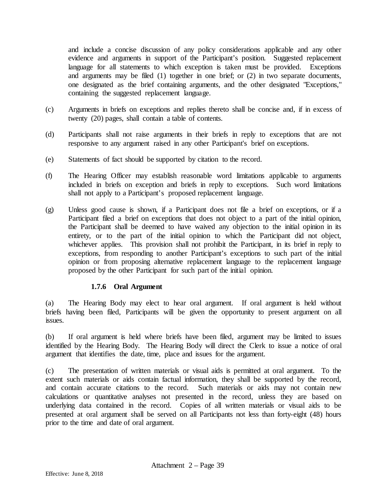and include a concise discussion of any policy considerations applicable and any other evidence and arguments in support of the Participant's position. Suggested replacement language for all statements to which exception is taken must be provided. Exceptions and arguments may be filed (1) together in one brief; or (2) in two separate documents, one designated as the brief containing arguments, and the other designated "Exceptions," containing the suggested replacement language.

- (c) Arguments in briefs on exceptions and replies thereto shall be concise and, if in excess of twenty (20) pages, shall contain a table of contents.
- (d) Participants shall not raise arguments in their briefs in reply to exceptions that are not responsive to any argument raised in any other Participant's brief on exceptions.
- (e) Statements of fact should be supported by citation to the record.
- (f) The Hearing Officer may establish reasonable word limitations applicable to arguments included in briefs on exception and briefs in reply to exceptions. Such word limitations shall not apply to a Participant's proposed replacement language.
- (g) Unless good cause is shown, if a Participant does not file a brief on exceptions, or if a Participant filed a brief on exceptions that does not object to a part of the initial opinion, the Participant shall be deemed to have waived any objection to the initial opinion in its entirety, or to the part of the initial opinion to which the Participant did not object, whichever applies. This provision shall not prohibit the Participant, in its brief in reply to exceptions, from responding to another Participant's exceptions to such part of the initial opinion or from proposing alternative replacement language to the replacement language proposed by the other Participant for such part of the initial opinion.

#### **1.7.6 Oral Argument**

(a) The Hearing Body may elect to hear oral argument. If oral argument is held without briefs having been filed, Participants will be given the opportunity to present argument on all issues.

(b) If oral argument is held where briefs have been filed, argument may be limited to issues identified by the Hearing Body. The Hearing Body will direct the Clerk to issue a notice of oral argument that identifies the date, time, place and issues for the argument.

(c) The presentation of written materials or visual aids is permitted at oral argument. To the extent such materials or aids contain factual information, they shall be supported by the record, and contain accurate citations to the record. Such materials or aids may not contain new calculations or quantitative analyses not presented in the record, unless they are based on underlying data contained in the record. Copies of all written materials or visual aids to be presented at oral argument shall be served on all Participants not less than forty-eight (48) hours prior to the time and date of oral argument.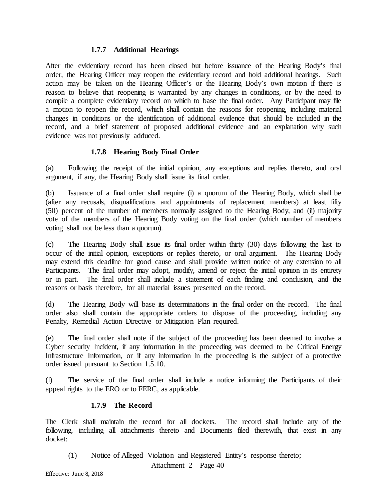#### **1.7.7 Additional Hearings**

After the evidentiary record has been closed but before issuance of the Hearing Body's final order, the Hearing Officer may reopen the evidentiary record and hold additional hearings. Such action may be taken on the Hearing Officer's or the Hearing Body's own motion if there is reason to believe that reopening is warranted by any changes in conditions, or by the need to compile a complete evidentiary record on which to base the final order. Any Participant may file a motion to reopen the record, which shall contain the reasons for reopening, including material changes in conditions or the identification of additional evidence that should be included in the record, and a brief statement of proposed additional evidence and an explanation why such evidence was not previously adduced.

## **1.7.8 Hearing Body Final Order**

(a) Following the receipt of the initial opinion, any exceptions and replies thereto, and oral argument, if any, the Hearing Body shall issue its final order.

(b) Issuance of a final order shall require (i) a quorum of the Hearing Body, which shall be (after any recusals, disqualifications and appointments of replacement members) at least fifty (50) percent of the number of members normally assigned to the Hearing Body, and (ii) majority vote of the members of the Hearing Body voting on the final order (which number of members voting shall not be less than a quorum).

(c) The Hearing Body shall issue its final order within thirty (30) days following the last to occur of the initial opinion, exceptions or replies thereto, or oral argument. The Hearing Body may extend this deadline for good cause and shall provide written notice of any extension to all Participants. The final order may adopt, modify, amend or reject the initial opinion in its entirety or in part. The final order shall include a statement of each finding and conclusion, and the reasons or basis therefore, for all material issues presented on the record.

(d) The Hearing Body will base its determinations in the final order on the record. The final order also shall contain the appropriate orders to dispose of the proceeding, including any Penalty, Remedial Action Directive or Mitigation Plan required.

(e) The final order shall note if the subject of the proceeding has been deemed to involve a Cyber security Incident, if any information in the proceeding was deemed to be Critical Energy Infrastructure Information, or if any information in the proceeding is the subject of a protective order issued pursuant to Section 1.5.10.

(f) The service of the final order shall include a notice informing the Participants of their appeal rights to the ERO or to FERC, as applicable.

## **1.7.9 The Record**

The Clerk shall maintain the record for all dockets. The record shall include any of the following, including all attachments thereto and Documents filed therewith, that exist in any docket:

Attachment 2 – Page 40 (1) Notice of Alleged Violation and Registered Entity's response thereto;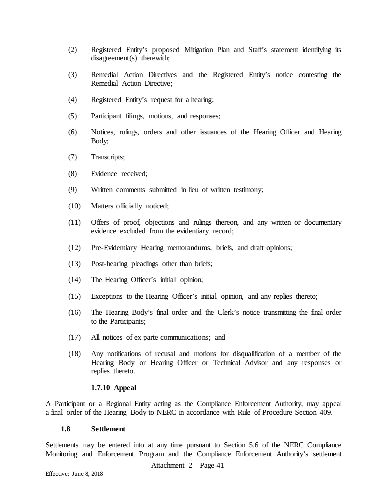- (2) Registered Entity's proposed Mitigation Plan and Staff's statement identifying its disagreement(s) therewith;
- (3) Remedial Action Directives and the Registered Entity's notice contesting the Remedial Action Directive;
- (4) Registered Entity's request for a hearing;
- (5) Participant filings, motions, and responses;
- (6) Notices, rulings, orders and other issuances of the Hearing Officer and Hearing Body;
- (7) Transcripts;
- (8) Evidence received;
- (9) Written comments submitted in lieu of written testimony;
- (10) Matters officially noticed;
- (11) Offers of proof, objections and rulings thereon, and any written or documentary evidence excluded from the evidentiary record;
- (12) Pre-Evidentiary Hearing memorandums, briefs, and draft opinions;
- (13) Post-hearing pleadings other than briefs;
- (14) The Hearing Officer's initial opinion;
- (15) Exceptions to the Hearing Officer's initial opinion, and any replies thereto;
- (16) The Hearing Body's final order and the Clerk's notice transmitting the final order to the Participants;
- (17) All notices of ex parte communications; and
- (18) Any notifications of recusal and motions for disqualification of a member of the Hearing Body or Hearing Officer or Technical Advisor and any responses or replies thereto.

#### **1.7.10 Appeal**

A Participant or a Regional Entity acting as the Compliance Enforcement Authority, may appeal a final order of the Hearing Body to NERC in accordance with Rule of Procedure Section 409.

#### **1.8 Settlement**

Settlements may be entered into at any time pursuant to Section 5.6 of the NERC Compliance Monitoring and Enforcement Program and the Compliance Enforcement Authority's settlement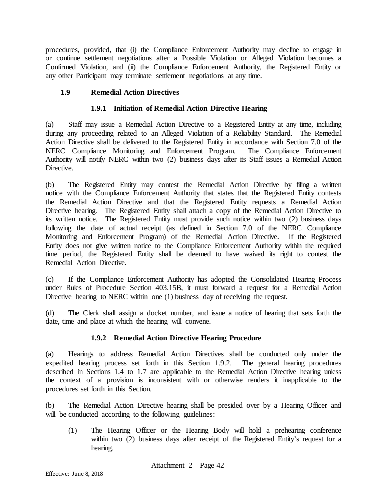procedures, provided, that (i) the Compliance Enforcement Authority may decline to engage in or continue settlement negotiations after a Possible Violation or Alleged Violation becomes a Confirmed Violation, and (ii) the Compliance Enforcement Authority, the Registered Entity or any other Participant may terminate settlement negotiations at any time.

## **1.9 Remedial Action Directives**

## **1.9.1 Initiation of Remedial Action Directive Hearing**

(a) Staff may issue a Remedial Action Directive to a Registered Entity at any time, including during any proceeding related to an Alleged Violation of a Reliability Standard. The Remedial Action Directive shall be delivered to the Registered Entity in accordance with Section 7.0 of the NERC Compliance Monitoring and Enforcement Program. The Compliance Enforcement Authority will notify NERC within two (2) business days after its Staff issues a Remedial Action Directive.

(b) The Registered Entity may contest the Remedial Action Directive by filing a written notice with the Compliance Enforcement Authority that states that the Registered Entity contests the Remedial Action Directive and that the Registered Entity requests a Remedial Action Directive hearing. The Registered Entity shall attach a copy of the Remedial Action Directive to its written notice. The Registered Entity must provide such notice within two (2) business days following the date of actual receipt (as defined in Section 7.0 of the NERC Compliance Monitoring and Enforcement Program) of the Remedial Action Directive. If the Registered Entity does not give written notice to the Compliance Enforcement Authority within the required time period, the Registered Entity shall be deemed to have waived its right to contest the Remedial Action Directive.

(c) If the Compliance Enforcement Authority has adopted the Consolidated Hearing Process under Rules of Procedure Section 403.15B, it must forward a request for a Remedial Action Directive hearing to NERC within one (1) business day of receiving the request.

(d) The Clerk shall assign a docket number, and issue a notice of hearing that sets forth the date, time and place at which the hearing will convene.

## **1.9.2 Remedial Action Directive Hearing Procedure**

(a) Hearings to address Remedial Action Directives shall be conducted only under the expedited hearing process set forth in this Section 1.9.2. The general hearing procedures described in Sections 1.4 to 1.7 are applicable to the Remedial Action Directive hearing unless the context of a provision is inconsistent with or otherwise renders it inapplicable to the procedures set forth in this Section.

(b) The Remedial Action Directive hearing shall be presided over by a Hearing Officer and will be conducted according to the following guidelines:

(1) The Hearing Officer or the Hearing Body will hold a prehearing conference within two (2) business days after receipt of the Registered Entity's request for a hearing.